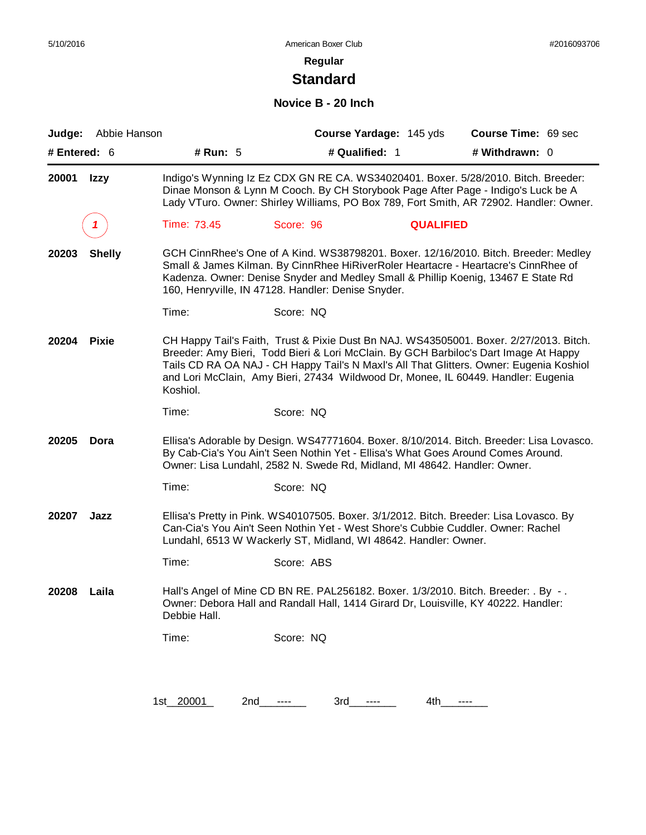# **Standard**

### **Novice B - 20 Inch**

|                | Judge: Abbie Hanson |                   | Course Yardage: 145 yds                                                                                                                                                                                                                                                                                                                                        |                  | Course Time: 69 sec |
|----------------|---------------------|-------------------|----------------------------------------------------------------------------------------------------------------------------------------------------------------------------------------------------------------------------------------------------------------------------------------------------------------------------------------------------------------|------------------|---------------------|
| # Entered: $6$ |                     | # Run: 5          | # Qualified: 1                                                                                                                                                                                                                                                                                                                                                 |                  | # Withdrawn: 0      |
| 20001          | <b>Izzy</b>         |                   | Indigo's Wynning Iz Ez CDX GN RE CA. WS34020401. Boxer. 5/28/2010. Bitch. Breeder:<br>Dinae Monson & Lynn M Cooch. By CH Storybook Page After Page - Indigo's Luck be A<br>Lady VTuro. Owner: Shirley Williams, PO Box 789, Fort Smith, AR 72902. Handler: Owner.                                                                                              |                  |                     |
|                |                     | Time: 73.45       | Score: 96                                                                                                                                                                                                                                                                                                                                                      | <b>QUALIFIED</b> |                     |
| 20203          | <b>Shelly</b>       |                   | GCH CinnRhee's One of A Kind. WS38798201. Boxer. 12/16/2010. Bitch. Breeder: Medley<br>Small & James Kilman. By CinnRhee HiRiverRoler Heartacre - Heartacre's CinnRhee of<br>Kadenza. Owner: Denise Snyder and Medley Small & Phillip Koenig, 13467 E State Rd<br>160, Henryville, IN 47128. Handler: Denise Snyder.                                           |                  |                     |
|                |                     | Time:             | Score: NQ                                                                                                                                                                                                                                                                                                                                                      |                  |                     |
| 20204          | <b>Pixie</b>        | Koshiol.          | CH Happy Tail's Faith, Trust & Pixie Dust Bn NAJ. WS43505001. Boxer. 2/27/2013. Bitch.<br>Breeder: Amy Bieri, Todd Bieri & Lori McClain. By GCH Barbiloc's Dart Image At Happy<br>Tails CD RA OA NAJ - CH Happy Tail's N Maxl's All That Glitters. Owner: Eugenia Koshiol<br>and Lori McClain, Amy Bieri, 27434 Wildwood Dr, Monee, IL 60449. Handler: Eugenia |                  |                     |
|                |                     | Time:             | Score: NQ                                                                                                                                                                                                                                                                                                                                                      |                  |                     |
| 20205          | Dora                |                   | Ellisa's Adorable by Design. WS47771604. Boxer. 8/10/2014. Bitch. Breeder: Lisa Lovasco.<br>By Cab-Cia's You Ain't Seen Nothin Yet - Ellisa's What Goes Around Comes Around.<br>Owner: Lisa Lundahl, 2582 N. Swede Rd, Midland, MI 48642. Handler: Owner.                                                                                                      |                  |                     |
|                |                     | Time:             | Score: NQ                                                                                                                                                                                                                                                                                                                                                      |                  |                     |
| 20207          | Jazz                |                   | Ellisa's Pretty in Pink. WS40107505. Boxer. 3/1/2012. Bitch. Breeder: Lisa Lovasco. By<br>Can-Cia's You Ain't Seen Nothin Yet - West Shore's Cubbie Cuddler. Owner: Rachel<br>Lundahl, 6513 W Wackerly ST, Midland, WI 48642. Handler: Owner.                                                                                                                  |                  |                     |
|                |                     | Time:             | Score: ABS                                                                                                                                                                                                                                                                                                                                                     |                  |                     |
| 20208          | Laila               | Debbie Hall.      | Hall's Angel of Mine CD BN RE. PAL256182. Boxer. 1/3/2010. Bitch. Breeder: . By -.<br>Owner: Debora Hall and Randall Hall, 1414 Girard Dr, Louisville, KY 40222. Handler:                                                                                                                                                                                      |                  |                     |
|                |                     | Time:             | Score: NQ                                                                                                                                                                                                                                                                                                                                                      |                  |                     |
|                |                     |                   |                                                                                                                                                                                                                                                                                                                                                                |                  |                     |
|                |                     | 1st_20001_<br>2nd | 3rd_______<br>$\cdots$                                                                                                                                                                                                                                                                                                                                         | 4th              |                     |
|                |                     |                   |                                                                                                                                                                                                                                                                                                                                                                |                  |                     |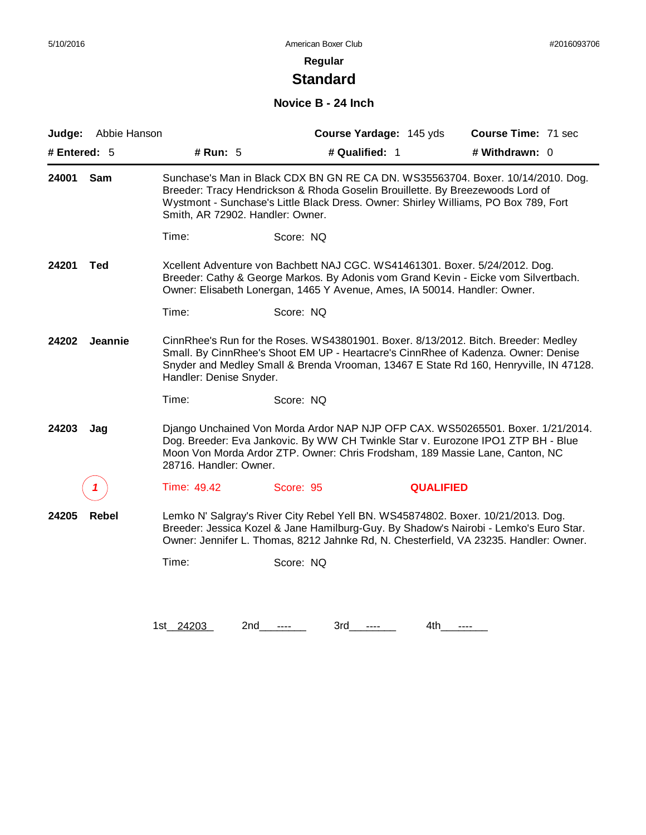# **Standard**

### **Novice B - 24 Inch**

| Judge:         | Abbie Hanson |                                  | Course Yardage: 145 yds                                                                                                                                                                                                                                            |                  | <b>Course Time: 71 sec</b> |  |
|----------------|--------------|----------------------------------|--------------------------------------------------------------------------------------------------------------------------------------------------------------------------------------------------------------------------------------------------------------------|------------------|----------------------------|--|
| # Entered: $5$ |              | # Run: 5                         | # Qualified: 1                                                                                                                                                                                                                                                     |                  | # Withdrawn: 0             |  |
| 24001          | Sam          | Smith, AR 72902. Handler: Owner. | Sunchase's Man in Black CDX BN GN RE CA DN. WS35563704. Boxer. 10/14/2010. Dog.<br>Breeder: Tracy Hendrickson & Rhoda Goselin Brouillette. By Breezewoods Lord of<br>Wystmont - Sunchase's Little Black Dress. Owner: Shirley Williams, PO Box 789, Fort           |                  |                            |  |
|                |              | Time:                            | Score: NQ                                                                                                                                                                                                                                                          |                  |                            |  |
| 24201          | <b>Ted</b>   |                                  | Xcellent Adventure von Bachbett NAJ CGC. WS41461301. Boxer. 5/24/2012. Dog.<br>Breeder: Cathy & George Markos. By Adonis vom Grand Kevin - Eicke vom Silvertbach.<br>Owner: Elisabeth Lonergan, 1465 Y Avenue, Ames, IA 50014. Handler: Owner.                     |                  |                            |  |
|                |              | Time:                            | Score: NQ                                                                                                                                                                                                                                                          |                  |                            |  |
| 24202          | Jeannie      | Handler: Denise Snyder.          | CinnRhee's Run for the Roses. WS43801901. Boxer. 8/13/2012. Bitch. Breeder: Medley<br>Small. By CinnRhee's Shoot EM UP - Heartacre's CinnRhee of Kadenza. Owner: Denise<br>Snyder and Medley Small & Brenda Vrooman, 13467 E State Rd 160, Henryville, IN 47128.   |                  |                            |  |
|                |              | Time:                            | Score: NQ                                                                                                                                                                                                                                                          |                  |                            |  |
| 24203          | Jag          | 28716. Handler: Owner.           | Django Unchained Von Morda Ardor NAP NJP OFP CAX. WS50265501. Boxer. 1/21/2014.<br>Dog. Breeder: Eva Jankovic. By WW CH Twinkle Star v. Eurozone IPO1 ZTP BH - Blue<br>Moon Von Morda Ardor ZTP. Owner: Chris Frodsham, 189 Massie Lane, Canton, NC                |                  |                            |  |
|                | 1            | Time: 49.42                      | Score: 95                                                                                                                                                                                                                                                          | <b>QUALIFIED</b> |                            |  |
| 24205          | Rebel        |                                  | Lemko N' Salgray's River City Rebel Yell BN. WS45874802. Boxer. 10/21/2013. Dog.<br>Breeder: Jessica Kozel & Jane Hamilburg-Guy. By Shadow's Nairobi - Lemko's Euro Star.<br>Owner: Jennifer L. Thomas, 8212 Jahnke Rd, N. Chesterfield, VA 23235. Handler: Owner. |                  |                            |  |
|                |              | Time:                            | Score: NQ                                                                                                                                                                                                                                                          |                  |                            |  |
|                |              |                                  |                                                                                                                                                                                                                                                                    |                  |                            |  |
|                |              |                                  |                                                                                                                                                                                                                                                                    |                  |                            |  |

1st\_24203 2nd\_\_\_\_\_\_ 3rd\_\_\_\_\_\_ 4th\_\_\_\_\_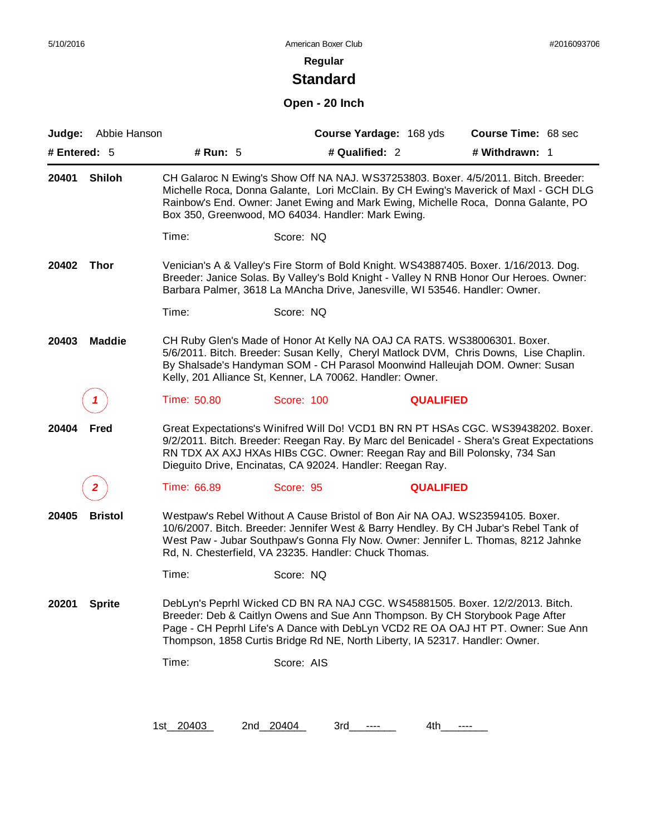# **Standard**

### **Open - 20 Inch**

| Judge:       | Abbie Hanson   |             | Course Yardage: 168 yds                                                                                                                                                                                                                                                                                                            |                  | Course Time: 68 sec |  |
|--------------|----------------|-------------|------------------------------------------------------------------------------------------------------------------------------------------------------------------------------------------------------------------------------------------------------------------------------------------------------------------------------------|------------------|---------------------|--|
| # Entered: 5 |                | # Run: 5    | # Qualified: 2                                                                                                                                                                                                                                                                                                                     |                  | # Withdrawn: 1      |  |
| 20401        | <b>Shiloh</b>  |             | CH Galaroc N Ewing's Show Off NA NAJ. WS37253803. Boxer. 4/5/2011. Bitch. Breeder:<br>Michelle Roca, Donna Galante, Lori McClain. By CH Ewing's Maverick of Maxl - GCH DLG<br>Rainbow's End. Owner: Janet Ewing and Mark Ewing, Michelle Roca, Donna Galante, PO<br>Box 350, Greenwood, MO 64034. Handler: Mark Ewing.             |                  |                     |  |
|              |                | Time:       | Score: NQ                                                                                                                                                                                                                                                                                                                          |                  |                     |  |
| 20402        | <b>Thor</b>    |             | Venician's A & Valley's Fire Storm of Bold Knight. WS43887405. Boxer. 1/16/2013. Dog.<br>Breeder: Janice Solas. By Valley's Bold Knight - Valley N RNB Honor Our Heroes. Owner:<br>Barbara Palmer, 3618 La MAncha Drive, Janesville, WI 53546. Handler: Owner.                                                                     |                  |                     |  |
|              |                | Time:       | Score: NQ                                                                                                                                                                                                                                                                                                                          |                  |                     |  |
| 20403        | <b>Maddie</b>  |             | CH Ruby Glen's Made of Honor At Kelly NA OAJ CA RATS. WS38006301. Boxer.<br>5/6/2011. Bitch. Breeder: Susan Kelly, Cheryl Matlock DVM, Chris Downs, Lise Chaplin.<br>By Shalsade's Handyman SOM - CH Parasol Moonwind Halleujah DOM. Owner: Susan<br>Kelly, 201 Alliance St, Kenner, LA 70062. Handler: Owner.                     |                  |                     |  |
|              | 1              | Time: 50.80 | Score: 100                                                                                                                                                                                                                                                                                                                         | <b>QUALIFIED</b> |                     |  |
| 20404        | Fred           |             | Great Expectations's Winifred Will Do! VCD1 BN RN PT HSAs CGC. WS39438202. Boxer.<br>9/2/2011. Bitch. Breeder: Reegan Ray. By Marc del Benicadel - Shera's Great Expectations<br>RN TDX AX AXJ HXAs HIBs CGC. Owner: Reegan Ray and Bill Polonsky, 734 San<br>Dieguito Drive, Encinatas, CA 92024. Handler: Reegan Ray.            |                  |                     |  |
|              |                | Time: 66.89 | Score: 95                                                                                                                                                                                                                                                                                                                          | <b>QUALIFIED</b> |                     |  |
| 20405        | <b>Bristol</b> |             | Westpaw's Rebel Without A Cause Bristol of Bon Air NA OAJ. WS23594105. Boxer.<br>10/6/2007. Bitch. Breeder: Jennifer West & Barry Hendley. By CH Jubar's Rebel Tank of<br>West Paw - Jubar Southpaw's Gonna Fly Now. Owner: Jennifer L. Thomas, 8212 Jahnke<br>Rd, N. Chesterfield, VA 23235. Handler: Chuck Thomas.               |                  |                     |  |
|              |                | Time:       | Score: NQ                                                                                                                                                                                                                                                                                                                          |                  |                     |  |
| 20201        | <b>Sprite</b>  |             | DebLyn's Peprhl Wicked CD BN RA NAJ CGC. WS45881505. Boxer. 12/2/2013. Bitch.<br>Breeder: Deb & Caitlyn Owens and Sue Ann Thompson. By CH Storybook Page After<br>Page - CH Peprhl Life's A Dance with DebLyn VCD2 RE OA OAJ HT PT. Owner: Sue Ann<br>Thompson, 1858 Curtis Bridge Rd NE, North Liberty, IA 52317. Handler: Owner. |                  |                     |  |
|              |                | Time:       | Score: AIS                                                                                                                                                                                                                                                                                                                         |                  |                     |  |
|              |                |             |                                                                                                                                                                                                                                                                                                                                    |                  |                     |  |
|              |                | 1st 20403   | 2nd 20404<br>3rd                                                                                                                                                                                                                                                                                                                   | 4th              |                     |  |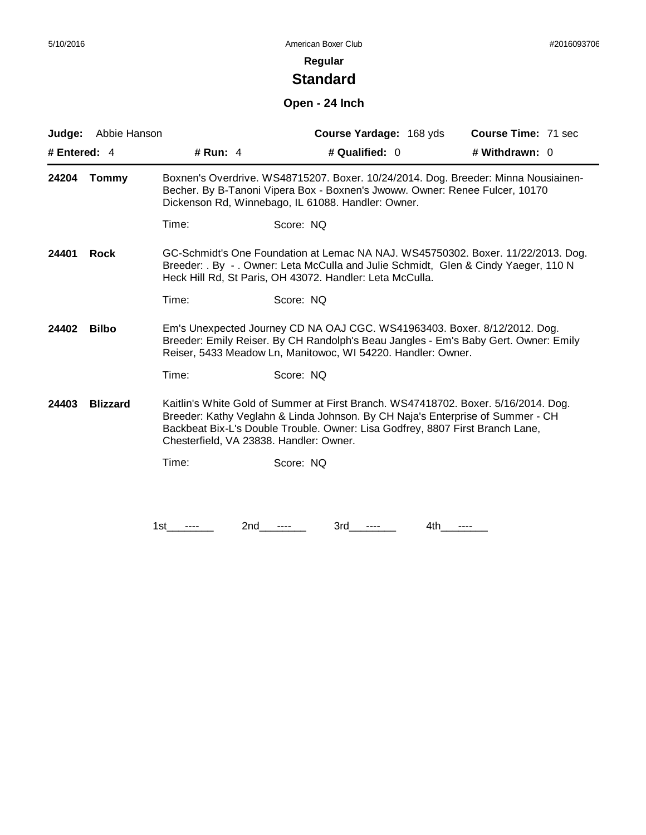# **Standard**

### **Open - 24 Inch**

|                | Judge: Abbie Hanson |                                         | Course Yardage: 168 yds                                                                                                                                                                                                                               | <b>Course Time: 71 sec</b> |
|----------------|---------------------|-----------------------------------------|-------------------------------------------------------------------------------------------------------------------------------------------------------------------------------------------------------------------------------------------------------|----------------------------|
| # Entered: $4$ |                     | # Run: $4$                              | # Qualified: 0                                                                                                                                                                                                                                        | # Withdrawn: 0             |
| 24204          | Tommy               |                                         | Boxnen's Overdrive. WS48715207. Boxer. 10/24/2014. Dog. Breeder: Minna Nousiainen-<br>Becher. By B-Tanoni Vipera Box - Boxnen's Jwoww. Owner: Renee Fulcer, 10170<br>Dickenson Rd, Winnebago, IL 61088. Handler: Owner.                               |                            |
|                |                     | Time:                                   | Score: NQ                                                                                                                                                                                                                                             |                            |
| 24401          | <b>Rock</b>         |                                         | GC-Schmidt's One Foundation at Lemac NA NAJ. WS45750302. Boxer. 11/22/2013. Dog.<br>Breeder: . By - . Owner: Leta McCulla and Julie Schmidt, Glen & Cindy Yaeger, 110 N<br>Heck Hill Rd, St Paris, OH 43072. Handler: Leta McCulla.                   |                            |
|                |                     | Time:                                   | Score: NQ                                                                                                                                                                                                                                             |                            |
| 24402          | <b>Bilbo</b>        |                                         | Em's Unexpected Journey CD NA OAJ CGC. WS41963403. Boxer. 8/12/2012. Dog.<br>Breeder: Emily Reiser. By CH Randolph's Beau Jangles - Em's Baby Gert. Owner: Emily<br>Reiser, 5433 Meadow Ln, Manitowoc, WI 54220. Handler: Owner.                      |                            |
|                |                     | Time:                                   | Score: NQ                                                                                                                                                                                                                                             |                            |
| 24403          | <b>Blizzard</b>     | Chesterfield, VA 23838. Handler: Owner. | Kaitlin's White Gold of Summer at First Branch. WS47418702. Boxer. 5/16/2014. Dog.<br>Breeder: Kathy Veglahn & Linda Johnson. By CH Naja's Enterprise of Summer - CH<br>Backbeat Bix-L's Double Trouble. Owner: Lisa Godfrey, 8807 First Branch Lane, |                            |
|                |                     | Time:                                   | Score: NQ                                                                                                                                                                                                                                             |                            |
|                |                     |                                         |                                                                                                                                                                                                                                                       |                            |
|                |                     | 1st<br>2nd                              | 3rd<br>4th                                                                                                                                                                                                                                            |                            |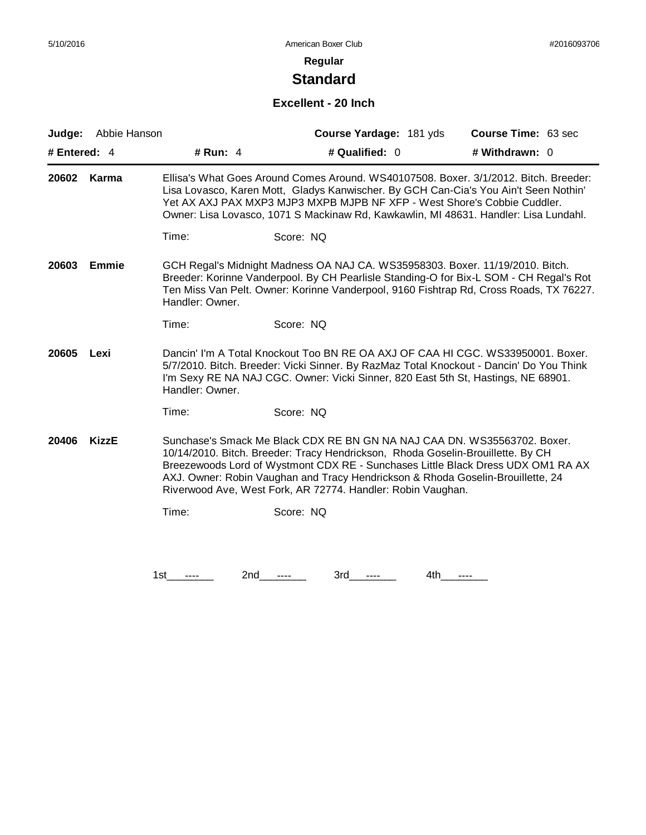# **Standard**

### **Excellent - 20 Inch**

| Judge:         | Abbie Hanson |                                                                                                                                                                                                                                                                                                                                                                                                   |           | Course Yardage: 181 yds |              | Course Time: 63 sec |  |
|----------------|--------------|---------------------------------------------------------------------------------------------------------------------------------------------------------------------------------------------------------------------------------------------------------------------------------------------------------------------------------------------------------------------------------------------------|-----------|-------------------------|--------------|---------------------|--|
| # Entered: $4$ |              | # Run: 4                                                                                                                                                                                                                                                                                                                                                                                          |           | # Qualified: 0          |              | # Withdrawn: 0      |  |
| 20602          | Karma        | Ellisa's What Goes Around Comes Around, WS40107508, Boxer, 3/1/2012, Bitch, Breeder:<br>Lisa Lovasco, Karen Mott, Gladys Kanwischer. By GCH Can-Cia's You Ain't Seen Nothin'<br>Yet AX AXJ PAX MXP3 MJP3 MXPB MJPB NF XFP - West Shore's Cobbie Cuddler.<br>Owner: Lisa Lovasco, 1071 S Mackinaw Rd, Kawkawlin, MI 48631. Handler: Lisa Lundahl.                                                  |           |                         |              |                     |  |
|                |              | Time:                                                                                                                                                                                                                                                                                                                                                                                             | Score: NQ |                         |              |                     |  |
| 20603          | <b>Emmie</b> | GCH Regal's Midnight Madness OA NAJ CA. WS35958303. Boxer. 11/19/2010. Bitch.<br>Breeder: Korinne Vanderpool. By CH Pearlisle Standing-O for Bix-L SOM - CH Regal's Rot<br>Ten Miss Van Pelt. Owner: Korinne Vanderpool, 9160 Fishtrap Rd, Cross Roads, TX 76227.<br>Handler: Owner.                                                                                                              |           |                         |              |                     |  |
|                |              | Time:                                                                                                                                                                                                                                                                                                                                                                                             | Score: NQ |                         |              |                     |  |
| 20605          | Lexi         | Dancin' I'm A Total Knockout Too BN RE OA AXJ OF CAA HI CGC. WS33950001. Boxer.<br>5/7/2010. Bitch. Breeder: Vicki Sinner. By RazMaz Total Knockout - Dancin' Do You Think<br>I'm Sexy RE NA NAJ CGC. Owner: Vicki Sinner, 820 East 5th St, Hastings, NE 68901.<br>Handler: Owner.                                                                                                                |           |                         |              |                     |  |
|                |              | Time:                                                                                                                                                                                                                                                                                                                                                                                             | Score: NQ |                         |              |                     |  |
| 20406          | <b>KizzE</b> | Sunchase's Smack Me Black CDX RE BN GN NA NAJ CAA DN. WS35563702. Boxer.<br>10/14/2010. Bitch. Breeder: Tracy Hendrickson, Rhoda Goselin-Brouillette. By CH<br>Breezewoods Lord of Wystmont CDX RE - Sunchases Little Black Dress UDX OM1 RA AX<br>AXJ. Owner: Robin Vaughan and Tracy Hendrickson & Rhoda Goselin-Brouillette, 24<br>Riverwood Ave, West Fork, AR 72774. Handler: Robin Vaughan. |           |                         |              |                     |  |
|                |              | Time:                                                                                                                                                                                                                                                                                                                                                                                             | Score: NQ |                         |              |                     |  |
|                |              |                                                                                                                                                                                                                                                                                                                                                                                                   |           |                         |              |                     |  |
|                |              | 1st<br>2nd                                                                                                                                                                                                                                                                                                                                                                                        | ----      | 3rd<br>----             | 4th<br>$---$ |                     |  |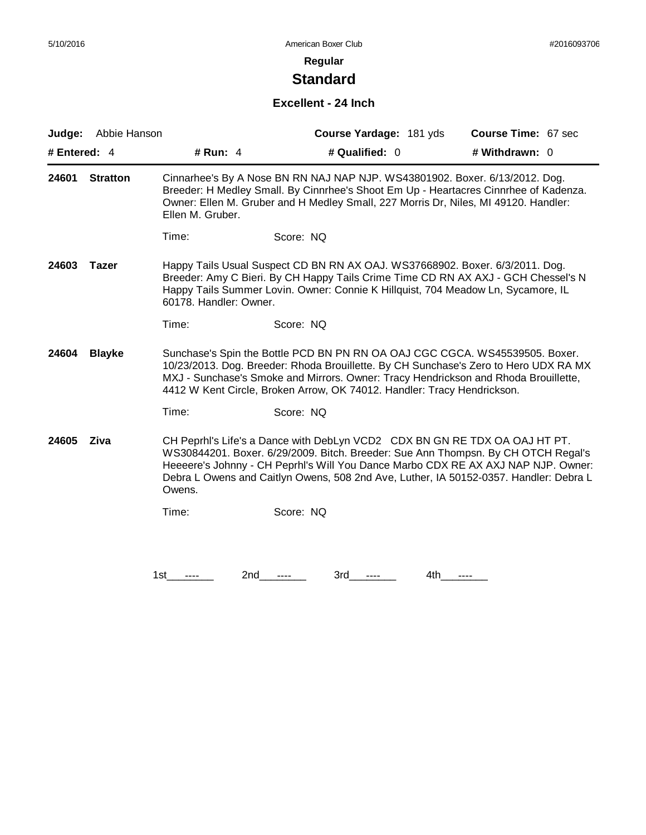# **Standard**

### **Excellent - 24 Inch**

| Judge:       | Abbie Hanson    |                        |           | Course Yardage: 181 yds                                                                                                                                            | Course Time: 67 sec                                                                                                                                                                                                                                             |
|--------------|-----------------|------------------------|-----------|--------------------------------------------------------------------------------------------------------------------------------------------------------------------|-----------------------------------------------------------------------------------------------------------------------------------------------------------------------------------------------------------------------------------------------------------------|
| # Entered: 4 |                 | # Run: $4$             |           | # Qualified: 0                                                                                                                                                     | # Withdrawn: 0                                                                                                                                                                                                                                                  |
| 24601        | <b>Stratton</b> | Ellen M. Gruber.       |           | Cinnarhee's By A Nose BN RN NAJ NAP NJP. WS43801902. Boxer. 6/13/2012. Dog.<br>Owner: Ellen M. Gruber and H Medley Small, 227 Morris Dr, Niles, MI 49120. Handler: | Breeder: H Medley Small. By Cinnrhee's Shoot Em Up - Heartacres Cinnrhee of Kadenza.                                                                                                                                                                            |
|              |                 | Time:                  | Score: NQ |                                                                                                                                                                    |                                                                                                                                                                                                                                                                 |
| 24603        | <b>Tazer</b>    | 60178. Handler: Owner. |           | Happy Tails Usual Suspect CD BN RN AX OAJ. WS37668902. Boxer. 6/3/2011. Dog.<br>Happy Tails Summer Lovin. Owner: Connie K Hillquist, 704 Meadow Ln, Sycamore, IL   | Breeder: Amy C Bieri. By CH Happy Tails Crime Time CD RN AX AXJ - GCH Chessel's N                                                                                                                                                                               |
|              |                 | Time:                  | Score: NQ |                                                                                                                                                                    |                                                                                                                                                                                                                                                                 |
| 24604        | <b>Blayke</b>   |                        |           | 4412 W Kent Circle, Broken Arrow, OK 74012. Handler: Tracy Hendrickson.                                                                                            | Sunchase's Spin the Bottle PCD BN PN RN OA OAJ CGC CGCA. WS45539505. Boxer.<br>10/23/2013. Dog. Breeder: Rhoda Brouillette. By CH Sunchase's Zero to Hero UDX RA MX<br>MXJ - Sunchase's Smoke and Mirrors. Owner: Tracy Hendrickson and Rhoda Brouillette,      |
|              |                 | Time:                  | Score: NQ |                                                                                                                                                                    |                                                                                                                                                                                                                                                                 |
| 24605        | Ziva            | Owens.                 |           | CH Peprhl's Life's a Dance with DebLyn VCD2 CDX BN GN RE TDX OA OAJ HT PT.                                                                                         | WS30844201. Boxer. 6/29/2009. Bitch. Breeder: Sue Ann Thompsn. By CH OTCH Regal's<br>Heeeere's Johnny - CH Peprhl's Will You Dance Marbo CDX RE AX AXJ NAP NJP. Owner:<br>Debra L Owens and Caitlyn Owens, 508 2nd Ave, Luther, IA 50152-0357. Handler: Debra L |
|              |                 | Time:                  | Score: NQ |                                                                                                                                                                    |                                                                                                                                                                                                                                                                 |
|              |                 |                        |           |                                                                                                                                                                    |                                                                                                                                                                                                                                                                 |
|              |                 | 2nd<br>1st             | 3rd       | 4th                                                                                                                                                                |                                                                                                                                                                                                                                                                 |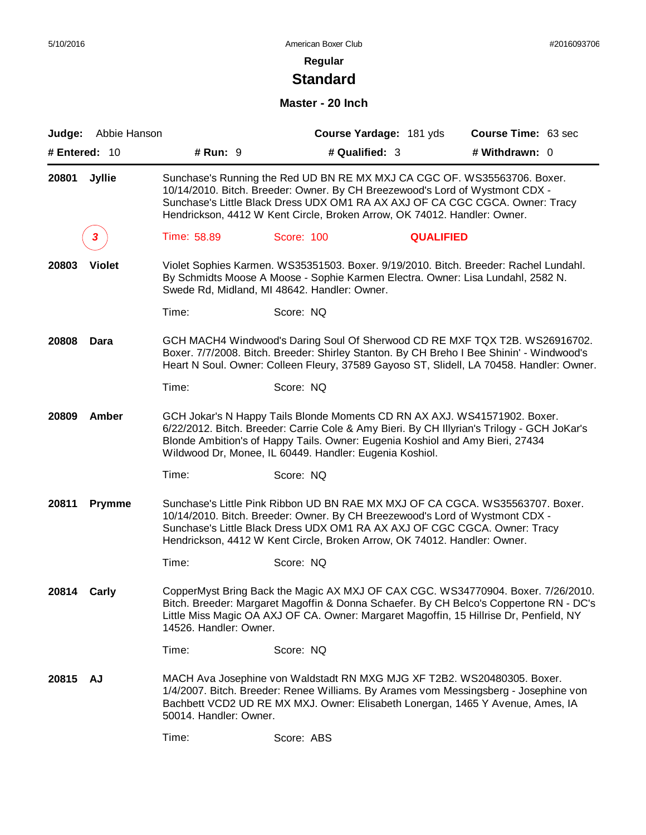# **Standard**

#### **Master - 20 Inch**

| Judge:   | Abbie Hanson    |                        | Course Yardage: 181 yds                                                                                                                                                                                                                                                                                                |                  | Course Time: 63 sec |  |
|----------|-----------------|------------------------|------------------------------------------------------------------------------------------------------------------------------------------------------------------------------------------------------------------------------------------------------------------------------------------------------------------------|------------------|---------------------|--|
|          | # Entered: $10$ | # Run: 9               | # Qualified: 3                                                                                                                                                                                                                                                                                                         |                  | # Withdrawn: 0      |  |
| 20801    | <b>Jyllie</b>   |                        | Sunchase's Running the Red UD BN RE MX MXJ CA CGC OF. WS35563706. Boxer.<br>10/14/2010. Bitch. Breeder: Owner. By CH Breezewood's Lord of Wystmont CDX -<br>Sunchase's Little Black Dress UDX OM1 RA AX AXJ OF CA CGC CGCA. Owner: Tracy<br>Hendrickson, 4412 W Kent Circle, Broken Arrow, OK 74012. Handler: Owner.   |                  |                     |  |
|          | 3               | Time: 58.89            | Score: 100                                                                                                                                                                                                                                                                                                             | <b>QUALIFIED</b> |                     |  |
| 20803    | <b>Violet</b>   |                        | Violet Sophies Karmen. WS35351503. Boxer. 9/19/2010. Bitch. Breeder: Rachel Lundahl.<br>By Schmidts Moose A Moose - Sophie Karmen Electra. Owner: Lisa Lundahl, 2582 N.<br>Swede Rd, Midland, MI 48642. Handler: Owner.                                                                                                |                  |                     |  |
|          |                 | Time:                  | Score: NQ                                                                                                                                                                                                                                                                                                              |                  |                     |  |
| 20808    | Dara            |                        | GCH MACH4 Windwood's Daring Soul Of Sherwood CD RE MXF TQX T2B. WS26916702.<br>Boxer. 7/7/2008. Bitch. Breeder: Shirley Stanton. By CH Breho I Bee Shinin' - Windwood's<br>Heart N Soul. Owner: Colleen Fleury, 37589 Gayoso ST, Slidell, LA 70458. Handler: Owner.                                                    |                  |                     |  |
|          |                 | Time:                  | Score: NQ                                                                                                                                                                                                                                                                                                              |                  |                     |  |
| 20809    | Amber           |                        | GCH Jokar's N Happy Tails Blonde Moments CD RN AX AXJ. WS41571902. Boxer.<br>6/22/2012. Bitch. Breeder: Carrie Cole & Amy Bieri. By CH Illyrian's Trilogy - GCH JoKar's<br>Blonde Ambition's of Happy Tails. Owner: Eugenia Koshiol and Amy Bieri, 27434<br>Wildwood Dr, Monee, IL 60449. Handler: Eugenia Koshiol.    |                  |                     |  |
|          |                 | Time:                  | Score: NQ                                                                                                                                                                                                                                                                                                              |                  |                     |  |
| 20811    | <b>Prymme</b>   |                        | Sunchase's Little Pink Ribbon UD BN RAE MX MXJ OF CA CGCA. WS35563707. Boxer.<br>10/14/2010. Bitch. Breeder: Owner. By CH Breezewood's Lord of Wystmont CDX -<br>Sunchase's Little Black Dress UDX OM1 RA AX AXJ OF CGC CGCA. Owner: Tracy<br>Hendrickson, 4412 W Kent Circle, Broken Arrow, OK 74012. Handler: Owner. |                  |                     |  |
|          |                 | Time:                  | Score: NQ                                                                                                                                                                                                                                                                                                              |                  |                     |  |
| 20814    | Carly           | 14526. Handler: Owner. | CopperMyst Bring Back the Magic AX MXJ OF CAX CGC. WS34770904. Boxer. 7/26/2010.<br>Bitch. Breeder: Margaret Magoffin & Donna Schaefer. By CH Belco's Coppertone RN - DC's<br>Little Miss Magic OA AXJ OF CA. Owner: Margaret Magoffin, 15 Hillrise Dr, Penfield, NY                                                   |                  |                     |  |
|          |                 | Time:                  | Score: NQ                                                                                                                                                                                                                                                                                                              |                  |                     |  |
| 20815 AJ |                 | 50014. Handler: Owner. | MACH Ava Josephine von Waldstadt RN MXG MJG XF T2B2. WS20480305. Boxer.<br>1/4/2007. Bitch. Breeder: Renee Williams. By Arames vom Messingsberg - Josephine von<br>Bachbett VCD2 UD RE MX MXJ. Owner: Elisabeth Lonergan, 1465 Y Avenue, Ames, IA                                                                      |                  |                     |  |
|          |                 | Time:                  | Score: ABS                                                                                                                                                                                                                                                                                                             |                  |                     |  |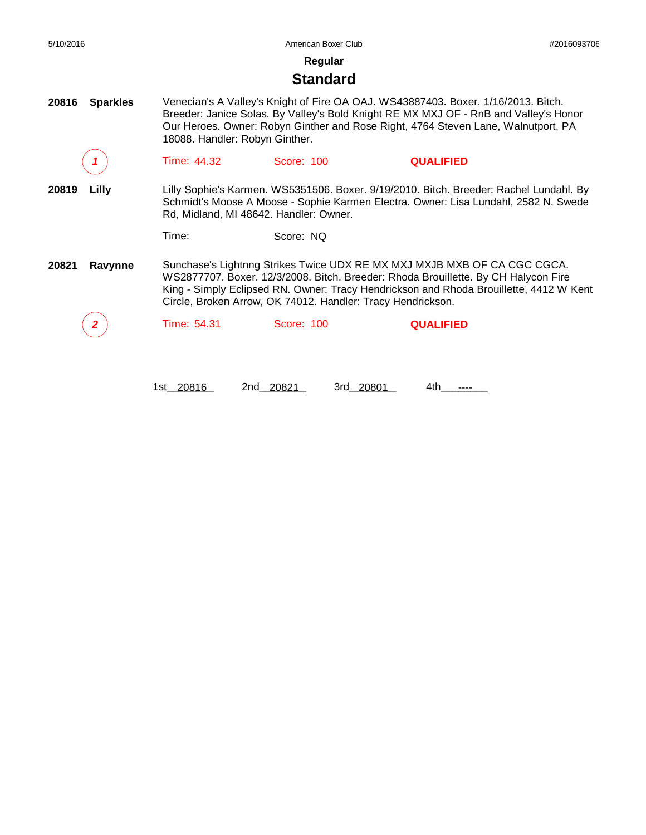#### **Regular**

#### **Standard**

**20816 Sparkles** Venecian's A Valley's Knight of Fire OA OAJ. WS43887403. Boxer. 1/16/2013. Bitch. Breeder: Janice Solas. By Valley's Bold Knight RE MX MXJ OF - RnB and Valley's Honor Our Heroes. Owner: Robyn Ginther and Rose Right, 4764 Steven Lane, Walnutport, PA 18088. Handler: Robyn Ginther.

*1* Time: 44.32 Score: 100 **QUALIFIED**

**20819 Lilly** Lilly Sophie's Karmen. WS5351506. Boxer. 9/19/2010. Bitch. Breeder: Rachel Lundahl. By Schmidt's Moose A Moose - Sophie Karmen Electra. Owner: Lisa Lundahl, 2582 N. Swede Rd, Midland, MI 48642. Handler: Owner.

Time: Score: NQ

**20821 Ravynne** Sunchase's Lightnng Strikes Twice UDX RE MX MXJ MXJB MXB OF CA CGC CGCA. WS2877707. Boxer. 12/3/2008. Bitch. Breeder: Rhoda Brouillette. By CH Halycon Fire King - Simply Eclipsed RN. Owner: Tracy Hendrickson and Rhoda Brouillette, 4412 W Kent Circle, Broken Arrow, OK 74012. Handler: Tracy Hendrickson.

*2* Time: 54.31 Score: 100 **QUALIFIED**

1st 20816 2nd 20821 3rd 20801 4th ----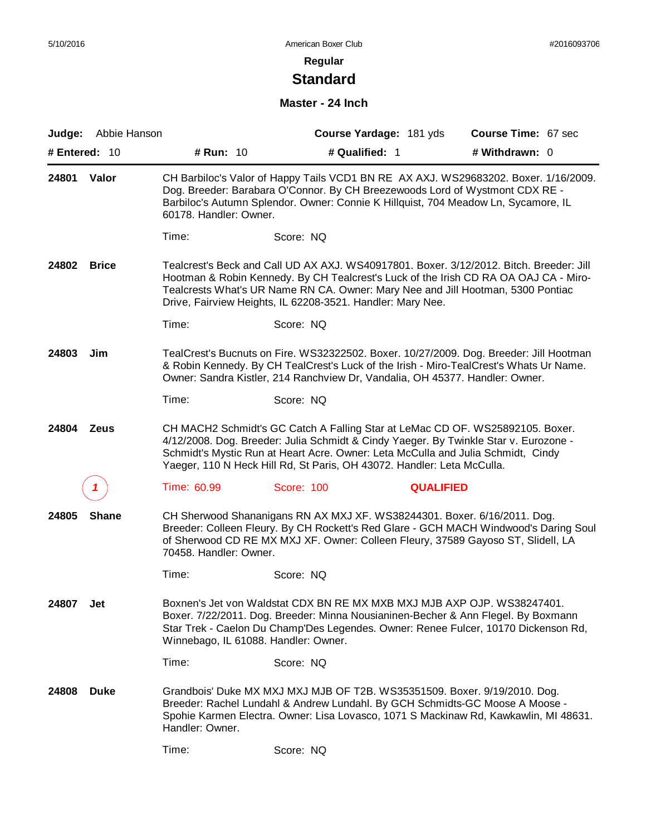# **Standard**

#### **Master - 24 Inch**

| Judge: | Abbie Hanson    |                                      | Course Yardage: 181 yds                                                                                                                                                                                                                                                                                                             |                  | <b>Course Time: 67 sec</b> |  |
|--------|-----------------|--------------------------------------|-------------------------------------------------------------------------------------------------------------------------------------------------------------------------------------------------------------------------------------------------------------------------------------------------------------------------------------|------------------|----------------------------|--|
|        | # Entered: $10$ | # Run: 10                            | # Qualified: 1                                                                                                                                                                                                                                                                                                                      |                  | # Withdrawn: 0             |  |
| 24801  | Valor           | 60178. Handler: Owner.               | CH Barbiloc's Valor of Happy Tails VCD1 BN RE AX AXJ. WS29683202. Boxer. 1/16/2009.<br>Dog. Breeder: Barabara O'Connor. By CH Breezewoods Lord of Wystmont CDX RE -<br>Barbiloc's Autumn Splendor. Owner: Connie K Hillquist, 704 Meadow Ln, Sycamore, IL                                                                           |                  |                            |  |
|        |                 | Time:                                | Score: NQ                                                                                                                                                                                                                                                                                                                           |                  |                            |  |
| 24802  | <b>Brice</b>    |                                      | Tealcrest's Beck and Call UD AX AXJ. WS40917801. Boxer. 3/12/2012. Bitch. Breeder: Jill<br>Hootman & Robin Kennedy. By CH Tealcrest's Luck of the Irish CD RA OA OAJ CA - Miro-<br>Tealcrests What's UR Name RN CA. Owner: Mary Nee and Jill Hootman, 5300 Pontiac<br>Drive, Fairview Heights, IL 62208-3521. Handler: Mary Nee.    |                  |                            |  |
|        |                 | Time:                                | Score: NQ                                                                                                                                                                                                                                                                                                                           |                  |                            |  |
| 24803  | Jim             |                                      | TealCrest's Bucnuts on Fire. WS32322502. Boxer. 10/27/2009. Dog. Breeder: Jill Hootman<br>& Robin Kennedy. By CH TealCrest's Luck of the Irish - Miro-TealCrest's Whats Ur Name.<br>Owner: Sandra Kistler, 214 Ranchview Dr, Vandalia, OH 45377. Handler: Owner.                                                                    |                  |                            |  |
|        |                 | Time:                                | Score: NQ                                                                                                                                                                                                                                                                                                                           |                  |                            |  |
| 24804  | <b>Zeus</b>     |                                      | CH MACH2 Schmidt's GC Catch A Falling Star at LeMac CD OF. WS25892105. Boxer.<br>4/12/2008. Dog. Breeder: Julia Schmidt & Cindy Yaeger. By Twinkle Star v. Eurozone -<br>Schmidt's Mystic Run at Heart Acre. Owner: Leta McCulla and Julia Schmidt, Cindy<br>Yaeger, 110 N Heck Hill Rd, St Paris, OH 43072. Handler: Leta McCulla. |                  |                            |  |
|        |                 | Time: 60.99                          | Score: 100                                                                                                                                                                                                                                                                                                                          | <b>QUALIFIED</b> |                            |  |
| 24805  | <b>Shane</b>    | 70458. Handler: Owner.               | CH Sherwood Shananigans RN AX MXJ XF. WS38244301. Boxer. 6/16/2011. Dog.<br>Breeder: Colleen Fleury. By CH Rockett's Red Glare - GCH MACH Windwood's Daring Soul<br>of Sherwood CD RE MX MXJ XF. Owner: Colleen Fleury, 37589 Gayoso ST, Slidell, LA                                                                                |                  |                            |  |
|        |                 | Time:                                | Score: NQ                                                                                                                                                                                                                                                                                                                           |                  |                            |  |
| 24807  | Jet             | Winnebago, IL 61088. Handler: Owner. | Boxnen's Jet von Waldstat CDX BN RE MX MXB MXJ MJB AXP OJP. WS38247401.<br>Boxer. 7/22/2011. Dog. Breeder: Minna Nousianinen-Becher & Ann Flegel. By Boxmann<br>Star Trek - Caelon Du Champ'Des Legendes. Owner: Renee Fulcer, 10170 Dickenson Rd,                                                                                  |                  |                            |  |
|        |                 | Time:                                | Score: NQ                                                                                                                                                                                                                                                                                                                           |                  |                            |  |
| 24808  | <b>Duke</b>     | Handler: Owner.                      | Grandbois' Duke MX MXJ MXJ MJB OF T2B. WS35351509. Boxer. 9/19/2010. Dog.<br>Breeder: Rachel Lundahl & Andrew Lundahl. By GCH Schmidts-GC Moose A Moose -<br>Spohie Karmen Electra. Owner: Lisa Lovasco, 1071 S Mackinaw Rd, Kawkawlin, MI 48631.                                                                                   |                  |                            |  |
|        |                 | Time:                                | Score: NQ                                                                                                                                                                                                                                                                                                                           |                  |                            |  |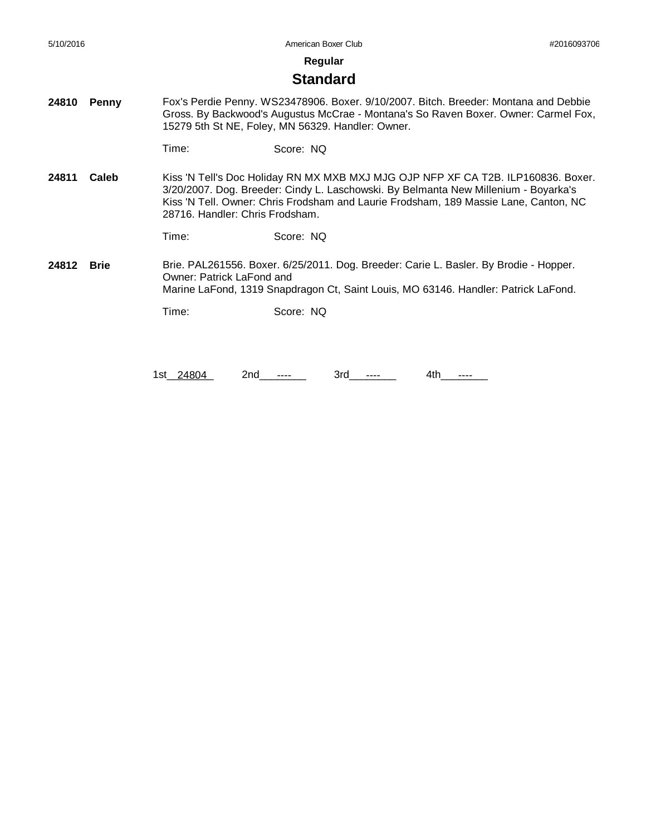#### **Standard**

**24810 Penny** Fox's Perdie Penny. WS23478906. Boxer. 9/10/2007. Bitch. Breeder: Montana and Debbie Gross. By Backwood's Augustus McCrae - Montana's So Raven Boxer. Owner: Carmel Fox, 15279 5th St NE, Foley, MN 56329. Handler: Owner.

Time: Score: NQ

**24811 Caleb** Kiss 'N Tell's Doc Holiday RN MX MXB MXJ MJG OJP NFP XF CA T2B. ILP160836. Boxer. 3/20/2007. Dog. Breeder: Cindy L. Laschowski. By Belmanta New Millenium - Boyarka's Kiss 'N Tell. Owner: Chris Frodsham and Laurie Frodsham, 189 Massie Lane, Canton, NC 28716. Handler: Chris Frodsham.

Time: Score: NQ

**24812 Brie** Brie. PAL261556. Boxer. 6/25/2011. Dog. Breeder: Carie L. Basler. By Brodie - Hopper. Owner: Patrick LaFond and Marine LaFond, 1319 Snapdragon Ct, Saint Louis, MO 63146. Handler: Patrick LaFond.

Time: Score: NQ

1st 24804 2nd ---- 3rd ---- 4th ----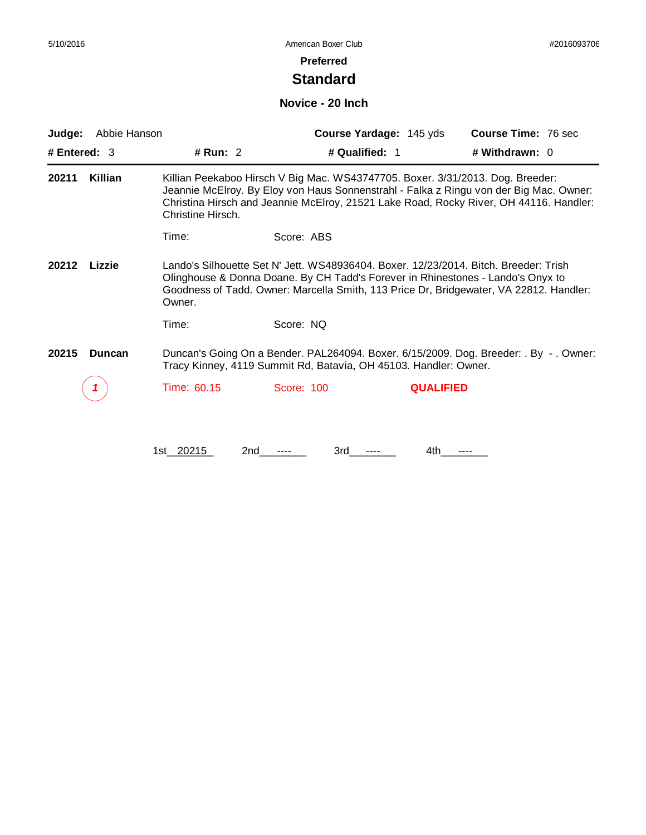# **Standard**

#### **Novice - 20 Inch**

| Abbie Hanson<br>Judge: |                   |                                                                                | Course Yardage: 145 yds | <b>Course Time: 76 sec</b>                                                                                                                                                                                                                                        |
|------------------------|-------------------|--------------------------------------------------------------------------------|-------------------------|-------------------------------------------------------------------------------------------------------------------------------------------------------------------------------------------------------------------------------------------------------------------|
| # Entered: $3$         | # Run: 2          | # Qualified: 1                                                                 |                         | # Withdrawn: 0                                                                                                                                                                                                                                                    |
| Killian<br>20211       | Christine Hirsch. | Killian Peekaboo Hirsch V Big Mac. WS43747705. Boxer. 3/31/2013. Dog. Breeder: |                         | Jeannie McElroy. By Eloy von Haus Sonnenstrahl - Falka z Ringu von der Big Mac. Owner:<br>Christina Hirsch and Jeannie McElroy, 21521 Lake Road, Rocky River, OH 44116. Handler:                                                                                  |
|                        | Time:             | Score: ABS                                                                     |                         |                                                                                                                                                                                                                                                                   |
| 20212<br>Lizzie        | Owner.            |                                                                                |                         | Lando's Silhouette Set N' Jett. WS48936404. Boxer. 12/23/2014. Bitch. Breeder: Trish<br>Olinghouse & Donna Doane. By CH Tadd's Forever in Rhinestones - Lando's Onyx to<br>Goodness of Tadd. Owner: Marcella Smith, 113 Price Dr, Bridgewater, VA 22812. Handler: |
|                        | Time:             | Score: NQ                                                                      |                         |                                                                                                                                                                                                                                                                   |
| 20215<br><b>Duncan</b> |                   | Tracy Kinney, 4119 Summit Rd, Batavia, OH 45103. Handler: Owner.               |                         | Duncan's Going On a Bender. PAL264094. Boxer. 6/15/2009. Dog. Breeder: . By -. Owner:                                                                                                                                                                             |
|                        | Time: 60.15       | <b>Score: 100</b>                                                              | <b>QUALIFIED</b>        |                                                                                                                                                                                                                                                                   |
|                        |                   |                                                                                |                         |                                                                                                                                                                                                                                                                   |
|                        | 1st 20215<br>2nd  | 3rd                                                                            | 4th                     |                                                                                                                                                                                                                                                                   |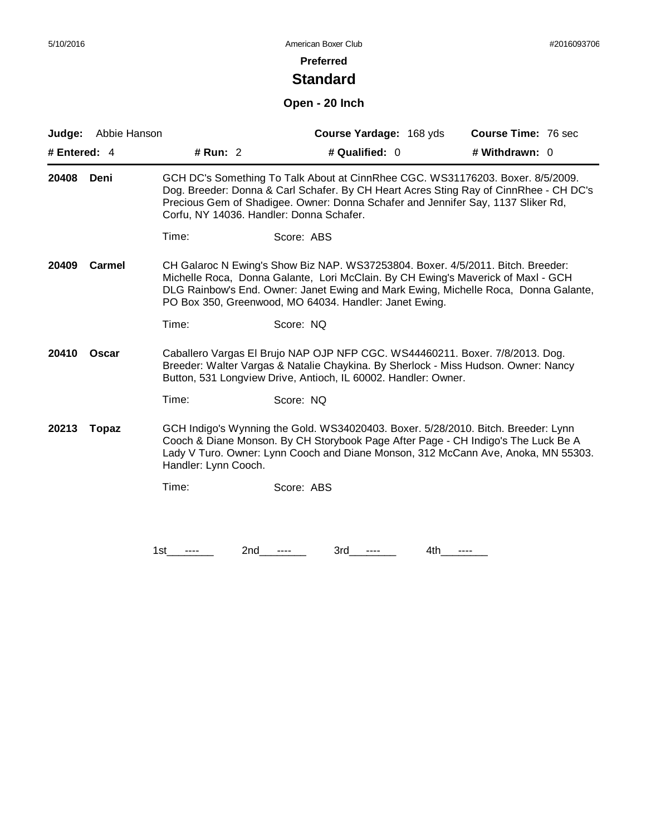### **Standard**

### **Open - 20 Inch**

| Judge:         | Abbie Hanson  |                                          | Course Yardage: 168 yds                                                                                                                                                                                                                                                                                              | Course Time: 76 sec |
|----------------|---------------|------------------------------------------|----------------------------------------------------------------------------------------------------------------------------------------------------------------------------------------------------------------------------------------------------------------------------------------------------------------------|---------------------|
| # Entered: $4$ |               | # Run: 2                                 | # Qualified: 0                                                                                                                                                                                                                                                                                                       | # Withdrawn: 0      |
| 20408          | Deni          | Corfu, NY 14036. Handler: Donna Schafer. | GCH DC's Something To Talk About at CinnRhee CGC. WS31176203. Boxer. 8/5/2009.<br>Dog. Breeder: Donna & Carl Schafer. By CH Heart Acres Sting Ray of CinnRhee - CH DC's<br>Precious Gem of Shadigee. Owner: Donna Schafer and Jennifer Say, 1137 Sliker Rd,                                                          |                     |
|                |               | Time:                                    | Score: ABS                                                                                                                                                                                                                                                                                                           |                     |
| 20409          | <b>Carmel</b> |                                          | CH Galaroc N Ewing's Show Biz NAP. WS37253804. Boxer. 4/5/2011. Bitch. Breeder:<br>Michelle Roca, Donna Galante, Lori McClain. By CH Ewing's Maverick of Maxl - GCH<br>DLG Rainbow's End. Owner: Janet Ewing and Mark Ewing, Michelle Roca, Donna Galante,<br>PO Box 350, Greenwood, MO 64034. Handler: Janet Ewing. |                     |
|                |               | Time:                                    | Score: NQ                                                                                                                                                                                                                                                                                                            |                     |
| 20410          | <b>Oscar</b>  |                                          | Caballero Vargas El Brujo NAP OJP NFP CGC. WS44460211. Boxer. 7/8/2013. Dog.<br>Breeder: Walter Vargas & Natalie Chaykina. By Sherlock - Miss Hudson. Owner: Nancy<br>Button, 531 Longview Drive, Antioch, IL 60002. Handler: Owner.                                                                                 |                     |
|                |               | Time:                                    | Score: NQ                                                                                                                                                                                                                                                                                                            |                     |
| 20213          | <b>Topaz</b>  | Handler: Lynn Cooch.                     | GCH Indigo's Wynning the Gold. WS34020403. Boxer. 5/28/2010. Bitch. Breeder: Lynn<br>Cooch & Diane Monson. By CH Storybook Page After Page - CH Indigo's The Luck Be A<br>Lady V Turo. Owner: Lynn Cooch and Diane Monson, 312 McCann Ave, Anoka, MN 55303.                                                          |                     |
|                |               | Time:                                    | Score: ABS                                                                                                                                                                                                                                                                                                           |                     |
|                |               |                                          |                                                                                                                                                                                                                                                                                                                      |                     |
|                |               | 1st<br>2nd<br>----                       | 4th<br>3rd<br>----<br>----                                                                                                                                                                                                                                                                                           | ----                |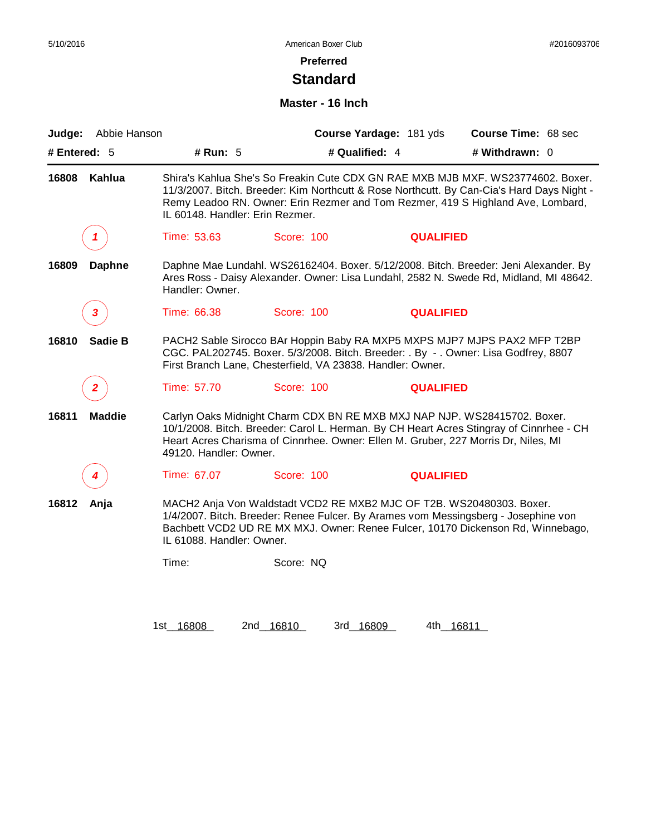### **Standard**

#### **Master - 16 Inch**

| Abbie Hanson<br>Judge:  |                                 |                                                                                                                                                                | Course Yardage: 181 yds | Course Time: 68 sec                                                                                                                                                                                                                                             |
|-------------------------|---------------------------------|----------------------------------------------------------------------------------------------------------------------------------------------------------------|-------------------------|-----------------------------------------------------------------------------------------------------------------------------------------------------------------------------------------------------------------------------------------------------------------|
| # Entered: 5            | # Run: 5                        | # Qualified: 4                                                                                                                                                 |                         | # Withdrawn: 0                                                                                                                                                                                                                                                  |
| 16808<br>Kahlua         | IL 60148. Handler: Erin Rezmer. |                                                                                                                                                                |                         | Shira's Kahlua She's So Freakin Cute CDX GN RAE MXB MJB MXF. WS23774602. Boxer.<br>11/3/2007. Bitch. Breeder: Kim Northcutt & Rose Northcutt. By Can-Cia's Hard Days Night -<br>Remy Leadoo RN. Owner: Erin Rezmer and Tom Rezmer, 419 S Highland Ave, Lombard, |
|                         | Time: 53.63                     | Score: 100                                                                                                                                                     | <b>QUALIFIED</b>        |                                                                                                                                                                                                                                                                 |
| 16809<br><b>Daphne</b>  | Handler: Owner.                 |                                                                                                                                                                |                         | Daphne Mae Lundahl. WS26162404. Boxer. 5/12/2008. Bitch. Breeder: Jeni Alexander. By<br>Ares Ross - Daisy Alexander. Owner: Lisa Lundahl, 2582 N. Swede Rd, Midland, MI 48642.                                                                                  |
| 3                       | Time: 66.38                     | Score: 100                                                                                                                                                     | <b>QUALIFIED</b>        |                                                                                                                                                                                                                                                                 |
| <b>Sadie B</b><br>16810 |                                 | First Branch Lane, Chesterfield, VA 23838. Handler: Owner.                                                                                                     |                         | PACH2 Sable Sirocco BAr Hoppin Baby RA MXP5 MXPS MJP7 MJPS PAX2 MFP T2BP<br>CGC. PAL202745. Boxer. 5/3/2008. Bitch. Breeder: . By - . Owner: Lisa Godfrey, 8807                                                                                                 |
| $\mathbf{2}$            | Time: 57.70                     | Score: 100                                                                                                                                                     | <b>QUALIFIED</b>        |                                                                                                                                                                                                                                                                 |
| 16811<br><b>Maddie</b>  | 49120. Handler: Owner.          | Carlyn Oaks Midnight Charm CDX BN RE MXB MXJ NAP NJP. WS28415702. Boxer.<br>Heart Acres Charisma of Cinnrhee. Owner: Ellen M. Gruber, 227 Morris Dr, Niles, MI |                         | 10/1/2008. Bitch. Breeder: Carol L. Herman. By CH Heart Acres Stingray of Cinnrhee - CH                                                                                                                                                                         |
| 4                       | Time: 67.07                     | Score: 100                                                                                                                                                     | <b>QUALIFIED</b>        |                                                                                                                                                                                                                                                                 |
| 16812<br>Anja           | IL 61088. Handler: Owner.       | MACH2 Anja Von Waldstadt VCD2 RE MXB2 MJC OF T2B. WS20480303. Boxer.                                                                                           |                         | 1/4/2007. Bitch. Breeder: Renee Fulcer. By Arames vom Messingsberg - Josephine von<br>Bachbett VCD2 UD RE MX MXJ. Owner: Renee Fulcer, 10170 Dickenson Rd, Winnebago,                                                                                           |
|                         | Time:                           | Score: NQ                                                                                                                                                      |                         |                                                                                                                                                                                                                                                                 |
|                         |                                 |                                                                                                                                                                |                         |                                                                                                                                                                                                                                                                 |

1st\_ 16808 2nd\_ 16810 3rd\_ 16809 4th\_ 16811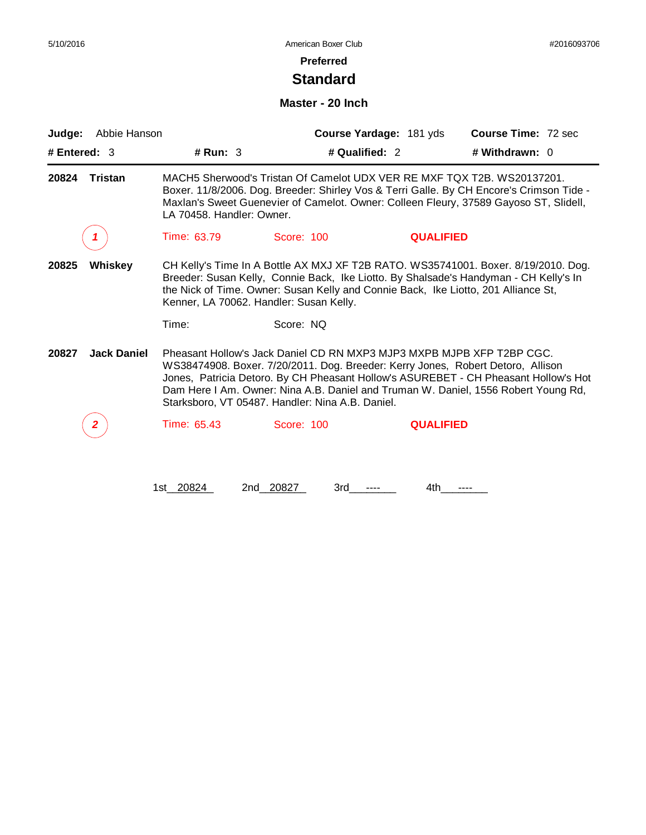### **Standard**

#### **Master - 20 Inch**

| Judge:         | Abbie Hanson       |                           |                                                                                                                                                                                                              | Course Yardage: 181 yds | Course Time: 72 sec                                                                                                                                                               |
|----------------|--------------------|---------------------------|--------------------------------------------------------------------------------------------------------------------------------------------------------------------------------------------------------------|-------------------------|-----------------------------------------------------------------------------------------------------------------------------------------------------------------------------------|
| # Entered: $3$ |                    | # $Run: 3$                | # Qualified: 2                                                                                                                                                                                               |                         | # Withdrawn: 0                                                                                                                                                                    |
| 20824          | <b>Tristan</b>     | LA 70458. Handler: Owner. | MACH5 Sherwood's Tristan Of Camelot UDX VER RE MXF TQX T2B. WS20137201.                                                                                                                                      |                         | Boxer. 11/8/2006. Dog. Breeder: Shirley Vos & Terri Galle. By CH Encore's Crimson Tide -<br>Maxlan's Sweet Guenevier of Camelot. Owner: Colleen Fleury, 37589 Gayoso ST, Slidell, |
|                |                    | Time: 63.79               | Score: 100                                                                                                                                                                                                   | <b>QUALIFIED</b>        |                                                                                                                                                                                   |
| 20825          | Whiskey            |                           | the Nick of Time. Owner: Susan Kelly and Connie Back, Ike Liotto, 201 Alliance St,<br>Kenner, LA 70062. Handler: Susan Kelly.                                                                                |                         | CH Kelly's Time In A Bottle AX MXJ XF T2B RATO. WS35741001. Boxer. 8/19/2010. Dog.<br>Breeder: Susan Kelly, Connie Back, Ike Liotto. By Shalsade's Handyman - CH Kelly's In       |
|                |                    | Time:                     | Score: NQ                                                                                                                                                                                                    |                         |                                                                                                                                                                                   |
| 20827          | <b>Jack Daniel</b> |                           | Pheasant Hollow's Jack Daniel CD RN MXP3 MJP3 MXPB MJPB XFP T2BP CGC.<br>WS38474908. Boxer. 7/20/2011. Dog. Breeder: Kerry Jones, Robert Detoro, Allison<br>Starksboro, VT 05487. Handler: Nina A.B. Daniel. |                         | Jones, Patricia Detoro. By CH Pheasant Hollow's ASUREBET - CH Pheasant Hollow's Hot<br>Dam Here I Am. Owner: Nina A.B. Daniel and Truman W. Daniel, 1556 Robert Young Rd,         |
|                |                    | Time: 65.43               | Score: 100                                                                                                                                                                                                   | <b>QUALIFIED</b>        |                                                                                                                                                                                   |
|                |                    | 1st 20824                 | 2nd 20827<br>3rd                                                                                                                                                                                             | 4th                     |                                                                                                                                                                                   |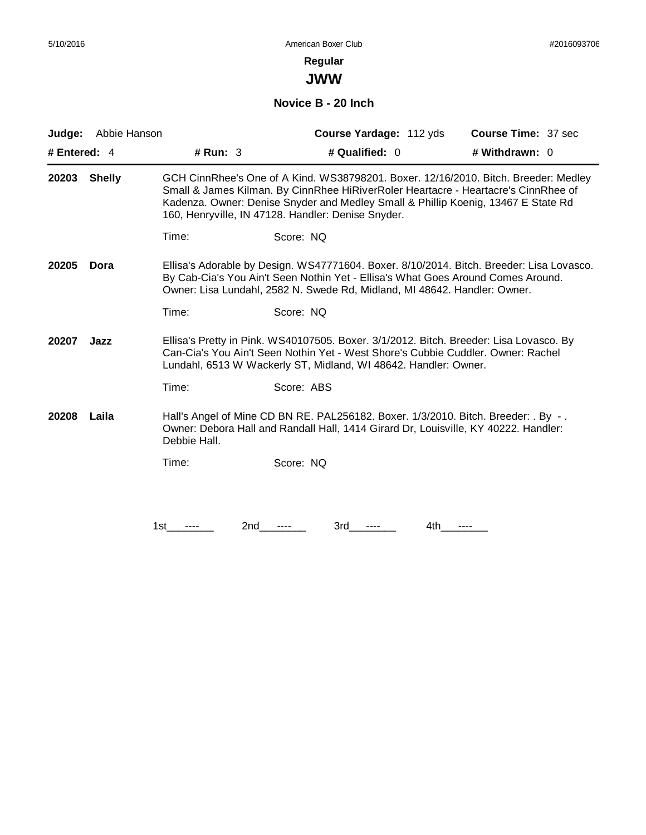**JWW**

**Novice B - 20 Inch**

|              | Judge: Abbie Hanson |                                                                                                                                                                                                                                               | Course Yardage: 112 yds                                                                                                                                                                                                       |     | <b>Course Time: 37 sec</b>                                                               |
|--------------|---------------------|-----------------------------------------------------------------------------------------------------------------------------------------------------------------------------------------------------------------------------------------------|-------------------------------------------------------------------------------------------------------------------------------------------------------------------------------------------------------------------------------|-----|------------------------------------------------------------------------------------------|
| # Entered: 4 |                     | # Run: 3                                                                                                                                                                                                                                      | # Qualified: 0                                                                                                                                                                                                                |     | # Withdrawn: 0                                                                           |
| 20203        | <b>Shelly</b>       |                                                                                                                                                                                                                                               | Small & James Kilman. By CinnRhee HiRiverRoler Heartacre - Heartacre's CinnRhee of<br>Kadenza. Owner: Denise Snyder and Medley Small & Phillip Koenig, 13467 E State Rd<br>160, Henryville, IN 47128. Handler: Denise Snyder. |     | GCH CinnRhee's One of A Kind. WS38798201. Boxer. 12/16/2010. Bitch. Breeder: Medley      |
|              |                     | Time:                                                                                                                                                                                                                                         | Score: NQ                                                                                                                                                                                                                     |     |                                                                                          |
| 20205        | Dora                |                                                                                                                                                                                                                                               | By Cab-Cia's You Ain't Seen Nothin Yet - Ellisa's What Goes Around Comes Around.<br>Owner: Lisa Lundahl, 2582 N. Swede Rd, Midland, MI 48642. Handler: Owner.                                                                 |     | Ellisa's Adorable by Design. WS47771604. Boxer. 8/10/2014. Bitch. Breeder: Lisa Lovasco. |
|              |                     | Time:                                                                                                                                                                                                                                         | Score: NQ                                                                                                                                                                                                                     |     |                                                                                          |
| 20207        | Jazz                | Ellisa's Pretty in Pink. WS40107505. Boxer. 3/1/2012. Bitch. Breeder: Lisa Lovasco. By<br>Can-Cia's You Ain't Seen Nothin Yet - West Shore's Cubbie Cuddler. Owner: Rachel<br>Lundahl, 6513 W Wackerly ST, Midland, WI 48642. Handler: Owner. |                                                                                                                                                                                                                               |     |                                                                                          |
|              |                     | Time:                                                                                                                                                                                                                                         | Score: ABS                                                                                                                                                                                                                    |     |                                                                                          |
| 20208        | Laila               | Hall's Angel of Mine CD BN RE. PAL256182. Boxer. 1/3/2010. Bitch. Breeder: . By -.<br>Owner: Debora Hall and Randall Hall, 1414 Girard Dr, Louisville, KY 40222. Handler:<br>Debbie Hall.                                                     |                                                                                                                                                                                                                               |     |                                                                                          |
|              |                     | Time:                                                                                                                                                                                                                                         | Score: NQ                                                                                                                                                                                                                     |     |                                                                                          |
|              |                     |                                                                                                                                                                                                                                               |                                                                                                                                                                                                                               |     |                                                                                          |
|              |                     | 2nd<br>1st                                                                                                                                                                                                                                    | 3rd                                                                                                                                                                                                                           | 4th |                                                                                          |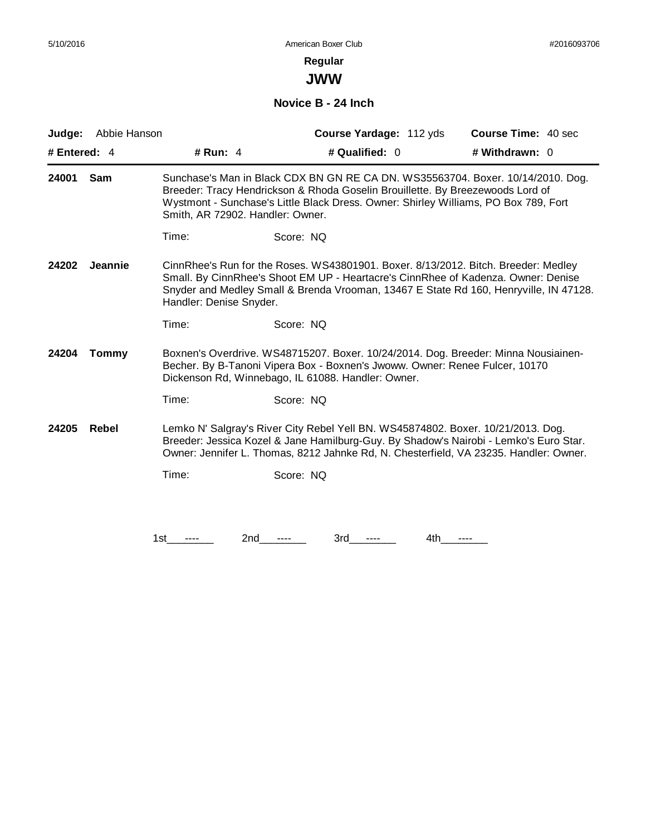**JWW**

**Novice B - 24 Inch**

| Judge:                                                                                                                                                                                                                                           | Abbie Hanson |                                                                                                                                                                                                                                                                    | Course Yardage: 112 yds                                                                                                                                                                                                                                          | Course Time: 40 sec |  |
|--------------------------------------------------------------------------------------------------------------------------------------------------------------------------------------------------------------------------------------------------|--------------|--------------------------------------------------------------------------------------------------------------------------------------------------------------------------------------------------------------------------------------------------------------------|------------------------------------------------------------------------------------------------------------------------------------------------------------------------------------------------------------------------------------------------------------------|---------------------|--|
| # Entered: $4$                                                                                                                                                                                                                                   |              | # Run: $4$                                                                                                                                                                                                                                                         | # Qualified: 0                                                                                                                                                                                                                                                   | # Withdrawn: 0      |  |
| 24001                                                                                                                                                                                                                                            | Sam          | Smith, AR 72902. Handler: Owner.                                                                                                                                                                                                                                   | Sunchase's Man in Black CDX BN GN RE CA DN. WS35563704. Boxer. 10/14/2010. Dog.<br>Breeder: Tracy Hendrickson & Rhoda Goselin Brouillette. By Breezewoods Lord of<br>Wystmont - Sunchase's Little Black Dress. Owner: Shirley Williams, PO Box 789, Fort         |                     |  |
|                                                                                                                                                                                                                                                  |              | Time:                                                                                                                                                                                                                                                              | Score: NQ                                                                                                                                                                                                                                                        |                     |  |
| 24202                                                                                                                                                                                                                                            | Jeannie      | Handler: Denise Snyder.                                                                                                                                                                                                                                            | CinnRhee's Run for the Roses. WS43801901. Boxer. 8/13/2012. Bitch. Breeder: Medley<br>Small. By CinnRhee's Shoot EM UP - Heartacre's CinnRhee of Kadenza. Owner: Denise<br>Snyder and Medley Small & Brenda Vrooman, 13467 E State Rd 160, Henryville, IN 47128. |                     |  |
|                                                                                                                                                                                                                                                  |              | Time:                                                                                                                                                                                                                                                              | Score: NQ                                                                                                                                                                                                                                                        |                     |  |
| Boxnen's Overdrive. WS48715207. Boxer. 10/24/2014. Dog. Breeder: Minna Nousiainen-<br>24204<br><b>Tommy</b><br>Becher. By B-Tanoni Vipera Box - Boxnen's Jwoww. Owner: Renee Fulcer, 10170<br>Dickenson Rd, Winnebago, IL 61088. Handler: Owner. |              |                                                                                                                                                                                                                                                                    |                                                                                                                                                                                                                                                                  |                     |  |
|                                                                                                                                                                                                                                                  |              | Time:                                                                                                                                                                                                                                                              | Score: NQ                                                                                                                                                                                                                                                        |                     |  |
| 24205                                                                                                                                                                                                                                            | Rebel        | Lemko N' Salgray's River City Rebel Yell BN. WS45874802. Boxer. 10/21/2013. Dog.<br>Breeder: Jessica Kozel & Jane Hamilburg-Guy. By Shadow's Nairobi - Lemko's Euro Star.<br>Owner: Jennifer L. Thomas, 8212 Jahnke Rd, N. Chesterfield, VA 23235. Handler: Owner. |                                                                                                                                                                                                                                                                  |                     |  |
|                                                                                                                                                                                                                                                  |              | Time:                                                                                                                                                                                                                                                              | Score: NQ                                                                                                                                                                                                                                                        |                     |  |
|                                                                                                                                                                                                                                                  |              |                                                                                                                                                                                                                                                                    |                                                                                                                                                                                                                                                                  |                     |  |
|                                                                                                                                                                                                                                                  |              | 2nd<br>1st                                                                                                                                                                                                                                                         | 3rd<br>4th                                                                                                                                                                                                                                                       |                     |  |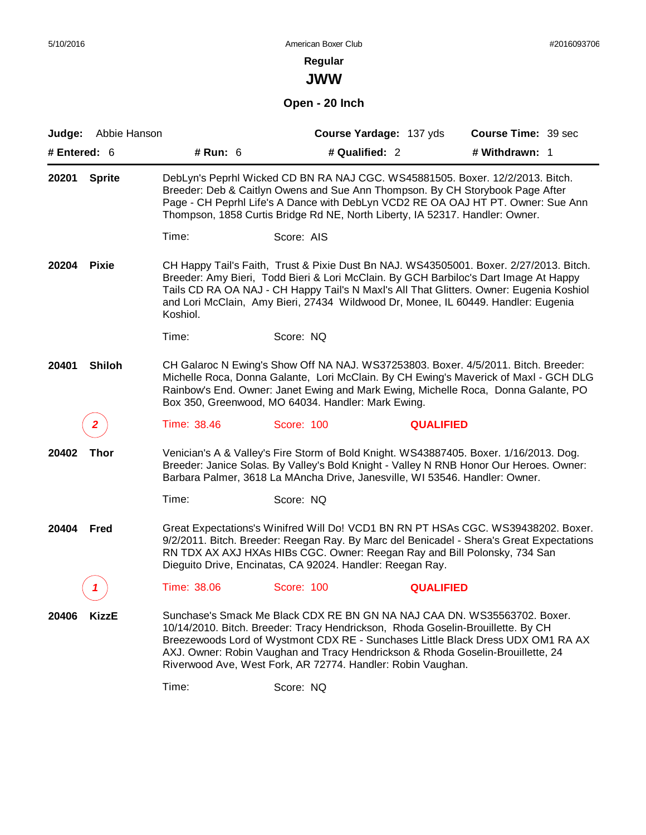**JWW**

# **Open - 20 Inch**

|              | Judge: Abbie Hanson |                                                                                                                                                                                                                                                                                                                        | Course Yardage: 137 yds                                                                                                                                                                                                                                                                                                                                                                           |                  | <b>Course Time: 39 sec</b> |  |  |  |
|--------------|---------------------|------------------------------------------------------------------------------------------------------------------------------------------------------------------------------------------------------------------------------------------------------------------------------------------------------------------------|---------------------------------------------------------------------------------------------------------------------------------------------------------------------------------------------------------------------------------------------------------------------------------------------------------------------------------------------------------------------------------------------------|------------------|----------------------------|--|--|--|
| # Entered: 6 |                     | # Run: 6                                                                                                                                                                                                                                                                                                               | # Qualified: 2                                                                                                                                                                                                                                                                                                                                                                                    |                  | # Withdrawn: 1             |  |  |  |
| 20201        | <b>Sprite</b>       |                                                                                                                                                                                                                                                                                                                        | DebLyn's Peprhl Wicked CD BN RA NAJ CGC. WS45881505. Boxer. 12/2/2013. Bitch.<br>Breeder: Deb & Caitlyn Owens and Sue Ann Thompson. By CH Storybook Page After<br>Page - CH Peprhl Life's A Dance with DebLyn VCD2 RE OA OAJ HT PT. Owner: Sue Ann<br>Thompson, 1858 Curtis Bridge Rd NE, North Liberty, IA 52317. Handler: Owner.                                                                |                  |                            |  |  |  |
|              |                     | Time:                                                                                                                                                                                                                                                                                                                  | Score: AIS                                                                                                                                                                                                                                                                                                                                                                                        |                  |                            |  |  |  |
| 20204        | <b>Pixie</b>        | Koshiol.                                                                                                                                                                                                                                                                                                               | CH Happy Tail's Faith, Trust & Pixie Dust Bn NAJ. WS43505001. Boxer. 2/27/2013. Bitch.<br>Breeder: Amy Bieri, Todd Bieri & Lori McClain. By GCH Barbiloc's Dart Image At Happy<br>Tails CD RA OA NAJ - CH Happy Tail's N Maxl's All That Glitters. Owner: Eugenia Koshiol<br>and Lori McClain, Amy Bieri, 27434 Wildwood Dr, Monee, IL 60449. Handler: Eugenia                                    |                  |                            |  |  |  |
|              |                     | Time:                                                                                                                                                                                                                                                                                                                  | Score: NQ                                                                                                                                                                                                                                                                                                                                                                                         |                  |                            |  |  |  |
| 20401        | <b>Shiloh</b>       | CH Galaroc N Ewing's Show Off NA NAJ. WS37253803. Boxer. 4/5/2011. Bitch. Breeder:<br>Michelle Roca, Donna Galante, Lori McClain. By CH Ewing's Maverick of Maxl - GCH DLG<br>Rainbow's End. Owner: Janet Ewing and Mark Ewing, Michelle Roca, Donna Galante, PO<br>Box 350, Greenwood, MO 64034. Handler: Mark Ewing. |                                                                                                                                                                                                                                                                                                                                                                                                   |                  |                            |  |  |  |
|              | 2                   | Time: 38.46                                                                                                                                                                                                                                                                                                            | Score: 100                                                                                                                                                                                                                                                                                                                                                                                        | <b>QUALIFIED</b> |                            |  |  |  |
| 20402        | <b>Thor</b>         |                                                                                                                                                                                                                                                                                                                        | Venician's A & Valley's Fire Storm of Bold Knight. WS43887405. Boxer. 1/16/2013. Dog.<br>Breeder: Janice Solas. By Valley's Bold Knight - Valley N RNB Honor Our Heroes. Owner:<br>Barbara Palmer, 3618 La MAncha Drive, Janesville, WI 53546. Handler: Owner.                                                                                                                                    |                  |                            |  |  |  |
|              |                     | Time:                                                                                                                                                                                                                                                                                                                  | Score: NQ                                                                                                                                                                                                                                                                                                                                                                                         |                  |                            |  |  |  |
| 20404        | Fred                |                                                                                                                                                                                                                                                                                                                        | Great Expectations's Winifred Will Do! VCD1 BN RN PT HSAs CGC. WS39438202. Boxer.<br>9/2/2011. Bitch. Breeder: Reegan Ray. By Marc del Benicadel - Shera's Great Expectations<br>RN TDX AX AXJ HXAs HIBs CGC. Owner: Reegan Ray and Bill Polonsky, 734 San<br>Dieguito Drive, Encinatas, CA 92024. Handler: Reegan Ray.                                                                           |                  |                            |  |  |  |
|              | 1                   | Time: 38.06                                                                                                                                                                                                                                                                                                            | Score: 100                                                                                                                                                                                                                                                                                                                                                                                        | <b>QUALIFIED</b> |                            |  |  |  |
| 20406        | <b>KizzE</b>        |                                                                                                                                                                                                                                                                                                                        | Sunchase's Smack Me Black CDX RE BN GN NA NAJ CAA DN. WS35563702. Boxer.<br>10/14/2010. Bitch. Breeder: Tracy Hendrickson, Rhoda Goselin-Brouillette. By CH<br>Breezewoods Lord of Wystmont CDX RE - Sunchases Little Black Dress UDX OM1 RA AX<br>AXJ. Owner: Robin Vaughan and Tracy Hendrickson & Rhoda Goselin-Brouillette, 24<br>Riverwood Ave, West Fork, AR 72774. Handler: Robin Vaughan. |                  |                            |  |  |  |
|              |                     | Time:                                                                                                                                                                                                                                                                                                                  | Score: NQ                                                                                                                                                                                                                                                                                                                                                                                         |                  |                            |  |  |  |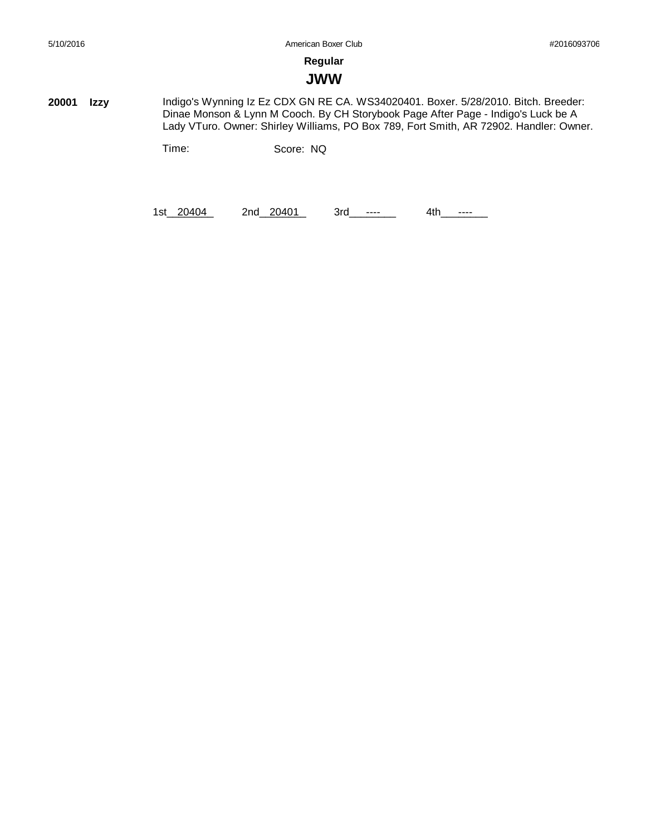### **JWW**

**20001 Izzy** Indigo's Wynning Iz Ez CDX GN RE CA. WS34020401. Boxer. 5/28/2010. Bitch. Breeder: Dinae Monson & Lynn M Cooch. By CH Storybook Page After Page - Indigo's Luck be A Lady VTuro. Owner: Shirley Williams, PO Box 789, Fort Smith, AR 72902. Handler: Owner.

Time: Score: NQ

1st\_20404 2nd\_20401 3rd\_\_\_\_\_\_ 4th\_\_\_\_\_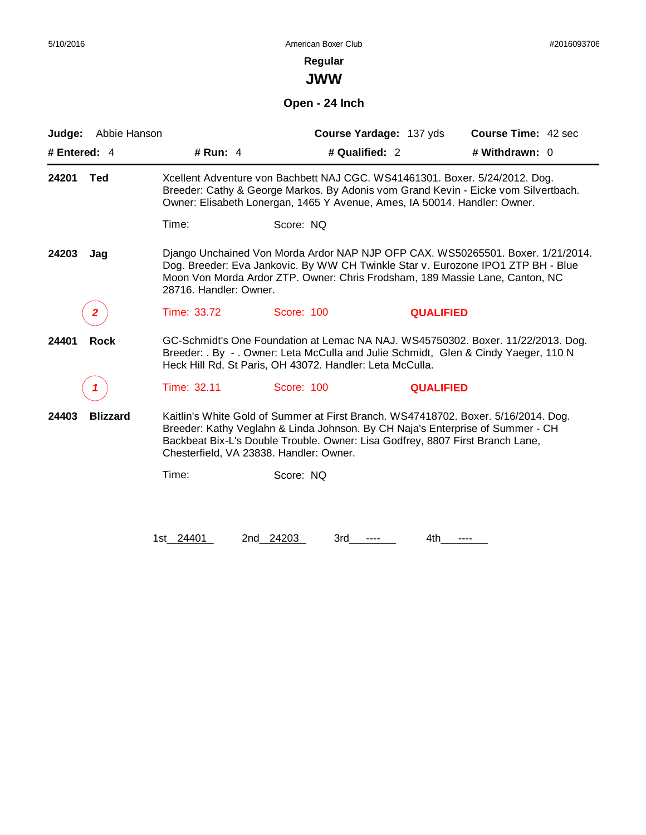**JWW**

**Open - 24 Inch**

| Abbie Hanson<br>Judge:   |                                                                                                                                                                                                                                                                                                  |                                                                                                                                                          | Course Yardage: 137 yds | <b>Course Time: 42 sec</b>                                                                                                                                          |  |
|--------------------------|--------------------------------------------------------------------------------------------------------------------------------------------------------------------------------------------------------------------------------------------------------------------------------------------------|----------------------------------------------------------------------------------------------------------------------------------------------------------|-------------------------|---------------------------------------------------------------------------------------------------------------------------------------------------------------------|--|
| # Entered: 4             | # Run: $4$                                                                                                                                                                                                                                                                                       | # Qualified: 2                                                                                                                                           |                         | # Withdrawn: 0                                                                                                                                                      |  |
| 24201<br><b>Ted</b>      |                                                                                                                                                                                                                                                                                                  | Xcellent Adventure von Bachbett NAJ CGC. WS41461301. Boxer. 5/24/2012. Dog.<br>Owner: Elisabeth Lonergan, 1465 Y Avenue, Ames, IA 50014. Handler: Owner. |                         | Breeder: Cathy & George Markos. By Adonis vom Grand Kevin - Eicke vom Silvertbach.                                                                                  |  |
|                          | Time:                                                                                                                                                                                                                                                                                            | Score: NQ                                                                                                                                                |                         |                                                                                                                                                                     |  |
| 24203<br>Jag             | 28716. Handler: Owner.                                                                                                                                                                                                                                                                           | Moon Von Morda Ardor ZTP. Owner: Chris Frodsham, 189 Massie Lane, Canton, NC                                                                             |                         | Django Unchained Von Morda Ardor NAP NJP OFP CAX. WS50265501. Boxer. 1/21/2014.<br>Dog. Breeder: Eva Jankovic. By WW CH Twinkle Star v. Eurozone IPO1 ZTP BH - Blue |  |
| $\mathbf{2}$             | Time: 33.72                                                                                                                                                                                                                                                                                      | Score: 100                                                                                                                                               | <b>QUALIFIED</b>        |                                                                                                                                                                     |  |
| 24401<br><b>Rock</b>     | GC-Schmidt's One Foundation at Lemac NA NAJ. WS45750302. Boxer. 11/22/2013. Dog.<br>Breeder: . By - . Owner: Leta McCulla and Julie Schmidt, Glen & Cindy Yaeger, 110 N<br>Heck Hill Rd, St Paris, OH 43072. Handler: Leta McCulla.                                                              |                                                                                                                                                          |                         |                                                                                                                                                                     |  |
|                          | Time: 32.11                                                                                                                                                                                                                                                                                      | Score: 100                                                                                                                                               | <b>QUALIFIED</b>        |                                                                                                                                                                     |  |
| <b>Blizzard</b><br>24403 | Kaitlin's White Gold of Summer at First Branch. WS47418702. Boxer. 5/16/2014. Dog.<br>Breeder: Kathy Veglahn & Linda Johnson. By CH Naja's Enterprise of Summer - CH<br>Backbeat Bix-L's Double Trouble. Owner: Lisa Godfrey, 8807 First Branch Lane,<br>Chesterfield, VA 23838. Handler: Owner. |                                                                                                                                                          |                         |                                                                                                                                                                     |  |
|                          | Time:                                                                                                                                                                                                                                                                                            | Score: NQ                                                                                                                                                |                         |                                                                                                                                                                     |  |
|                          |                                                                                                                                                                                                                                                                                                  |                                                                                                                                                          |                         |                                                                                                                                                                     |  |
|                          | 1st 24401                                                                                                                                                                                                                                                                                        | 2nd 24203<br>3rd                                                                                                                                         | 4th.                    |                                                                                                                                                                     |  |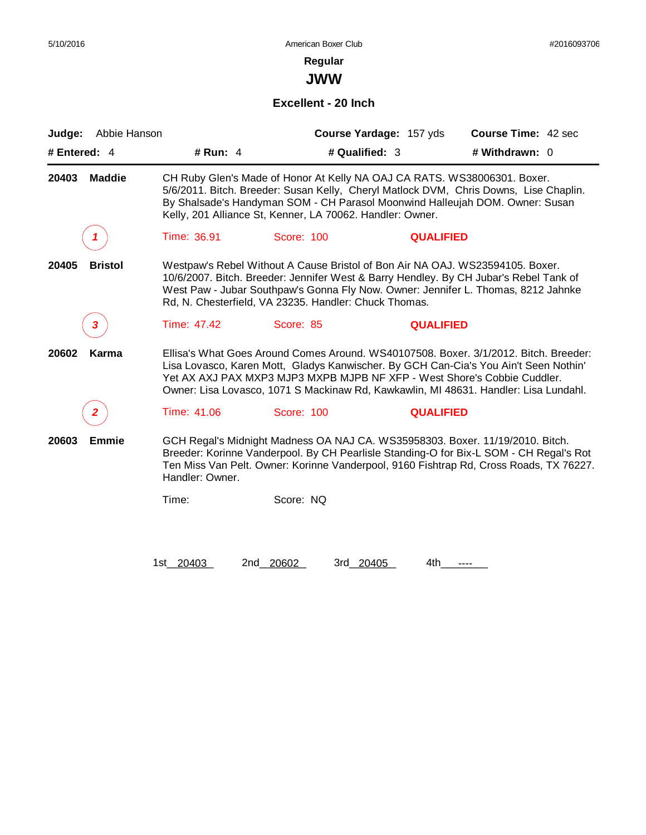**JWW**

#### **Excellent - 20 Inch**

| Abbie Hanson<br>Judge:  |                 |                                                                                                                                        | Course Yardage: 157 yds | Course Time: 42 sec                                                                                                                                                                                                                                                  |
|-------------------------|-----------------|----------------------------------------------------------------------------------------------------------------------------------------|-------------------------|----------------------------------------------------------------------------------------------------------------------------------------------------------------------------------------------------------------------------------------------------------------------|
| # Entered: 4            | # Run: $4$      | # Qualified: 3                                                                                                                         |                         | # Withdrawn: 0                                                                                                                                                                                                                                                       |
| <b>Maddie</b><br>20403  |                 | CH Ruby Glen's Made of Honor At Kelly NA OAJ CA RATS. WS38006301. Boxer.<br>Kelly, 201 Alliance St, Kenner, LA 70062. Handler: Owner.  |                         | 5/6/2011. Bitch. Breeder: Susan Kelly, Cheryl Matlock DVM, Chris Downs, Lise Chaplin.<br>By Shalsade's Handyman SOM - CH Parasol Moonwind Halleujah DOM. Owner: Susan                                                                                                |
|                         | Time: 36.91     | Score: 100                                                                                                                             | <b>QUALIFIED</b>        |                                                                                                                                                                                                                                                                      |
| 20405<br><b>Bristol</b> |                 | Westpaw's Rebel Without A Cause Bristol of Bon Air NA OAJ. WS23594105. Boxer.<br>Rd, N. Chesterfield, VA 23235. Handler: Chuck Thomas. |                         | 10/6/2007. Bitch. Breeder: Jennifer West & Barry Hendley. By CH Jubar's Rebel Tank of<br>West Paw - Jubar Southpaw's Gonna Fly Now. Owner: Jennifer L. Thomas, 8212 Jahnke                                                                                           |
| 3                       | Time: 47.42     | Score: 85                                                                                                                              | <b>QUALIFIED</b>        |                                                                                                                                                                                                                                                                      |
| 20602<br>Karma          |                 | Yet AX AXJ PAX MXP3 MJP3 MXPB MJPB NF XFP - West Shore's Cobbie Cuddler.                                                               |                         | Ellisa's What Goes Around Comes Around. WS40107508. Boxer. 3/1/2012. Bitch. Breeder:<br>Lisa Lovasco, Karen Mott, Gladys Kanwischer. By GCH Can-Cia's You Ain't Seen Nothin'<br>Owner: Lisa Lovasco, 1071 S Mackinaw Rd, Kawkawlin, MI 48631. Handler: Lisa Lundahl. |
|                         | Time: 41.06     | Score: 100                                                                                                                             | <b>QUALIFIED</b>        |                                                                                                                                                                                                                                                                      |
| 20603<br>Emmie          | Handler: Owner. |                                                                                                                                        |                         | GCH Regal's Midnight Madness OA NAJ CA. WS35958303. Boxer. 11/19/2010. Bitch.<br>Breeder: Korinne Vanderpool. By CH Pearlisle Standing-O for Bix-L SOM - CH Regal's Rot<br>Ten Miss Van Pelt. Owner: Korinne Vanderpool, 9160 Fishtrap Rd, Cross Roads, TX 76227.    |
|                         | Time:           | Score: NQ                                                                                                                              |                         |                                                                                                                                                                                                                                                                      |
|                         | 1st 20403       | 2nd 20602<br>3rd 20405                                                                                                                 | 4th                     |                                                                                                                                                                                                                                                                      |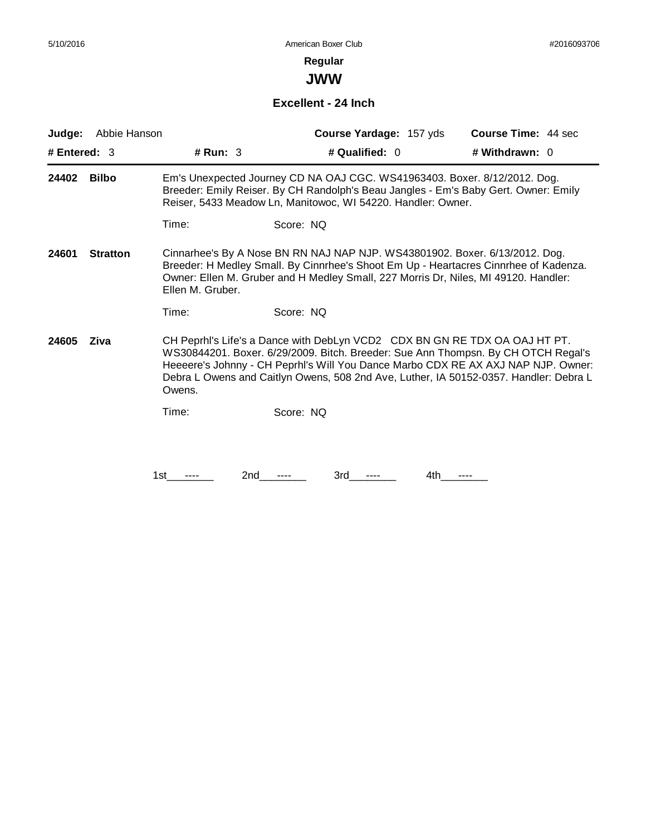**JWW**

#### **Excellent - 24 Inch**

| Judge:         | Abbie Hanson    |                                                                                                                                                                                                                                                                                                                                                         |           | Course Yardage: 157 yds                                      | <b>Course Time: 44 sec</b>                                                                                                                                                                                                                                 |  |
|----------------|-----------------|---------------------------------------------------------------------------------------------------------------------------------------------------------------------------------------------------------------------------------------------------------------------------------------------------------------------------------------------------------|-----------|--------------------------------------------------------------|------------------------------------------------------------------------------------------------------------------------------------------------------------------------------------------------------------------------------------------------------------|--|
| # Entered: $3$ |                 | # Run: 3                                                                                                                                                                                                                                                                                                                                                |           | # Qualified: 0                                               | # Withdrawn: 0                                                                                                                                                                                                                                             |  |
| 24402          | <b>Bilbo</b>    |                                                                                                                                                                                                                                                                                                                                                         |           | Reiser, 5433 Meadow Ln, Manitowoc, WI 54220. Handler: Owner. | Em's Unexpected Journey CD NA OAJ CGC. WS41963403. Boxer. 8/12/2012. Dog.<br>Breeder: Emily Reiser. By CH Randolph's Beau Jangles - Em's Baby Gert. Owner: Emily                                                                                           |  |
|                |                 | Time:                                                                                                                                                                                                                                                                                                                                                   | Score: NQ |                                                              |                                                                                                                                                                                                                                                            |  |
| 24601          | <b>Stratton</b> | Ellen M. Gruber.                                                                                                                                                                                                                                                                                                                                        |           |                                                              | Cinnarhee's By A Nose BN RN NAJ NAP NJP. WS43801902. Boxer. 6/13/2012. Dog.<br>Breeder: H Medley Small. By Cinnrhee's Shoot Em Up - Heartacres Cinnrhee of Kadenza.<br>Owner: Ellen M. Gruber and H Medley Small, 227 Morris Dr, Niles, MI 49120. Handler: |  |
|                |                 | Time:                                                                                                                                                                                                                                                                                                                                                   | Score: NQ |                                                              |                                                                                                                                                                                                                                                            |  |
| 24605          | Ziva            | CH Peprhl's Life's a Dance with DebLyn VCD2 CDX BN GN RE TDX OA OAJ HT PT.<br>WS30844201. Boxer. 6/29/2009. Bitch. Breeder: Sue Ann Thompsn. By CH OTCH Regal's<br>Heeeere's Johnny - CH Peprhl's Will You Dance Marbo CDX RE AX AXJ NAP NJP. Owner:<br>Debra L Owens and Caitlyn Owens, 508 2nd Ave, Luther, IA 50152-0357. Handler: Debra L<br>Owens. |           |                                                              |                                                                                                                                                                                                                                                            |  |
|                |                 | Time:                                                                                                                                                                                                                                                                                                                                                   | Score: NQ |                                                              |                                                                                                                                                                                                                                                            |  |
|                |                 |                                                                                                                                                                                                                                                                                                                                                         |           |                                                              |                                                                                                                                                                                                                                                            |  |
|                |                 | 1st                                                                                                                                                                                                                                                                                                                                                     | 2nd       | 3rd<br>4th                                                   |                                                                                                                                                                                                                                                            |  |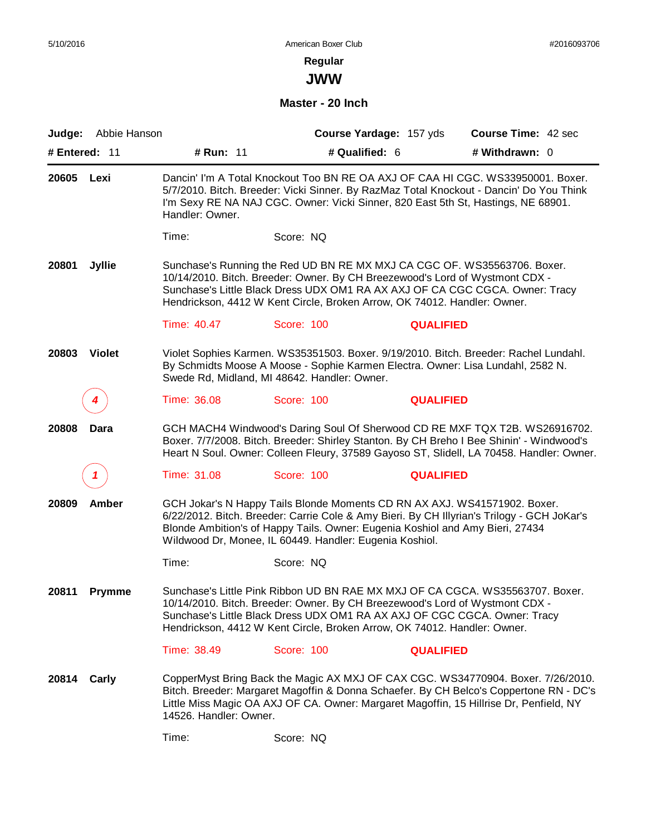**JWW**

**Master - 20 Inch**

|               | Judge: Abbie Hanson |                        | Course Yardage: 157 yds                                                                                                                                                                                                                                                                                                |                  | <b>Course Time: 42 sec</b> |  |
|---------------|---------------------|------------------------|------------------------------------------------------------------------------------------------------------------------------------------------------------------------------------------------------------------------------------------------------------------------------------------------------------------------|------------------|----------------------------|--|
| # Entered: 11 |                     | # Run: 11              | # Qualified: 6                                                                                                                                                                                                                                                                                                         |                  | # Withdrawn: 0             |  |
| 20605         | Lexi                | Handler: Owner.        | Dancin' I'm A Total Knockout Too BN RE OA AXJ OF CAA HI CGC. WS33950001. Boxer.<br>5/7/2010. Bitch. Breeder: Vicki Sinner. By RazMaz Total Knockout - Dancin' Do You Think<br>I'm Sexy RE NA NAJ CGC. Owner: Vicki Sinner, 820 East 5th St, Hastings, NE 68901.                                                        |                  |                            |  |
|               |                     | Time:                  | Score: NQ                                                                                                                                                                                                                                                                                                              |                  |                            |  |
| 20801         | <b>Jyllie</b>       |                        | Sunchase's Running the Red UD BN RE MX MXJ CA CGC OF. WS35563706. Boxer.<br>10/14/2010. Bitch. Breeder: Owner. By CH Breezewood's Lord of Wystmont CDX -<br>Sunchase's Little Black Dress UDX OM1 RA AX AXJ OF CA CGC CGCA. Owner: Tracy<br>Hendrickson, 4412 W Kent Circle, Broken Arrow, OK 74012. Handler: Owner.   |                  |                            |  |
|               |                     | Time: 40.47            | Score: 100                                                                                                                                                                                                                                                                                                             | <b>QUALIFIED</b> |                            |  |
| 20803         | <b>Violet</b>       |                        | Violet Sophies Karmen. WS35351503. Boxer. 9/19/2010. Bitch. Breeder: Rachel Lundahl.<br>By Schmidts Moose A Moose - Sophie Karmen Electra. Owner: Lisa Lundahl, 2582 N.<br>Swede Rd, Midland, MI 48642. Handler: Owner.                                                                                                |                  |                            |  |
|               | 4                   | Time: 36.08            | Score: 100                                                                                                                                                                                                                                                                                                             | <b>QUALIFIED</b> |                            |  |
| 20808         | Dara                |                        | GCH MACH4 Windwood's Daring Soul Of Sherwood CD RE MXF TQX T2B. WS26916702.<br>Boxer. 7/7/2008. Bitch. Breeder: Shirley Stanton. By CH Breho I Bee Shinin' - Windwood's<br>Heart N Soul. Owner: Colleen Fleury, 37589 Gayoso ST, Slidell, LA 70458. Handler: Owner.                                                    |                  |                            |  |
|               | 1                   | Time: 31.08            | Score: 100                                                                                                                                                                                                                                                                                                             | <b>QUALIFIED</b> |                            |  |
| 20809         | Amber               |                        | GCH Jokar's N Happy Tails Blonde Moments CD RN AX AXJ. WS41571902. Boxer.<br>6/22/2012. Bitch. Breeder: Carrie Cole & Amy Bieri. By CH Illyrian's Trilogy - GCH JoKar's<br>Blonde Ambition's of Happy Tails. Owner: Eugenia Koshiol and Amy Bieri, 27434<br>Wildwood Dr, Monee, IL 60449. Handler: Eugenia Koshiol.    |                  |                            |  |
|               |                     | Time:                  | Score: NQ                                                                                                                                                                                                                                                                                                              |                  |                            |  |
| 20811         | <b>Prymme</b>       |                        | Sunchase's Little Pink Ribbon UD BN RAE MX MXJ OF CA CGCA. WS35563707. Boxer.<br>10/14/2010. Bitch. Breeder: Owner. By CH Breezewood's Lord of Wystmont CDX -<br>Sunchase's Little Black Dress UDX OM1 RA AX AXJ OF CGC CGCA. Owner: Tracy<br>Hendrickson, 4412 W Kent Circle, Broken Arrow, OK 74012. Handler: Owner. |                  |                            |  |
|               |                     | Time: 38.49            | Score: 100                                                                                                                                                                                                                                                                                                             | <b>QUALIFIED</b> |                            |  |
| 20814         | Carly               | 14526. Handler: Owner. | CopperMyst Bring Back the Magic AX MXJ OF CAX CGC. WS34770904. Boxer. 7/26/2010.<br>Bitch. Breeder: Margaret Magoffin & Donna Schaefer. By CH Belco's Coppertone RN - DC's<br>Little Miss Magic OA AXJ OF CA. Owner: Margaret Magoffin, 15 Hillrise Dr, Penfield, NY                                                   |                  |                            |  |
|               |                     | Time:                  | Score: NQ                                                                                                                                                                                                                                                                                                              |                  |                            |  |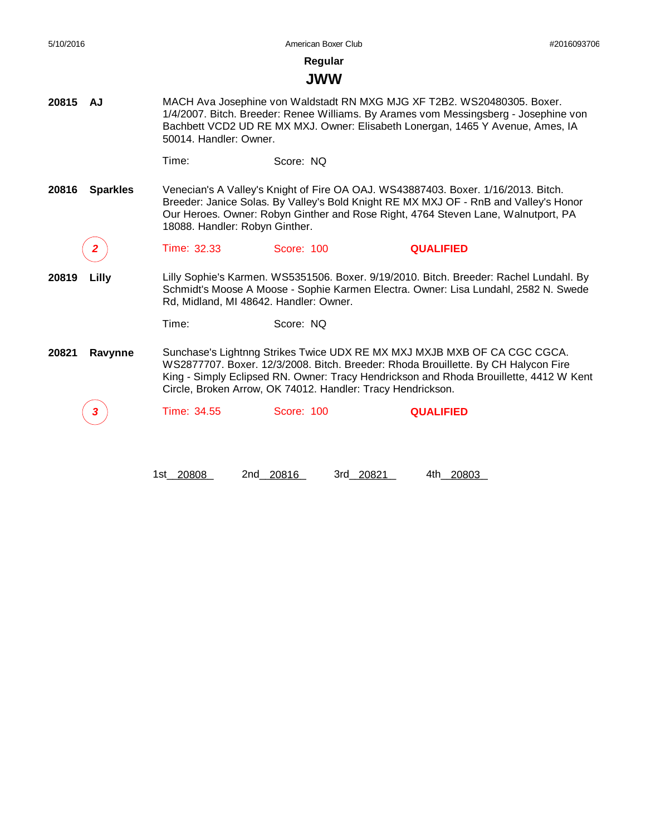| 5/10/2016 |                 |                                                                                                                                                                                                                                                                             | American Boxer Club                                         |                                                                                                                                                                                                                                                                | #2016093706 |  |
|-----------|-----------------|-----------------------------------------------------------------------------------------------------------------------------------------------------------------------------------------------------------------------------------------------------------------------------|-------------------------------------------------------------|----------------------------------------------------------------------------------------------------------------------------------------------------------------------------------------------------------------------------------------------------------------|-------------|--|
|           |                 |                                                                                                                                                                                                                                                                             | Regular                                                     |                                                                                                                                                                                                                                                                |             |  |
|           |                 |                                                                                                                                                                                                                                                                             | <b>JWW</b>                                                  |                                                                                                                                                                                                                                                                |             |  |
| 20815     | AJ              | MACH Ava Josephine von Waldstadt RN MXG MJG XF T2B2. WS20480305. Boxer.<br>1/4/2007. Bitch. Breeder: Renee Williams. By Arames vom Messingsberg - Josephine von<br>Bachbett VCD2 UD RE MX MXJ. Owner: Elisabeth Lonergan, 1465 Y Avenue, Ames, IA<br>50014. Handler: Owner. |                                                             |                                                                                                                                                                                                                                                                |             |  |
|           |                 | Time:                                                                                                                                                                                                                                                                       | Score: NO                                                   |                                                                                                                                                                                                                                                                |             |  |
| 20816     | <b>Sparkles</b> | 18088. Handler: Robyn Ginther.                                                                                                                                                                                                                                              |                                                             | Venecian's A Valley's Knight of Fire OA OAJ. WS43887403. Boxer. 1/16/2013. Bitch.<br>Breeder: Janice Solas. By Valley's Bold Knight RE MX MXJ OF - RnB and Valley's Honor<br>Our Heroes. Owner: Robyn Ginther and Rose Right, 4764 Steven Lane, Walnutport, PA |             |  |
|           | $\mathbf{2}$    | Time: 32.33                                                                                                                                                                                                                                                                 | Score: 100                                                  | <b>QUALIFIED</b>                                                                                                                                                                                                                                               |             |  |
| 20819     | Lilly           |                                                                                                                                                                                                                                                                             | Rd, Midland, MI 48642. Handler: Owner.                      | Lilly Sophie's Karmen. WS5351506. Boxer. 9/19/2010. Bitch. Breeder: Rachel Lundahl. By<br>Schmidt's Moose A Moose - Sophie Karmen Electra. Owner: Lisa Lundahl, 2582 N. Swede                                                                                  |             |  |
|           |                 | Time:                                                                                                                                                                                                                                                                       | Score: NQ                                                   |                                                                                                                                                                                                                                                                |             |  |
| 20821     | Ravynne         |                                                                                                                                                                                                                                                                             | Circle, Broken Arrow, OK 74012. Handler: Tracy Hendrickson. | Sunchase's Lightnng Strikes Twice UDX RE MX MXJ MXJB MXB OF CA CGC CGCA.<br>WS2877707. Boxer. 12/3/2008. Bitch. Breeder: Rhoda Brouillette. By CH Halycon Fire<br>King - Simply Eclipsed RN. Owner: Tracy Hendrickson and Rhoda Brouillette, 4412 W Kent       |             |  |
|           |                 | Time: 34.55                                                                                                                                                                                                                                                                 | Score: 100                                                  | <b>QUALIFIED</b>                                                                                                                                                                                                                                               |             |  |
|           |                 | 1st 20808                                                                                                                                                                                                                                                                   | 2nd 20816<br>3rd 20821                                      | 4th 20803                                                                                                                                                                                                                                                      |             |  |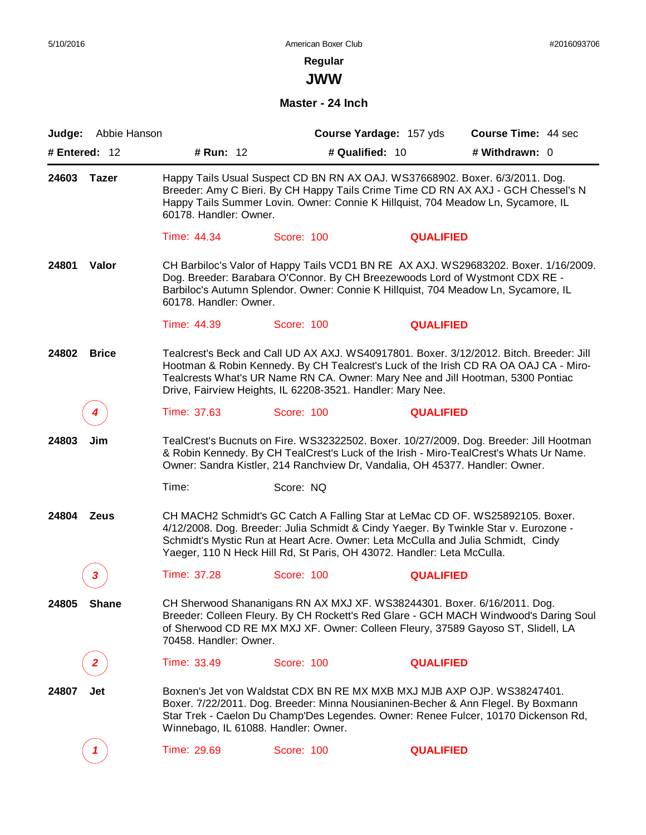**JWW**

**Master - 24 Inch**

|       | Judge: Abbie Hanson<br># Entered: 12 | <b># Run: 12</b>                     | Course Yardage: 157 yds<br># Qualified: 10                             | <b>Course Time: 44 sec</b><br># Withdrawn: 0                                                                                                                                                                                                                       |
|-------|--------------------------------------|--------------------------------------|------------------------------------------------------------------------|--------------------------------------------------------------------------------------------------------------------------------------------------------------------------------------------------------------------------------------------------------------------|
| 24603 | <b>Tazer</b>                         | 60178. Handler: Owner.               |                                                                        | Happy Tails Usual Suspect CD BN RN AX OAJ. WS37668902. Boxer. 6/3/2011. Dog.<br>Breeder: Amy C Bieri. By CH Happy Tails Crime Time CD RN AX AXJ - GCH Chessel's N<br>Happy Tails Summer Lovin. Owner: Connie K Hillquist, 704 Meadow Ln, Sycamore, IL              |
|       |                                      | Time: 44.34                          | Score: 100                                                             | <b>QUALIFIED</b>                                                                                                                                                                                                                                                   |
| 24801 | Valor                                | 60178. Handler: Owner.               |                                                                        | CH Barbiloc's Valor of Happy Tails VCD1 BN RE AX AXJ. WS29683202. Boxer. 1/16/2009.<br>Dog. Breeder: Barabara O'Connor. By CH Breezewoods Lord of Wystmont CDX RE -<br>Barbiloc's Autumn Splendor. Owner: Connie K Hillquist, 704 Meadow Ln, Sycamore, IL          |
|       |                                      | Time: 44.39                          | Score: 100                                                             | <b>QUALIFIED</b>                                                                                                                                                                                                                                                   |
| 24802 | <b>Brice</b>                         |                                      | Drive, Fairview Heights, IL 62208-3521. Handler: Mary Nee.             | Tealcrest's Beck and Call UD AX AXJ. WS40917801. Boxer. 3/12/2012. Bitch. Breeder: Jill<br>Hootman & Robin Kennedy. By CH Tealcrest's Luck of the Irish CD RA OA OAJ CA - Miro-<br>Tealcrests What's UR Name RN CA. Owner: Mary Nee and Jill Hootman, 5300 Pontiac |
|       | 4                                    | Time: 37.63                          | Score: 100                                                             | <b>QUALIFIED</b>                                                                                                                                                                                                                                                   |
| 24803 | Jim                                  |                                      |                                                                        | TealCrest's Bucnuts on Fire. WS32322502. Boxer. 10/27/2009. Dog. Breeder: Jill Hootman<br>& Robin Kennedy. By CH TealCrest's Luck of the Irish - Miro-TealCrest's Whats Ur Name.<br>Owner: Sandra Kistler, 214 Ranchview Dr, Vandalia, OH 45377. Handler: Owner.   |
|       |                                      | Time:                                | Score: NQ                                                              |                                                                                                                                                                                                                                                                    |
| 24804 | <b>Zeus</b>                          |                                      | Yaeger, 110 N Heck Hill Rd, St Paris, OH 43072. Handler: Leta McCulla. | CH MACH2 Schmidt's GC Catch A Falling Star at LeMac CD OF. WS25892105. Boxer.<br>4/12/2008. Dog. Breeder: Julia Schmidt & Cindy Yaeger. By Twinkle Star v. Eurozone -<br>Schmidt's Mystic Run at Heart Acre. Owner: Leta McCulla and Julia Schmidt, Cindy          |
|       | 3                                    | Time: 37.28                          | Score: 100                                                             | <b>QUALIFIED</b>                                                                                                                                                                                                                                                   |
| 24805 | <b>Shane</b>                         | 70458. Handler: Owner.               |                                                                        | CH Sherwood Shananigans RN AX MXJ XF. WS38244301. Boxer. 6/16/2011. Dog.<br>Breeder: Colleen Fleury. By CH Rockett's Red Glare - GCH MACH Windwood's Daring Soul<br>of Sherwood CD RE MX MXJ XF. Owner: Colleen Fleury, 37589 Gayoso ST, Slidell, LA               |
|       | $\mathbf{2}$                         | Time: 33.49                          | Score: 100                                                             | <b>QUALIFIED</b>                                                                                                                                                                                                                                                   |
| 24807 | Jet                                  | Winnebago, IL 61088. Handler: Owner. |                                                                        | Boxnen's Jet von Waldstat CDX BN RE MX MXB MXJ MJB AXP OJP. WS38247401.<br>Boxer. 7/22/2011. Dog. Breeder: Minna Nousianinen-Becher & Ann Flegel. By Boxmann<br>Star Trek - Caelon Du Champ'Des Legendes. Owner: Renee Fulcer, 10170 Dickenson Rd,                 |
|       |                                      | Time: 29.69                          | Score: 100                                                             | <b>QUALIFIED</b>                                                                                                                                                                                                                                                   |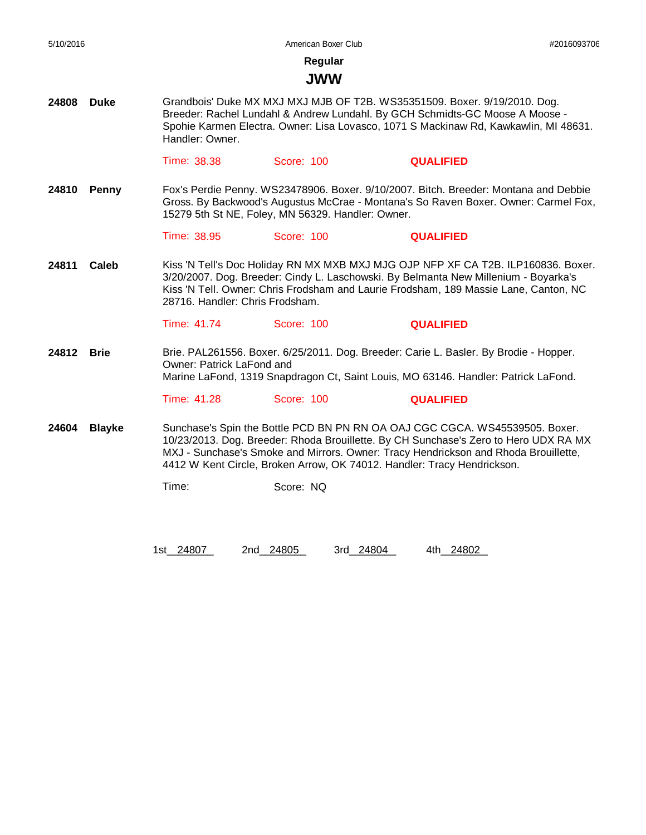#### **JWW**

**24808 Duke** Grandbois' Duke MX MXJ MXJ MJB OF T2B. WS35351509. Boxer. 9/19/2010. Dog. Breeder: Rachel Lundahl & Andrew Lundahl. By GCH Schmidts-GC Moose A Moose - Spohie Karmen Electra. Owner: Lisa Lovasco, 1071 S Mackinaw Rd, Kawkawlin, MI 48631. Handler: Owner.

Time: 38.38 Score: 100 **QUALIFIED**

**24810 Penny** Fox's Perdie Penny. WS23478906. Boxer. 9/10/2007. Bitch. Breeder: Montana and Debbie Gross. By Backwood's Augustus McCrae - Montana's So Raven Boxer. Owner: Carmel Fox, 15279 5th St NE, Foley, MN 56329. Handler: Owner.

Time: 38.95 Score: 100 **QUALIFIED**

**24811 Caleb** Kiss 'N Tell's Doc Holiday RN MX MXB MXJ MJG OJP NFP XF CA T2B. ILP160836. Boxer. 3/20/2007. Dog. Breeder: Cindy L. Laschowski. By Belmanta New Millenium - Boyarka's Kiss 'N Tell. Owner: Chris Frodsham and Laurie Frodsham, 189 Massie Lane, Canton, NC 28716. Handler: Chris Frodsham.

Time: 41.74 Score: 100 **QUALIFIED**

**24812 Brie** Brie. PAL261556. Boxer. 6/25/2011. Dog. Breeder: Carie L. Basler. By Brodie - Hopper. Owner: Patrick LaFond and Marine LaFond, 1319 Snapdragon Ct, Saint Louis, MO 63146. Handler: Patrick LaFond.

Time: 41.28 Score: 100 **QUALIFIED**

**24604 Blayke** Sunchase's Spin the Bottle PCD BN PN RN OA OAJ CGC CGCA. WS45539505. Boxer. 10/23/2013. Dog. Breeder: Rhoda Brouillette. By CH Sunchase's Zero to Hero UDX RA MX MXJ - Sunchase's Smoke and Mirrors. Owner: Tracy Hendrickson and Rhoda Brouillette, 4412 W Kent Circle, Broken Arrow, OK 74012. Handler: Tracy Hendrickson.

Time: Score: NQ

1st 24807 2nd 24805 3rd 24804 4th 24802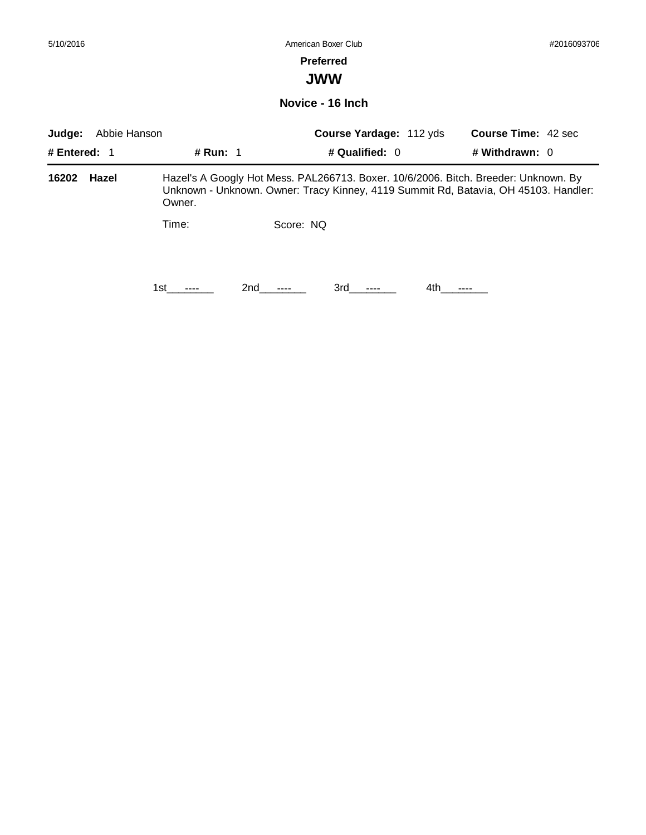**JWW**

**Novice - 16 Inch**

| Judge:<br>Abbie Hanson<br># Entered: 1 |       |          |           |                  | <b>Course Yardage: 112 yds</b>                                                                                                                                             | <b>Course Time: 42 sec</b> |  |
|----------------------------------------|-------|----------|-----------|------------------|----------------------------------------------------------------------------------------------------------------------------------------------------------------------------|----------------------------|--|
|                                        |       | # Run: 1 |           | # Qualified: $0$ |                                                                                                                                                                            | # Withdrawn: 0             |  |
| 16202                                  | Hazel | Owner.   |           |                  | Hazel's A Googly Hot Mess. PAL266713. Boxer. 10/6/2006. Bitch. Breeder: Unknown. By<br>Unknown - Unknown. Owner: Tracy Kinney, 4119 Summit Rd, Batavia, OH 45103. Handler: |                            |  |
|                                        |       | Time:    | Score: NQ |                  |                                                                                                                                                                            |                            |  |
|                                        |       | 1st      | 2nd       | 3rd              | 4th.                                                                                                                                                                       |                            |  |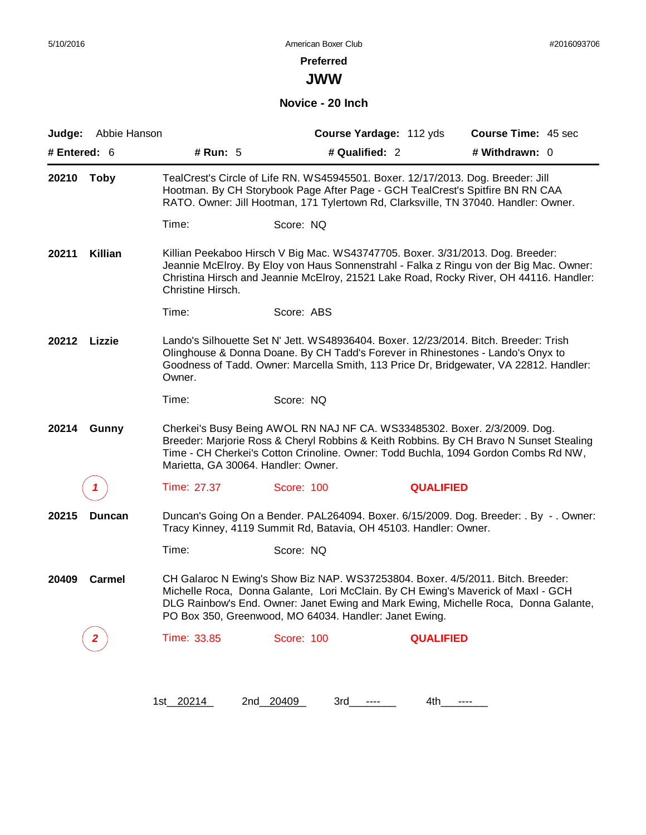**JWW**

#### **Novice - 20 Inch**

|                | Judge: Abbie Hanson |                                     | Course Yardage: 112 yds                                                                                                                                                                                                                                  |                  | Course Time: 45 sec                                                                                                                                                              |
|----------------|---------------------|-------------------------------------|----------------------------------------------------------------------------------------------------------------------------------------------------------------------------------------------------------------------------------------------------------|------------------|----------------------------------------------------------------------------------------------------------------------------------------------------------------------------------|
| # Entered: $6$ |                     | # Run: 5                            | # Qualified: 2                                                                                                                                                                                                                                           |                  | # Withdrawn: 0                                                                                                                                                                   |
| 20210          | Toby                |                                     | TealCrest's Circle of Life RN. WS45945501. Boxer. 12/17/2013. Dog. Breeder: Jill<br>Hootman. By CH Storybook Page After Page - GCH TealCrest's Spitfire BN RN CAA<br>RATO. Owner: Jill Hootman, 171 Tylertown Rd, Clarksville, TN 37040. Handler: Owner. |                  |                                                                                                                                                                                  |
|                |                     | Time:                               | Score: NQ                                                                                                                                                                                                                                                |                  |                                                                                                                                                                                  |
| 20211          | Killian             | Christine Hirsch.                   | Killian Peekaboo Hirsch V Big Mac. WS43747705. Boxer. 3/31/2013. Dog. Breeder:                                                                                                                                                                           |                  | Jeannie McElroy. By Eloy von Haus Sonnenstrahl - Falka z Ringu von der Big Mac. Owner:<br>Christina Hirsch and Jeannie McElroy, 21521 Lake Road, Rocky River, OH 44116. Handler: |
|                |                     | Time:                               | Score: ABS                                                                                                                                                                                                                                               |                  |                                                                                                                                                                                  |
| 20212          | Lizzie              | Owner.                              | Lando's Silhouette Set N' Jett. WS48936404. Boxer. 12/23/2014. Bitch. Breeder: Trish<br>Olinghouse & Donna Doane. By CH Tadd's Forever in Rhinestones - Lando's Onyx to                                                                                  |                  | Goodness of Tadd. Owner: Marcella Smith, 113 Price Dr, Bridgewater, VA 22812. Handler:                                                                                           |
|                |                     | Time:                               | Score: NQ                                                                                                                                                                                                                                                |                  |                                                                                                                                                                                  |
| 20214          | <b>Gunny</b>        | Marietta, GA 30064. Handler: Owner. | Cherkei's Busy Being AWOL RN NAJ NF CA. WS33485302. Boxer. 2/3/2009. Dog.                                                                                                                                                                                |                  | Breeder: Marjorie Ross & Cheryl Robbins & Keith Robbins. By CH Bravo N Sunset Stealing<br>Time - CH Cherkei's Cotton Crinoline. Owner: Todd Buchla, 1094 Gordon Combs Rd NW,     |
|                |                     | Time: 27.37                         | Score: 100                                                                                                                                                                                                                                               | <b>QUALIFIED</b> |                                                                                                                                                                                  |
| 20215          | <b>Duncan</b>       |                                     | Tracy Kinney, 4119 Summit Rd, Batavia, OH 45103. Handler: Owner.                                                                                                                                                                                         |                  | Duncan's Going On a Bender. PAL264094. Boxer. 6/15/2009. Dog. Breeder: . By - . Owner:                                                                                           |
|                |                     | Time:                               | Score: NQ                                                                                                                                                                                                                                                |                  |                                                                                                                                                                                  |
| 20409          | Carmel              |                                     | CH Galaroc N Ewing's Show Biz NAP. WS37253804. Boxer. 4/5/2011. Bitch. Breeder:<br>Michelle Roca, Donna Galante, Lori McClain. By CH Ewing's Maverick of Maxl - GCH<br>PO Box 350, Greenwood, MO 64034. Handler: Janet Ewing.                            |                  | DLG Rainbow's End. Owner: Janet Ewing and Mark Ewing, Michelle Roca, Donna Galante,                                                                                              |
|                |                     | Time: 33.85                         | Score: 100                                                                                                                                                                                                                                               | <b>QUALIFIED</b> |                                                                                                                                                                                  |
|                |                     |                                     |                                                                                                                                                                                                                                                          |                  |                                                                                                                                                                                  |
|                |                     | 1st_20214_                          | 2nd 20409<br>3rd___<br>$\cdots$                                                                                                                                                                                                                          | 4th a            |                                                                                                                                                                                  |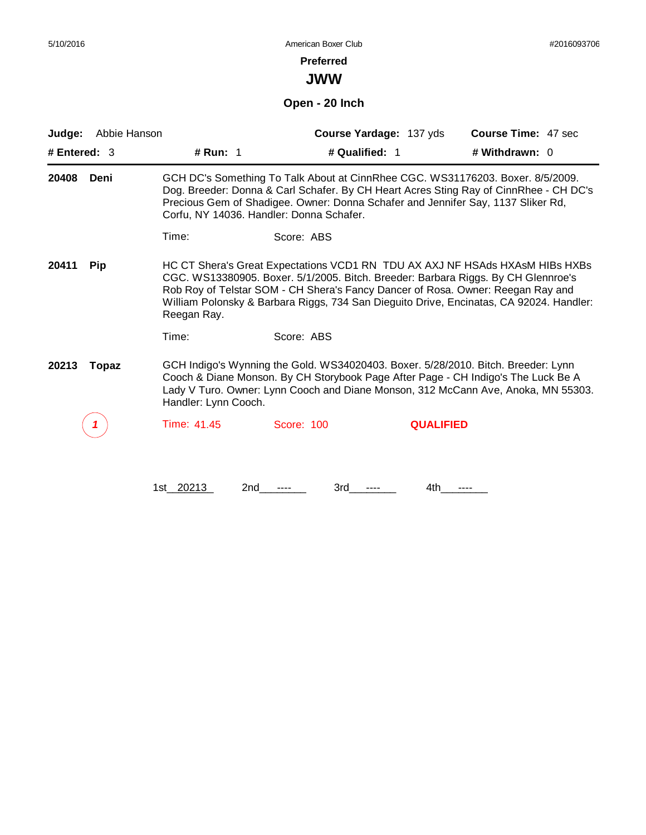#### **Preferred**

**JWW**

**Open - 20 Inch**

| Judge:         | Abbie Hanson |                                                                                                                                                                                                                                                                                     | Course Yardage: 137 yds                                                                                                                                                                                                                                                                                                                         |                  | <b>Course Time: 47 sec</b> |  |  |
|----------------|--------------|-------------------------------------------------------------------------------------------------------------------------------------------------------------------------------------------------------------------------------------------------------------------------------------|-------------------------------------------------------------------------------------------------------------------------------------------------------------------------------------------------------------------------------------------------------------------------------------------------------------------------------------------------|------------------|----------------------------|--|--|
| # Entered: $3$ |              | # Run: 1                                                                                                                                                                                                                                                                            | # Qualified: 1                                                                                                                                                                                                                                                                                                                                  |                  | # Withdrawn: $0$           |  |  |
| 20408          | Deni         | Corfu, NY 14036. Handler: Donna Schafer.                                                                                                                                                                                                                                            | GCH DC's Something To Talk About at CinnRhee CGC. WS31176203. Boxer. 8/5/2009.<br>Dog. Breeder: Donna & Carl Schafer. By CH Heart Acres Sting Ray of CinnRhee - CH DC's<br>Precious Gem of Shadigee. Owner: Donna Schafer and Jennifer Say, 1137 Sliker Rd,                                                                                     |                  |                            |  |  |
|                |              | Time:                                                                                                                                                                                                                                                                               | Score: ABS                                                                                                                                                                                                                                                                                                                                      |                  |                            |  |  |
| 20411          | <b>Pip</b>   | Reegan Ray.                                                                                                                                                                                                                                                                         | HC CT Shera's Great Expectations VCD1 RN TDU AX AXJ NF HSAds HXAsM HIBs HXBs<br>CGC. WS13380905. Boxer. 5/1/2005. Bitch. Breeder: Barbara Riggs. By CH Glennroe's<br>Rob Roy of Telstar SOM - CH Shera's Fancy Dancer of Rosa. Owner: Reegan Ray and<br>William Polonsky & Barbara Riggs, 734 San Dieguito Drive, Encinatas, CA 92024. Handler: |                  |                            |  |  |
|                |              | Time:                                                                                                                                                                                                                                                                               | Score: ABS                                                                                                                                                                                                                                                                                                                                      |                  |                            |  |  |
| 20213          | Topaz        | GCH Indigo's Wynning the Gold. WS34020403. Boxer. 5/28/2010. Bitch. Breeder: Lynn<br>Cooch & Diane Monson. By CH Storybook Page After Page - CH Indigo's The Luck Be A<br>Lady V Turo. Owner: Lynn Cooch and Diane Monson, 312 McCann Ave, Anoka, MN 55303.<br>Handler: Lynn Cooch. |                                                                                                                                                                                                                                                                                                                                                 |                  |                            |  |  |
|                |              | Time: 41.45                                                                                                                                                                                                                                                                         | Score: 100                                                                                                                                                                                                                                                                                                                                      | <b>QUALIFIED</b> |                            |  |  |
|                |              | 1st 20213<br>2nd                                                                                                                                                                                                                                                                    | 3rd                                                                                                                                                                                                                                                                                                                                             | 4th              |                            |  |  |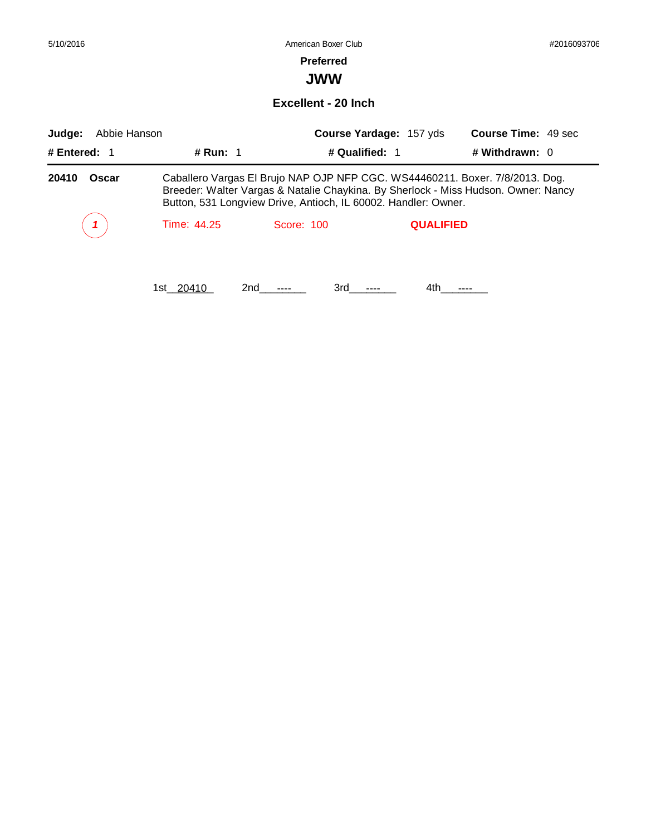### **Preferred**

**JWW**

**Excellent - 20 Inch**

| Abbie Hanson<br>Judge: |                 |                                                                                                                                                                                                                                      | <b>Course Yardage: 157 yds</b> | <b>Course Time: 49 sec</b> |
|------------------------|-----------------|--------------------------------------------------------------------------------------------------------------------------------------------------------------------------------------------------------------------------------------|--------------------------------|----------------------------|
| # Entered: 1           | <b># Run: 1</b> | # Qualified: 1                                                                                                                                                                                                                       |                                | # Withdrawn: $0$           |
| 20410<br>Oscar         |                 | Caballero Vargas El Brujo NAP OJP NFP CGC. WS44460211. Boxer. 7/8/2013. Dog.<br>Breeder: Walter Vargas & Natalie Chaykina. By Sherlock - Miss Hudson. Owner: Nancy<br>Button, 531 Longview Drive, Antioch, IL 60002. Handler: Owner. |                                |                            |
|                        | Time: 44.25     | Score: 100                                                                                                                                                                                                                           | <b>QUALIFIED</b>               |                            |
|                        | 1st 20410       | 3rd<br>2nd                                                                                                                                                                                                                           | 4th                            |                            |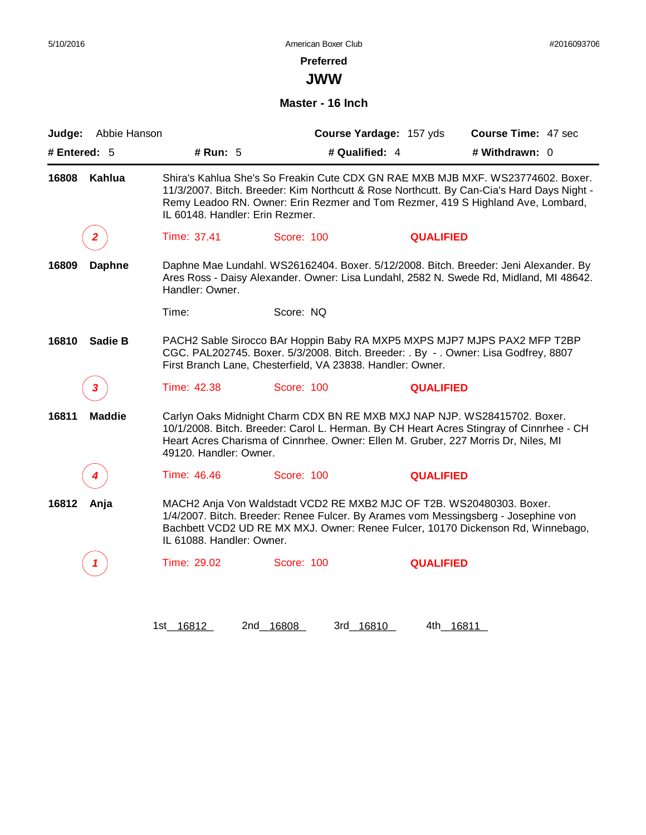**JWW**

#### **Master - 16 Inch**

| Abbie Hanson<br>Judge:  |                                                                                                                                                                                                                               |                                                                                    | Course Yardage: 157 yds | Course Time: 47 sec                                                                                                                                                                                                                                             |
|-------------------------|-------------------------------------------------------------------------------------------------------------------------------------------------------------------------------------------------------------------------------|------------------------------------------------------------------------------------|-------------------------|-----------------------------------------------------------------------------------------------------------------------------------------------------------------------------------------------------------------------------------------------------------------|
| # Entered: 5            | # Run: 5                                                                                                                                                                                                                      |                                                                                    | # Qualified: 4          | # Withdrawn: 0                                                                                                                                                                                                                                                  |
| 16808<br>Kahlua         | IL 60148. Handler: Erin Rezmer.                                                                                                                                                                                               |                                                                                    |                         | Shira's Kahlua She's So Freakin Cute CDX GN RAE MXB MJB MXF. WS23774602. Boxer.<br>11/3/2007. Bitch. Breeder: Kim Northcutt & Rose Northcutt. By Can-Cia's Hard Days Night -<br>Remy Leadoo RN. Owner: Erin Rezmer and Tom Rezmer, 419 S Highland Ave, Lombard, |
|                         | Time: 37.41                                                                                                                                                                                                                   | Score: 100                                                                         | <b>QUALIFIED</b>        |                                                                                                                                                                                                                                                                 |
| 16809<br><b>Daphne</b>  | Handler: Owner.                                                                                                                                                                                                               |                                                                                    |                         | Daphne Mae Lundahl. WS26162404. Boxer. 5/12/2008. Bitch. Breeder: Jeni Alexander. By<br>Ares Ross - Daisy Alexander. Owner: Lisa Lundahl, 2582 N. Swede Rd, Midland, MI 48642.                                                                                  |
|                         | Time:                                                                                                                                                                                                                         | Score: NQ                                                                          |                         |                                                                                                                                                                                                                                                                 |
| <b>Sadie B</b><br>16810 | PACH2 Sable Sirocco BAr Hoppin Baby RA MXP5 MXPS MJP7 MJPS PAX2 MFP T2BP<br>CGC. PAL202745. Boxer. 5/3/2008. Bitch. Breeder: . By - . Owner: Lisa Godfrey, 8807<br>First Branch Lane, Chesterfield, VA 23838. Handler: Owner. |                                                                                    |                         |                                                                                                                                                                                                                                                                 |
| 3                       | Time: 42.38                                                                                                                                                                                                                   | Score: 100                                                                         | <b>QUALIFIED</b>        |                                                                                                                                                                                                                                                                 |
| 16811<br><b>Maddie</b>  | 49120. Handler: Owner.                                                                                                                                                                                                        | Heart Acres Charisma of Cinnrhee. Owner: Ellen M. Gruber, 227 Morris Dr, Niles, MI |                         | Carlyn Oaks Midnight Charm CDX BN RE MXB MXJ NAP NJP. WS28415702. Boxer.<br>10/1/2008. Bitch. Breeder: Carol L. Herman. By CH Heart Acres Stingray of Cinnrhee - CH                                                                                             |
|                         | Time: 46.46                                                                                                                                                                                                                   | Score: 100                                                                         | <b>QUALIFIED</b>        |                                                                                                                                                                                                                                                                 |
| 16812<br>Anja           | IL 61088. Handler: Owner.                                                                                                                                                                                                     | MACH2 Anja Von Waldstadt VCD2 RE MXB2 MJC OF T2B. WS20480303. Boxer.               |                         | 1/4/2007. Bitch. Breeder: Renee Fulcer. By Arames vom Messingsberg - Josephine von<br>Bachbett VCD2 UD RE MX MXJ. Owner: Renee Fulcer, 10170 Dickenson Rd, Winnebago,                                                                                           |
|                         | Time: 29.02                                                                                                                                                                                                                   | Score: 100                                                                         | <b>QUALIFIED</b>        |                                                                                                                                                                                                                                                                 |
|                         |                                                                                                                                                                                                                               |                                                                                    |                         |                                                                                                                                                                                                                                                                 |

1st\_ 16812 2nd\_ 16808 3rd\_ 16810 4th\_ 16811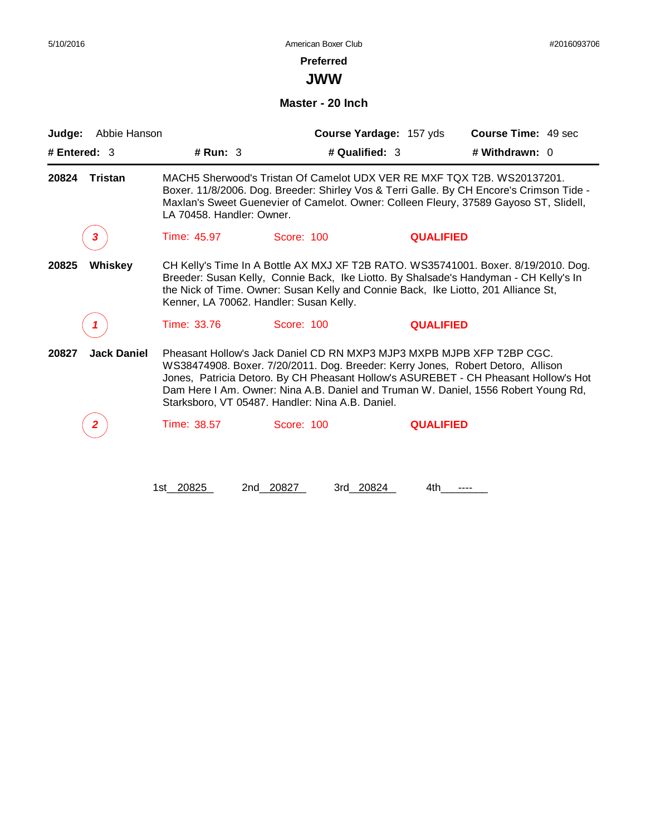**JWW**

#### **Master - 20 Inch**

| Judge:       | Abbie Hanson       |                                         |                                                                                                                           | Course Yardage: 157 yds | <b>Course Time: 49 sec</b>                                                                                                                                                                                                                                   |
|--------------|--------------------|-----------------------------------------|---------------------------------------------------------------------------------------------------------------------------|-------------------------|--------------------------------------------------------------------------------------------------------------------------------------------------------------------------------------------------------------------------------------------------------------|
| # Entered: 3 |                    | # Run: 3                                | # Qualified: 3                                                                                                            |                         | # Withdrawn: $0$                                                                                                                                                                                                                                             |
| 20824        | <b>Tristan</b>     | LA 70458. Handler: Owner.               |                                                                                                                           |                         | MACH5 Sherwood's Tristan Of Camelot UDX VER RE MXF TQX T2B, WS20137201.<br>Boxer. 11/8/2006. Dog. Breeder: Shirley Vos & Terri Galle. By CH Encore's Crimson Tide -<br>Maxlan's Sweet Guenevier of Camelot. Owner: Colleen Fleury, 37589 Gayoso ST, Slidell, |
|              |                    | Time: 45.97                             | Score: 100                                                                                                                | <b>QUALIFIED</b>        |                                                                                                                                                                                                                                                              |
| 20825        | Whiskey            | Kenner, LA 70062. Handler: Susan Kelly. | the Nick of Time. Owner: Susan Kelly and Connie Back, Ike Liotto, 201 Alliance St,                                        |                         | CH Kelly's Time In A Bottle AX MXJ XF T2B RATO. WS35741001. Boxer. 8/19/2010. Dog.<br>Breeder: Susan Kelly, Connie Back, Ike Liotto. By Shalsade's Handyman - CH Kelly's In                                                                                  |
|              |                    | Time: 33.76                             | Score: 100                                                                                                                | <b>QUALIFIED</b>        |                                                                                                                                                                                                                                                              |
| 20827        | <b>Jack Daniel</b> |                                         | Pheasant Hollow's Jack Daniel CD RN MXP3 MJP3 MXPB MJPB XFP T2BP CGC.<br>Starksboro, VT 05487. Handler: Nina A.B. Daniel. |                         | WS38474908. Boxer. 7/20/2011. Dog. Breeder: Kerry Jones, Robert Detoro, Allison<br>Jones, Patricia Detoro. By CH Pheasant Hollow's ASUREBET - CH Pheasant Hollow's Hot<br>Dam Here I Am. Owner: Nina A.B. Daniel and Truman W. Daniel, 1556 Robert Young Rd, |
|              |                    | Time: 38.57                             | Score: 100                                                                                                                | <b>QUALIFIED</b>        |                                                                                                                                                                                                                                                              |
|              |                    |                                         |                                                                                                                           |                         |                                                                                                                                                                                                                                                              |

1st\_20825 2nd\_20827 3rd\_20824 4th\_\_\_---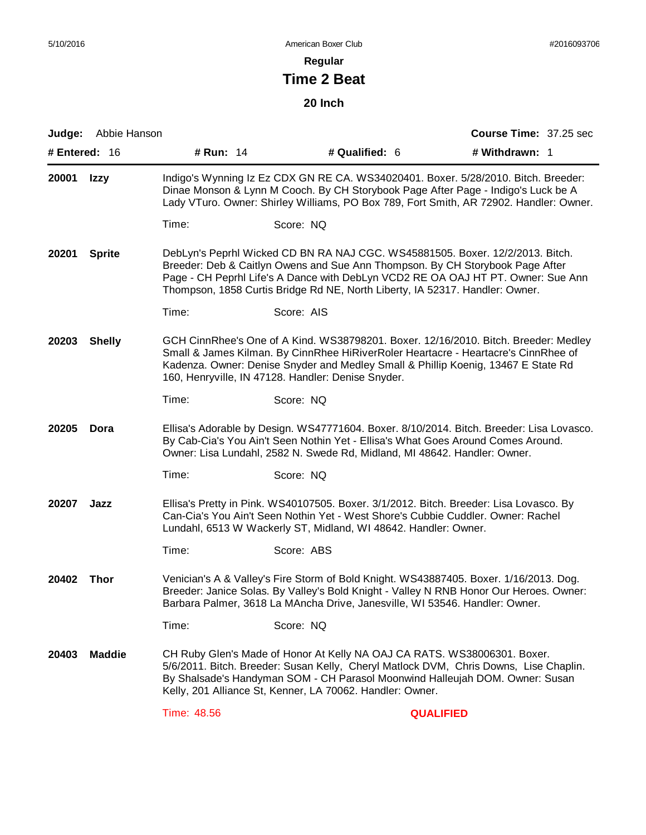**Regular**

# **Time 2 Beat**

**20 Inch**

|                        | Judge: Abbie Hanson |                                                                                                                                                                                                                                                                                                                                    |                                                                                                                                                                                                                                                                                                                      | <b>Course Time: 37.25 sec</b> |  |
|------------------------|---------------------|------------------------------------------------------------------------------------------------------------------------------------------------------------------------------------------------------------------------------------------------------------------------------------------------------------------------------------|----------------------------------------------------------------------------------------------------------------------------------------------------------------------------------------------------------------------------------------------------------------------------------------------------------------------|-------------------------------|--|
|                        | # Entered: 16       | # Run: 14                                                                                                                                                                                                                                                                                                                          | # Qualified: 6                                                                                                                                                                                                                                                                                                       | # Withdrawn: 1                |  |
| 20001                  | Izzy                |                                                                                                                                                                                                                                                                                                                                    | Indigo's Wynning Iz Ez CDX GN RE CA. WS34020401. Boxer. 5/28/2010. Bitch. Breeder:<br>Dinae Monson & Lynn M Cooch. By CH Storybook Page After Page - Indigo's Luck be A<br>Lady VTuro. Owner: Shirley Williams, PO Box 789, Fort Smith, AR 72902. Handler: Owner.                                                    |                               |  |
|                        |                     | Time:                                                                                                                                                                                                                                                                                                                              | Score: NQ                                                                                                                                                                                                                                                                                                            |                               |  |
| 20201<br><b>Sprite</b> |                     | DebLyn's Peprhl Wicked CD BN RA NAJ CGC. WS45881505. Boxer. 12/2/2013. Bitch.<br>Breeder: Deb & Caitlyn Owens and Sue Ann Thompson. By CH Storybook Page After<br>Page - CH Peprhl Life's A Dance with DebLyn VCD2 RE OA OAJ HT PT. Owner: Sue Ann<br>Thompson, 1858 Curtis Bridge Rd NE, North Liberty, IA 52317. Handler: Owner. |                                                                                                                                                                                                                                                                                                                      |                               |  |
|                        |                     | Time:                                                                                                                                                                                                                                                                                                                              | Score: AIS                                                                                                                                                                                                                                                                                                           |                               |  |
| 20203                  | <b>Shelly</b>       |                                                                                                                                                                                                                                                                                                                                    | GCH CinnRhee's One of A Kind. WS38798201. Boxer. 12/16/2010. Bitch. Breeder: Medley<br>Small & James Kilman. By CinnRhee HiRiverRoler Heartacre - Heartacre's CinnRhee of<br>Kadenza. Owner: Denise Snyder and Medley Small & Phillip Koenig, 13467 E State Rd<br>160, Henryville, IN 47128. Handler: Denise Snyder. |                               |  |
|                        |                     | Time:                                                                                                                                                                                                                                                                                                                              | Score: NQ                                                                                                                                                                                                                                                                                                            |                               |  |
| 20205                  | Dora                |                                                                                                                                                                                                                                                                                                                                    | Ellisa's Adorable by Design. WS47771604. Boxer. 8/10/2014. Bitch. Breeder: Lisa Lovasco.<br>By Cab-Cia's You Ain't Seen Nothin Yet - Ellisa's What Goes Around Comes Around.<br>Owner: Lisa Lundahl, 2582 N. Swede Rd, Midland, MI 48642. Handler: Owner.                                                            |                               |  |
|                        |                     | Time:                                                                                                                                                                                                                                                                                                                              | Score: NQ                                                                                                                                                                                                                                                                                                            |                               |  |
| 20207                  | Jazz                |                                                                                                                                                                                                                                                                                                                                    | Ellisa's Pretty in Pink. WS40107505. Boxer. 3/1/2012. Bitch. Breeder: Lisa Lovasco. By<br>Can-Cia's You Ain't Seen Nothin Yet - West Shore's Cubbie Cuddler. Owner: Rachel<br>Lundahl, 6513 W Wackerly ST, Midland, WI 48642. Handler: Owner.                                                                        |                               |  |
|                        |                     | Time:                                                                                                                                                                                                                                                                                                                              | Score: ABS                                                                                                                                                                                                                                                                                                           |                               |  |
| 20402                  | Thor                |                                                                                                                                                                                                                                                                                                                                    | Venician's A & Valley's Fire Storm of Bold Knight. WS43887405. Boxer. 1/16/2013. Dog.<br>Breeder: Janice Solas. By Valley's Bold Knight - Valley N RNB Honor Our Heroes. Owner:<br>Barbara Palmer, 3618 La MAncha Drive, Janesville, WI 53546. Handler: Owner.                                                       |                               |  |
|                        |                     | Time:                                                                                                                                                                                                                                                                                                                              | Score: NQ                                                                                                                                                                                                                                                                                                            |                               |  |
| 20403                  | <b>Maddie</b>       |                                                                                                                                                                                                                                                                                                                                    | CH Ruby Glen's Made of Honor At Kelly NA OAJ CA RATS. WS38006301. Boxer.<br>5/6/2011. Bitch. Breeder: Susan Kelly, Cheryl Matlock DVM, Chris Downs, Lise Chaplin.<br>By Shalsade's Handyman SOM - CH Parasol Moonwind Halleujah DOM. Owner: Susan<br>Kelly, 201 Alliance St, Kenner, LA 70062. Handler: Owner.       |                               |  |
|                        |                     | Time: 48.56                                                                                                                                                                                                                                                                                                                        |                                                                                                                                                                                                                                                                                                                      | <b>QUALIFIED</b>              |  |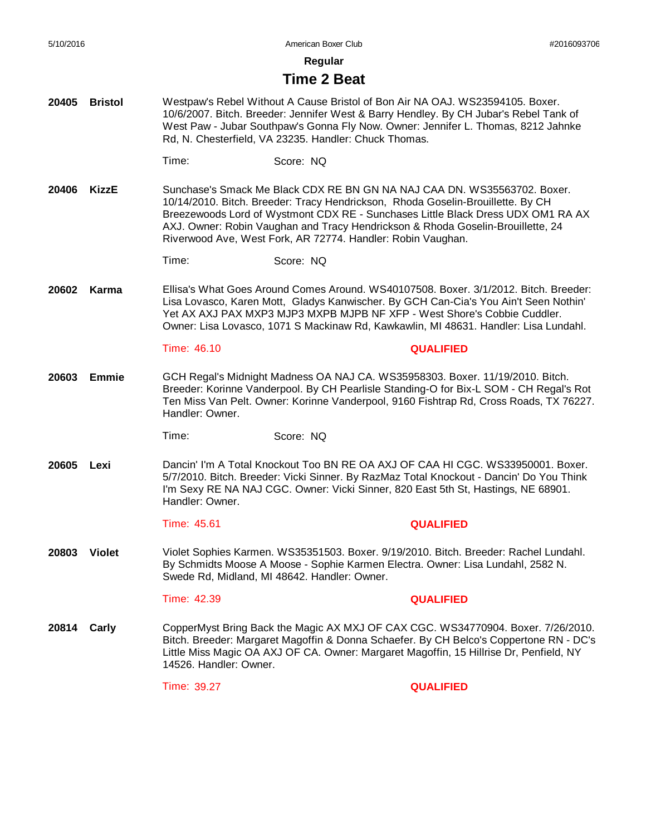**Regular**

#### **Time 2 Beat**

- **20405 Bristol** Westpaw's Rebel Without A Cause Bristol of Bon Air NA OAJ. WS23594105. Boxer. 10/6/2007. Bitch. Breeder: Jennifer West & Barry Hendley. By CH Jubar's Rebel Tank of West Paw - Jubar Southpaw's Gonna Fly Now. Owner: Jennifer L. Thomas, 8212 Jahnke Rd, N. Chesterfield, VA 23235. Handler: Chuck Thomas.
	- Time: Score: NQ
- **20406 KizzE** Sunchase's Smack Me Black CDX RE BN GN NA NAJ CAA DN. WS35563702. Boxer. 10/14/2010. Bitch. Breeder: Tracy Hendrickson, Rhoda Goselin-Brouillette. By CH Breezewoods Lord of Wystmont CDX RE - Sunchases Little Black Dress UDX OM1 RA AX AXJ. Owner: Robin Vaughan and Tracy Hendrickson & Rhoda Goselin-Brouillette, 24 Riverwood Ave, West Fork, AR 72774. Handler: Robin Vaughan.
	- Time: Score: NQ
- **20602 Karma** Ellisa's What Goes Around Comes Around. WS40107508. Boxer. 3/1/2012. Bitch. Breeder: Lisa Lovasco, Karen Mott, Gladys Kanwischer. By GCH Can-Cia's You Ain't Seen Nothin' Yet AX AXJ PAX MXP3 MJP3 MXPB MJPB NF XFP - West Shore's Cobbie Cuddler. Owner: Lisa Lovasco, 1071 S Mackinaw Rd, Kawkawlin, MI 48631. Handler: Lisa Lundahl.
	- Time: 46.10 **QUALIFIED**
- **20603 Emmie** GCH Regal's Midnight Madness OA NAJ CA. WS35958303. Boxer. 11/19/2010. Bitch. Breeder: Korinne Vanderpool. By CH Pearlisle Standing-O for Bix-L SOM - CH Regal's Rot Ten Miss Van Pelt. Owner: Korinne Vanderpool, 9160 Fishtrap Rd, Cross Roads, TX 76227. Handler: Owner.

Time: Score: NQ

**20605 Lexi** Dancin' I'm A Total Knockout Too BN RE OA AXJ OF CAA HI CGC. WS33950001. Boxer. 5/7/2010. Bitch. Breeder: Vicki Sinner. By RazMaz Total Knockout - Dancin' Do You Think I'm Sexy RE NA NAJ CGC. Owner: Vicki Sinner, 820 East 5th St, Hastings, NE 68901. Handler: Owner.

#### Time: 45.61 **QUALIFIED**

**20803 Violet** Violet Sophies Karmen. WS35351503. Boxer. 9/19/2010. Bitch. Breeder: Rachel Lundahl. By Schmidts Moose A Moose - Sophie Karmen Electra. Owner: Lisa Lundahl, 2582 N. Swede Rd, Midland, MI 48642. Handler: Owner.

#### Time: 42.39 **QUALIFIED**

**20814 Carly** CopperMyst Bring Back the Magic AX MXJ OF CAX CGC. WS34770904. Boxer. 7/26/2010. Bitch. Breeder: Margaret Magoffin & Donna Schaefer. By CH Belco's Coppertone RN - DC's Little Miss Magic OA AXJ OF CA. Owner: Margaret Magoffin, 15 Hillrise Dr, Penfield, NY 14526. Handler: Owner.

Time: 39.27 **QUALIFIED**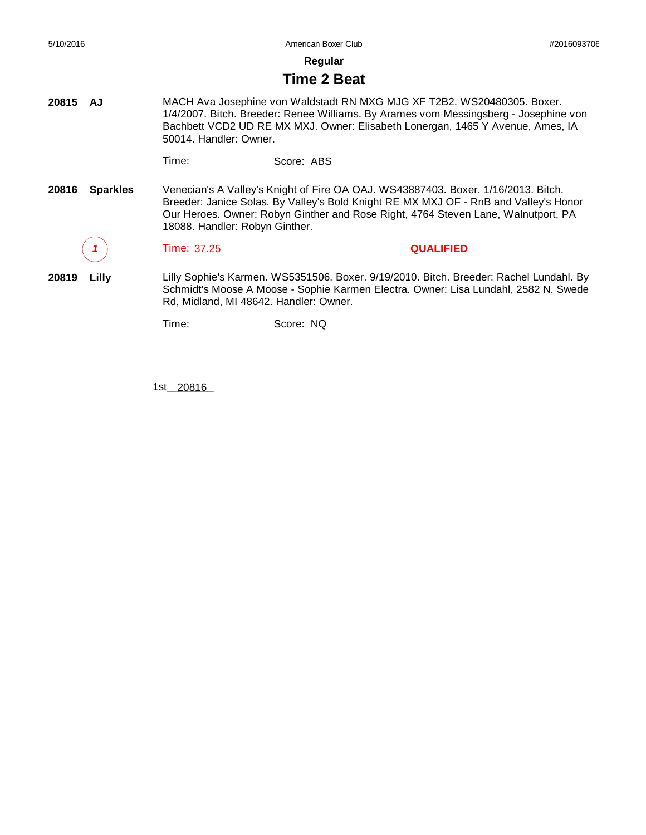**Regular**

#### **Time 2 Beat**

**20815 AJ** MACH Ava Josephine von Waldstadt RN MXG MJG XF T2B2. WS20480305. Boxer. 1/4/2007. Bitch. Breeder: Renee Williams. By Arames vom Messingsberg - Josephine von Bachbett VCD2 UD RE MX MXJ. Owner: Elisabeth Lonergan, 1465 Y Avenue, Ames, IA 50014. Handler: Owner.

Time: Score: ABS

**20816 Sparkles** Venecian's A Valley's Knight of Fire OA OAJ. WS43887403. Boxer. 1/16/2013. Bitch. Breeder: Janice Solas. By Valley's Bold Knight RE MX MXJ OF - RnB and Valley's Honor Our Heroes. Owner: Robyn Ginther and Rose Right, 4764 Steven Lane, Walnutport, PA 18088. Handler: Robyn Ginther.

- *1* Time: 37.25 **QUALIFIED**
- **20819 Lilly** Lilly Sophie's Karmen. WS5351506. Boxer. 9/19/2010. Bitch. Breeder: Rachel Lundahl. By Schmidt's Moose A Moose - Sophie Karmen Electra. Owner: Lisa Lundahl, 2582 N. Swede Rd, Midland, MI 48642. Handler: Owner.

Time: Score: NQ

1st\_\_\_\_\_\_\_\_ 20816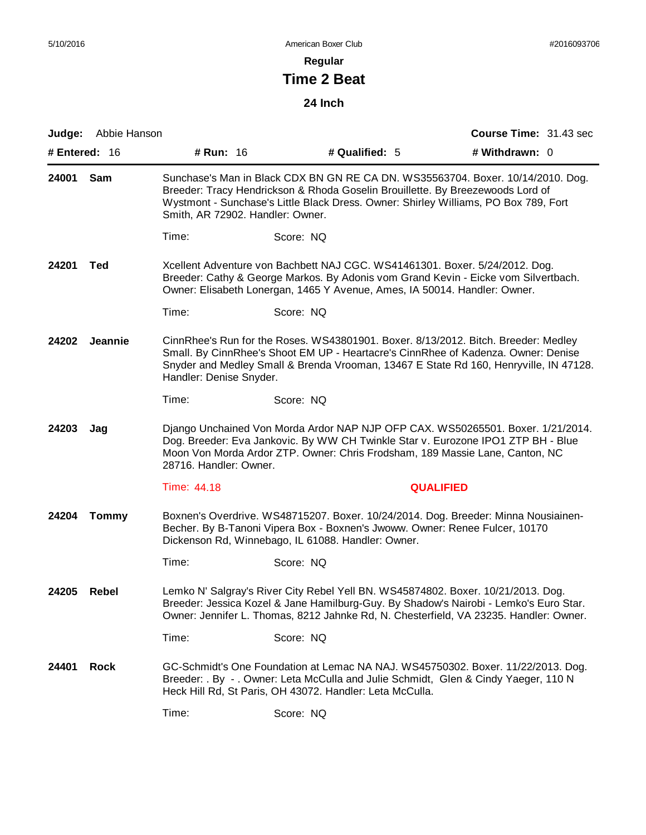**Regular**

# **Time 2 Beat**

**24 Inch**

|              |                  |                            | <b>Course Time: 31.43 sec</b>                                                                                                                                                                                                                                                                                                                                                                                                                                                                                                                                                                                                                                                                                                                                                                                                                                                                                                                                                                                                                                                                                                                                                                                                                                                                                                                                                                                                                                                                                                                                                                                                                                                                                                                                                                                                                                          |
|--------------|------------------|----------------------------|------------------------------------------------------------------------------------------------------------------------------------------------------------------------------------------------------------------------------------------------------------------------------------------------------------------------------------------------------------------------------------------------------------------------------------------------------------------------------------------------------------------------------------------------------------------------------------------------------------------------------------------------------------------------------------------------------------------------------------------------------------------------------------------------------------------------------------------------------------------------------------------------------------------------------------------------------------------------------------------------------------------------------------------------------------------------------------------------------------------------------------------------------------------------------------------------------------------------------------------------------------------------------------------------------------------------------------------------------------------------------------------------------------------------------------------------------------------------------------------------------------------------------------------------------------------------------------------------------------------------------------------------------------------------------------------------------------------------------------------------------------------------------------------------------------------------------------------------------------------------|
|              | <b># Run: 16</b> | # Qualified: 5             | # Withdrawn: 0                                                                                                                                                                                                                                                                                                                                                                                                                                                                                                                                                                                                                                                                                                                                                                                                                                                                                                                                                                                                                                                                                                                                                                                                                                                                                                                                                                                                                                                                                                                                                                                                                                                                                                                                                                                                                                                         |
| Sam          |                  |                            |                                                                                                                                                                                                                                                                                                                                                                                                                                                                                                                                                                                                                                                                                                                                                                                                                                                                                                                                                                                                                                                                                                                                                                                                                                                                                                                                                                                                                                                                                                                                                                                                                                                                                                                                                                                                                                                                        |
|              | Time:            | Score: NQ                  |                                                                                                                                                                                                                                                                                                                                                                                                                                                                                                                                                                                                                                                                                                                                                                                                                                                                                                                                                                                                                                                                                                                                                                                                                                                                                                                                                                                                                                                                                                                                                                                                                                                                                                                                                                                                                                                                        |
| Ted          |                  |                            |                                                                                                                                                                                                                                                                                                                                                                                                                                                                                                                                                                                                                                                                                                                                                                                                                                                                                                                                                                                                                                                                                                                                                                                                                                                                                                                                                                                                                                                                                                                                                                                                                                                                                                                                                                                                                                                                        |
|              | Time:            | Score: NQ                  |                                                                                                                                                                                                                                                                                                                                                                                                                                                                                                                                                                                                                                                                                                                                                                                                                                                                                                                                                                                                                                                                                                                                                                                                                                                                                                                                                                                                                                                                                                                                                                                                                                                                                                                                                                                                                                                                        |
| Jeannie      |                  |                            |                                                                                                                                                                                                                                                                                                                                                                                                                                                                                                                                                                                                                                                                                                                                                                                                                                                                                                                                                                                                                                                                                                                                                                                                                                                                                                                                                                                                                                                                                                                                                                                                                                                                                                                                                                                                                                                                        |
|              | Time:            | Score: NQ                  |                                                                                                                                                                                                                                                                                                                                                                                                                                                                                                                                                                                                                                                                                                                                                                                                                                                                                                                                                                                                                                                                                                                                                                                                                                                                                                                                                                                                                                                                                                                                                                                                                                                                                                                                                                                                                                                                        |
| Jag          |                  |                            |                                                                                                                                                                                                                                                                                                                                                                                                                                                                                                                                                                                                                                                                                                                                                                                                                                                                                                                                                                                                                                                                                                                                                                                                                                                                                                                                                                                                                                                                                                                                                                                                                                                                                                                                                                                                                                                                        |
|              | Time: 44.18      |                            | <b>QUALIFIED</b>                                                                                                                                                                                                                                                                                                                                                                                                                                                                                                                                                                                                                                                                                                                                                                                                                                                                                                                                                                                                                                                                                                                                                                                                                                                                                                                                                                                                                                                                                                                                                                                                                                                                                                                                                                                                                                                       |
| <b>Tommy</b> |                  |                            |                                                                                                                                                                                                                                                                                                                                                                                                                                                                                                                                                                                                                                                                                                                                                                                                                                                                                                                                                                                                                                                                                                                                                                                                                                                                                                                                                                                                                                                                                                                                                                                                                                                                                                                                                                                                                                                                        |
|              | Time:            | Score: NQ                  |                                                                                                                                                                                                                                                                                                                                                                                                                                                                                                                                                                                                                                                                                                                                                                                                                                                                                                                                                                                                                                                                                                                                                                                                                                                                                                                                                                                                                                                                                                                                                                                                                                                                                                                                                                                                                                                                        |
| Rebel        |                  |                            |                                                                                                                                                                                                                                                                                                                                                                                                                                                                                                                                                                                                                                                                                                                                                                                                                                                                                                                                                                                                                                                                                                                                                                                                                                                                                                                                                                                                                                                                                                                                                                                                                                                                                                                                                                                                                                                                        |
|              | Time:            | Score: NQ                  |                                                                                                                                                                                                                                                                                                                                                                                                                                                                                                                                                                                                                                                                                                                                                                                                                                                                                                                                                                                                                                                                                                                                                                                                                                                                                                                                                                                                                                                                                                                                                                                                                                                                                                                                                                                                                                                                        |
| <b>Rock</b>  |                  |                            |                                                                                                                                                                                                                                                                                                                                                                                                                                                                                                                                                                                                                                                                                                                                                                                                                                                                                                                                                                                                                                                                                                                                                                                                                                                                                                                                                                                                                                                                                                                                                                                                                                                                                                                                                                                                                                                                        |
|              | Time:            | Score: NQ                  |                                                                                                                                                                                                                                                                                                                                                                                                                                                                                                                                                                                                                                                                                                                                                                                                                                                                                                                                                                                                                                                                                                                                                                                                                                                                                                                                                                                                                                                                                                                                                                                                                                                                                                                                                                                                                                                                        |
|              | # Entered: 16    | <b>Judge:</b> Abbie Hanson | Sunchase's Man in Black CDX BN GN RE CA DN. WS35563704. Boxer. 10/14/2010. Dog.<br>Breeder: Tracy Hendrickson & Rhoda Goselin Brouillette. By Breezewoods Lord of<br>Wystmont - Sunchase's Little Black Dress. Owner: Shirley Williams, PO Box 789, Fort<br>Smith, AR 72902. Handler: Owner.<br>Xcellent Adventure von Bachbett NAJ CGC. WS41461301. Boxer. 5/24/2012. Dog.<br>Breeder: Cathy & George Markos. By Adonis vom Grand Kevin - Eicke vom Silvertbach.<br>Owner: Elisabeth Lonergan, 1465 Y Avenue, Ames, IA 50014. Handler: Owner.<br>CinnRhee's Run for the Roses. WS43801901. Boxer. 8/13/2012. Bitch. Breeder: Medley<br>Small. By CinnRhee's Shoot EM UP - Heartacre's CinnRhee of Kadenza. Owner: Denise<br>Snyder and Medley Small & Brenda Vrooman, 13467 E State Rd 160, Henryville, IN 47128.<br>Handler: Denise Snyder.<br>Django Unchained Von Morda Ardor NAP NJP OFP CAX. WS50265501. Boxer. 1/21/2014.<br>Dog. Breeder: Eva Jankovic. By WW CH Twinkle Star v. Eurozone IPO1 ZTP BH - Blue<br>Moon Von Morda Ardor ZTP. Owner: Chris Frodsham, 189 Massie Lane, Canton, NC<br>28716. Handler: Owner.<br>Boxnen's Overdrive. WS48715207. Boxer. 10/24/2014. Dog. Breeder: Minna Nousiainen-<br>Becher. By B-Tanoni Vipera Box - Boxnen's Jwoww. Owner: Renee Fulcer, 10170<br>Dickenson Rd, Winnebago, IL 61088. Handler: Owner.<br>Lemko N' Salgray's River City Rebel Yell BN. WS45874802. Boxer. 10/21/2013. Dog.<br>Breeder: Jessica Kozel & Jane Hamilburg-Guy. By Shadow's Nairobi - Lemko's Euro Star.<br>Owner: Jennifer L. Thomas, 8212 Jahnke Rd, N. Chesterfield, VA 23235. Handler: Owner.<br>GC-Schmidt's One Foundation at Lemac NA NAJ. WS45750302. Boxer. 11/22/2013. Dog.<br>Breeder: . By - . Owner: Leta McCulla and Julie Schmidt, Glen & Cindy Yaeger, 110 N<br>Heck Hill Rd, St Paris, OH 43072. Handler: Leta McCulla. |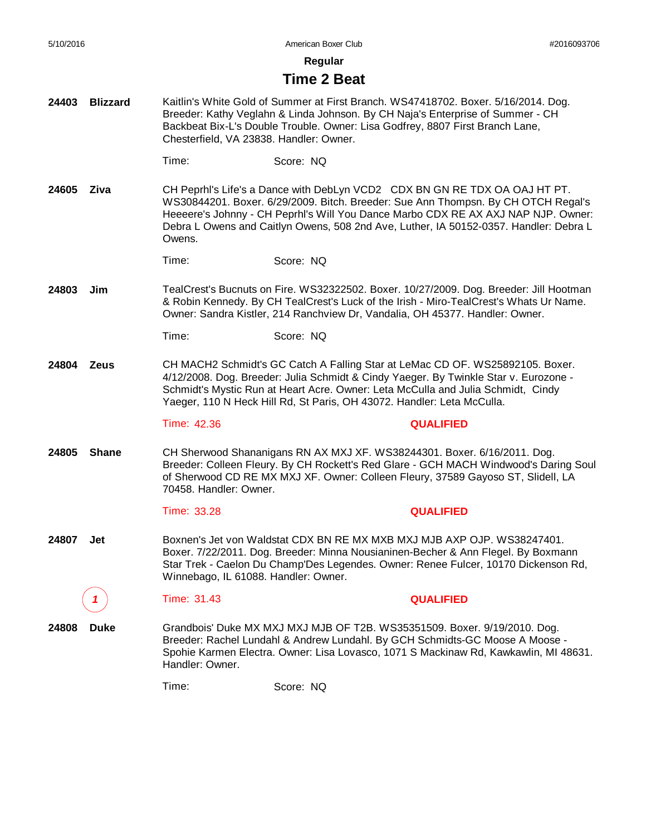**Regular**

#### **Time 2 Beat**

**24403 Blizzard** Kaitlin's White Gold of Summer at First Branch. WS47418702. Boxer. 5/16/2014. Dog. Breeder: Kathy Veglahn & Linda Johnson. By CH Naja's Enterprise of Summer - CH Backbeat Bix-L's Double Trouble. Owner: Lisa Godfrey, 8807 First Branch Lane, Chesterfield, VA 23838. Handler: Owner.

| Time: | Score: NQ |  |
|-------|-----------|--|
|       |           |  |

**24605 Ziva** CH Peprhl's Life's a Dance with DebLyn VCD2 CDX BN GN RE TDX OA OAJ HT PT. WS30844201. Boxer. 6/29/2009. Bitch. Breeder: Sue Ann Thompsn. By CH OTCH Regal's Heeeere's Johnny - CH Peprhl's Will You Dance Marbo CDX RE AX AXJ NAP NJP. Owner: Debra L Owens and Caitlyn Owens, 508 2nd Ave, Luther, IA 50152-0357. Handler: Debra L Owens.

**24803 Jim** TealCrest's Bucnuts on Fire. WS32322502. Boxer. 10/27/2009. Dog. Breeder: Jill Hootman & Robin Kennedy. By CH TealCrest's Luck of the Irish - Miro-TealCrest's Whats Ur Name. Owner: Sandra Kistler, 214 Ranchview Dr, Vandalia, OH 45377. Handler: Owner.

```
Time: Score: NQ
```
**24804 Zeus** CH MACH2 Schmidt's GC Catch A Falling Star at LeMac CD OF. WS25892105. Boxer. 4/12/2008. Dog. Breeder: Julia Schmidt & Cindy Yaeger. By Twinkle Star v. Eurozone - Schmidt's Mystic Run at Heart Acre. Owner: Leta McCulla and Julia Schmidt, Cindy Yaeger, 110 N Heck Hill Rd, St Paris, OH 43072. Handler: Leta McCulla.

Time: 42.36 **QUALIFIED**

**24805 Shane** CH Sherwood Shananigans RN AX MXJ XF. WS38244301. Boxer. 6/16/2011. Dog. Breeder: Colleen Fleury. By CH Rockett's Red Glare - GCH MACH Windwood's Daring Soul of Sherwood CD RE MX MXJ XF. Owner: Colleen Fleury, 37589 Gayoso ST, Slidell, LA 70458. Handler: Owner.

#### Time: 33.28 **QUALIFIED**

**24807 Jet** Boxnen's Jet von Waldstat CDX BN RE MX MXB MXJ MJB AXP OJP. WS38247401. Boxer. 7/22/2011. Dog. Breeder: Minna Nousianinen-Becher & Ann Flegel. By Boxmann Star Trek - Caelon Du Champ'Des Legendes. Owner: Renee Fulcer, 10170 Dickenson Rd, Winnebago, IL 61088. Handler: Owner.

*1* Time: 31.43 **QUALIFIED**

**24808 Duke** Grandbois' Duke MX MXJ MXJ MJB OF T2B. WS35351509. Boxer. 9/19/2010. Dog. Breeder: Rachel Lundahl & Andrew Lundahl. By GCH Schmidts-GC Moose A Moose - Spohie Karmen Electra. Owner: Lisa Lovasco, 1071 S Mackinaw Rd, Kawkawlin, MI 48631. Handler: Owner.

Time: Score: NQ

Time: Score: NQ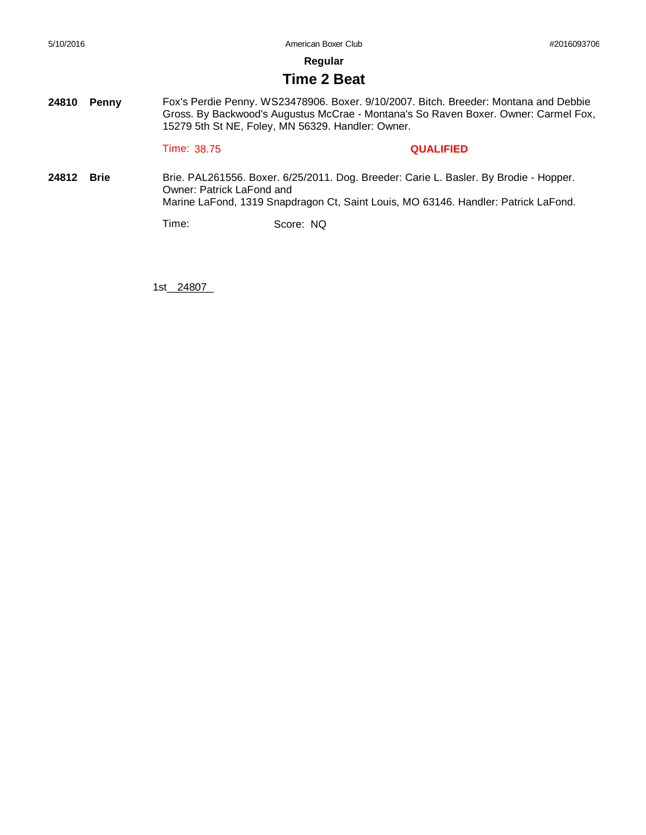### **Time 2 Beat**

**24810 Penny** Fox's Perdie Penny. WS23478906. Boxer. 9/10/2007. Bitch. Breeder: Montana and Debbie Gross. By Backwood's Augustus McCrae - Montana's So Raven Boxer. Owner: Carmel Fox, 15279 5th St NE, Foley, MN 56329. Handler: Owner.

Time: 38.75 **QUALIFIED**

**24812 Brie** Brie. PAL261556. Boxer. 6/25/2011. Dog. Breeder: Carie L. Basler. By Brodie - Hopper. Owner: Patrick LaFond and Marine LaFond, 1319 Snapdragon Ct, Saint Louis, MO 63146. Handler: Patrick LaFond.

Time: Score: NQ

1st\_\_\_\_\_\_\_\_ 24807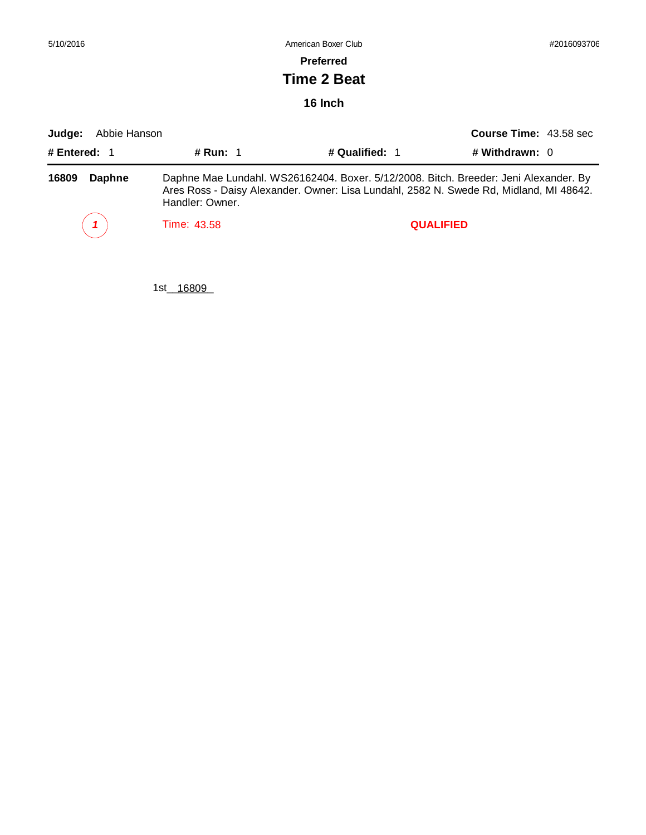| 5/10/2016 |  |
|-----------|--|
|           |  |

American Boxer Club #2016093706

**Preferred**

## **Time 2 Beat**

**16 Inch**

| Abbie Hanson<br>Judge:            | <b>Course Time: 43.58 sec</b> |                |                                                                                                                                                                                |
|-----------------------------------|-------------------------------|----------------|--------------------------------------------------------------------------------------------------------------------------------------------------------------------------------|
| # Entered: 1                      | <b># Run: 1</b>               | # Qualified: 1 | # Withdrawn: 0                                                                                                                                                                 |
| 16809<br>Daphne                   | Handler: Owner.               |                | Daphne Mae Lundahl. WS26162404. Boxer. 5/12/2008. Bitch. Breeder: Jeni Alexander. By<br>Ares Ross - Daisy Alexander. Owner: Lisa Lundahl, 2582 N. Swede Rd, Midland, MI 48642. |
| $\begin{pmatrix} 1 \end{pmatrix}$ | Time: 43.58                   |                | <b>QUALIFIED</b>                                                                                                                                                               |
|                                   |                               |                |                                                                                                                                                                                |

1st\_\_16809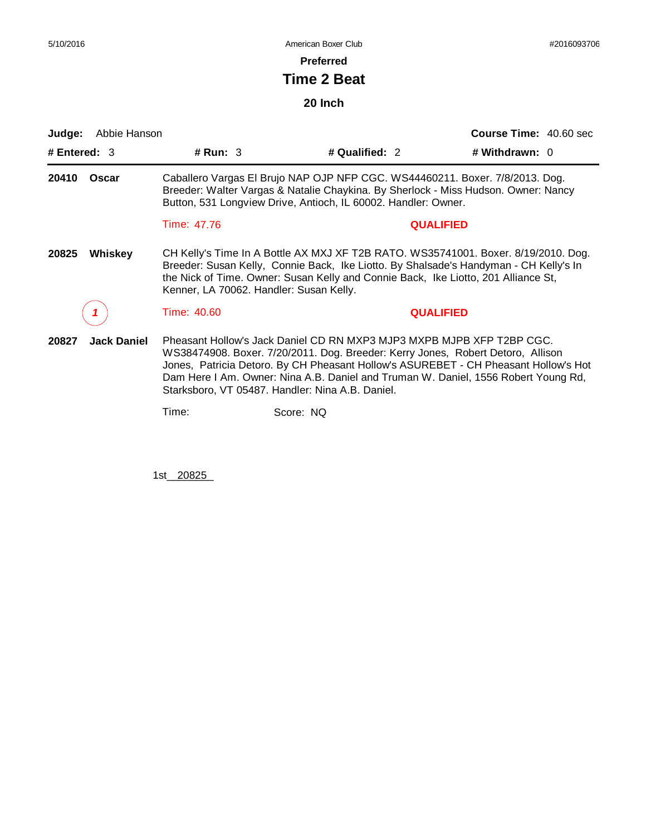**Preferred**

## **Time 2 Beat**

**20 Inch**

| Judge:                                                                                                                                                                                                                                                                                                                           | Abbie Hanson       |                                                                                                                                                                                                                                                                                                                                                                                           | <b>Course Time: 40.60 sec</b> |
|----------------------------------------------------------------------------------------------------------------------------------------------------------------------------------------------------------------------------------------------------------------------------------------------------------------------------------|--------------------|-------------------------------------------------------------------------------------------------------------------------------------------------------------------------------------------------------------------------------------------------------------------------------------------------------------------------------------------------------------------------------------------|-------------------------------|
| # Entered: $3$                                                                                                                                                                                                                                                                                                                   | # $Run: 3$         | # Qualified: 2                                                                                                                                                                                                                                                                                                                                                                            | # Withdrawn: 0                |
| 20410<br>Oscar                                                                                                                                                                                                                                                                                                                   |                    | Caballero Vargas El Brujo NAP OJP NFP CGC. WS44460211. Boxer. 7/8/2013. Dog.<br>Breeder: Walter Vargas & Natalie Chaykina. By Sherlock - Miss Hudson. Owner: Nancy<br>Button, 531 Longview Drive, Antioch, IL 60002. Handler: Owner.                                                                                                                                                      |                               |
|                                                                                                                                                                                                                                                                                                                                  | Time: 47.76        |                                                                                                                                                                                                                                                                                                                                                                                           | <b>QUALIFIED</b>              |
| CH Kelly's Time In A Bottle AX MXJ XF T2B RATO. WS35741001. Boxer. 8/19/2010. Dog.<br>20825<br>Whiskey<br>Breeder: Susan Kelly, Connie Back, Ike Liotto. By Shalsade's Handyman - CH Kelly's In<br>the Nick of Time. Owner: Susan Kelly and Connie Back, Ike Liotto, 201 Alliance St,<br>Kenner, LA 70062. Handler: Susan Kelly. |                    |                                                                                                                                                                                                                                                                                                                                                                                           |                               |
|                                                                                                                                                                                                                                                                                                                                  | Time: 40.60        |                                                                                                                                                                                                                                                                                                                                                                                           | <b>QUALIFIED</b>              |
| 20827                                                                                                                                                                                                                                                                                                                            | <b>Jack Daniel</b> | Pheasant Hollow's Jack Daniel CD RN MXP3 MJP3 MXPB MJPB XFP T2BP CGC.<br>WS38474908. Boxer. 7/20/2011. Dog. Breeder: Kerry Jones, Robert Detoro, Allison<br>Jones, Patricia Detoro. By CH Pheasant Hollow's ASUREBET - CH Pheasant Hollow's Hot<br>Dam Here I Am. Owner: Nina A.B. Daniel and Truman W. Daniel, 1556 Robert Young Rd,<br>Starksboro, VT 05487. Handler: Nina A.B. Daniel. |                               |
|                                                                                                                                                                                                                                                                                                                                  | Time:              | Score: NQ                                                                                                                                                                                                                                                                                                                                                                                 |                               |

1st\_20825\_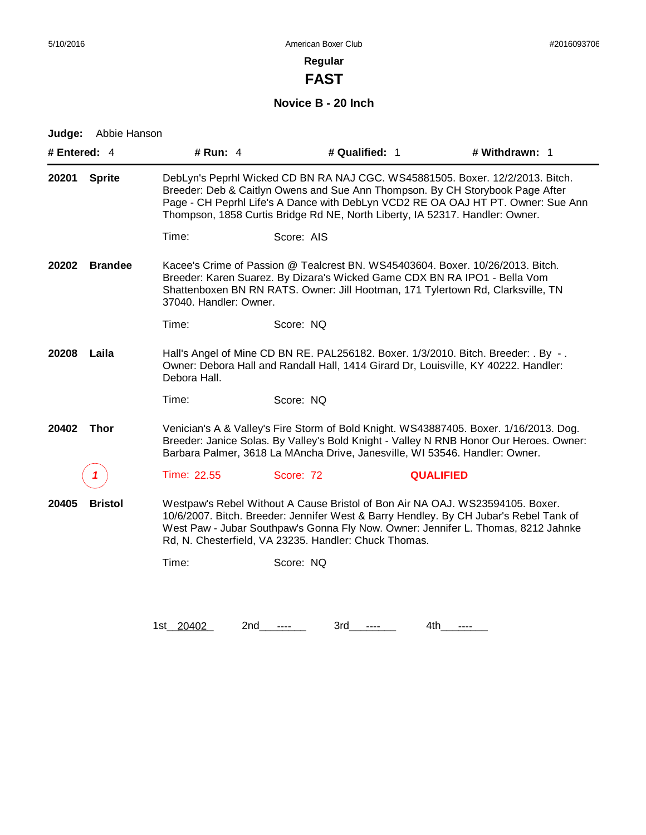**FAST**

### **Novice B - 20 Inch**

| Abbie Hanson<br>Judge:<br># Entered: $4$ | # Run: $4$             | # Qualified: 1                                                                                                                                                                                                                                 | # Withdrawn: 1                                                                                                                                                                  |
|------------------------------------------|------------------------|------------------------------------------------------------------------------------------------------------------------------------------------------------------------------------------------------------------------------------------------|---------------------------------------------------------------------------------------------------------------------------------------------------------------------------------|
| <b>Sprite</b><br>20201                   |                        | Breeder: Deb & Caitlyn Owens and Sue Ann Thompson. By CH Storybook Page After<br>Thompson, 1858 Curtis Bridge Rd NE, North Liberty, IA 52317. Handler: Owner.                                                                                  | DebLyn's Peprhl Wicked CD BN RA NAJ CGC. WS45881505. Boxer. 12/2/2013. Bitch.<br>Page - CH Peprhl Life's A Dance with DebLyn VCD2 RE OA OAJ HT PT. Owner: Sue Ann               |
|                                          | Time:                  | Score: AIS                                                                                                                                                                                                                                     |                                                                                                                                                                                 |
| 20202<br><b>Brandee</b>                  | 37040. Handler: Owner. | Kacee's Crime of Passion @ Tealcrest BN. WS45403604. Boxer. 10/26/2013. Bitch.<br>Breeder: Karen Suarez. By Dizara's Wicked Game CDX BN RA IPO1 - Bella Vom<br>Shattenboxen BN RN RATS. Owner: Jill Hootman, 171 Tylertown Rd, Clarksville, TN |                                                                                                                                                                                 |
|                                          | Time:                  | Score: NQ                                                                                                                                                                                                                                      |                                                                                                                                                                                 |
| 20208<br>Laila<br>Debora Hall.           |                        | Hall's Angel of Mine CD BN RE. PAL256182. Boxer. 1/3/2010. Bitch. Breeder: . By -.<br>Owner: Debora Hall and Randall Hall, 1414 Girard Dr, Louisville, KY 40222. Handler:                                                                      |                                                                                                                                                                                 |
|                                          | Time:                  | Score: NQ                                                                                                                                                                                                                                      |                                                                                                                                                                                 |
| <b>Thor</b><br>20402                     |                        | Barbara Palmer, 3618 La MAncha Drive, Janesville, WI 53546. Handler: Owner.                                                                                                                                                                    | Venician's A & Valley's Fire Storm of Bold Knight. WS43887405. Boxer. 1/16/2013. Dog.<br>Breeder: Janice Solas. By Valley's Bold Knight - Valley N RNB Honor Our Heroes. Owner: |
| 1                                        | Time: 22.55            | Score: 72                                                                                                                                                                                                                                      | <b>QUALIFIED</b>                                                                                                                                                                |
| <b>Bristol</b><br>20405                  |                        | Westpaw's Rebel Without A Cause Bristol of Bon Air NA OAJ. WS23594105. Boxer.<br>Rd, N. Chesterfield, VA 23235. Handler: Chuck Thomas.                                                                                                         | 10/6/2007. Bitch. Breeder: Jennifer West & Barry Hendley. By CH Jubar's Rebel Tank of<br>West Paw - Jubar Southpaw's Gonna Fly Now. Owner: Jennifer L. Thomas, 8212 Jahnke      |
|                                          | Time:                  | Score: NQ                                                                                                                                                                                                                                      |                                                                                                                                                                                 |
|                                          |                        |                                                                                                                                                                                                                                                |                                                                                                                                                                                 |
|                                          | 1st 20402<br>2nd       | 3rd                                                                                                                                                                                                                                            | 4th<br>----                                                                                                                                                                     |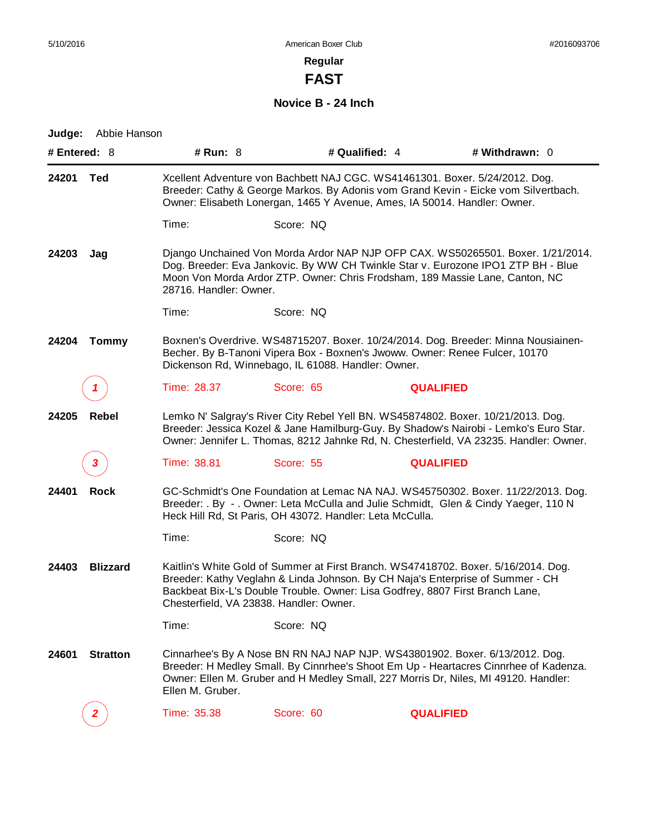**FAST**

**Novice B - 24 Inch**

| Judge:       | Abbie Hanson    |                                         |                                                                               |                                                                                                                                                                                                                                                                    |
|--------------|-----------------|-----------------------------------------|-------------------------------------------------------------------------------|--------------------------------------------------------------------------------------------------------------------------------------------------------------------------------------------------------------------------------------------------------------------|
| # Entered: 8 |                 | # Run: $8$                              | # Qualified: 4                                                                | # Withdrawn: 0                                                                                                                                                                                                                                                     |
| 24201        | Ted             |                                         | Owner: Elisabeth Lonergan, 1465 Y Avenue, Ames, IA 50014. Handler: Owner.     | Xcellent Adventure von Bachbett NAJ CGC. WS41461301. Boxer. 5/24/2012. Dog.<br>Breeder: Cathy & George Markos. By Adonis vom Grand Kevin - Eicke vom Silvertbach.                                                                                                  |
|              |                 | Time:                                   | Score: NQ                                                                     |                                                                                                                                                                                                                                                                    |
| 24203        | Jag             | 28716. Handler: Owner.                  |                                                                               | Django Unchained Von Morda Ardor NAP NJP OFP CAX. WS50265501. Boxer. 1/21/2014.<br>Dog. Breeder: Eva Jankovic. By WW CH Twinkle Star v. Eurozone IPO1 ZTP BH - Blue<br>Moon Von Morda Ardor ZTP. Owner: Chris Frodsham, 189 Massie Lane, Canton, NC                |
|              |                 | Time:                                   | Score: NQ                                                                     |                                                                                                                                                                                                                                                                    |
| 24204        | <b>Tommy</b>    |                                         | Dickenson Rd, Winnebago, IL 61088. Handler: Owner.                            | Boxnen's Overdrive. WS48715207. Boxer. 10/24/2014. Dog. Breeder: Minna Nousiainen-<br>Becher. By B-Tanoni Vipera Box - Boxnen's Jwoww. Owner: Renee Fulcer, 10170                                                                                                  |
|              |                 | Time: 28.37                             | Score: 65                                                                     | <b>QUALIFIED</b>                                                                                                                                                                                                                                                   |
| 24205        | <b>Rebel</b>    |                                         |                                                                               | Lemko N' Salgray's River City Rebel Yell BN. WS45874802. Boxer. 10/21/2013. Dog.<br>Breeder: Jessica Kozel & Jane Hamilburg-Guy. By Shadow's Nairobi - Lemko's Euro Star.<br>Owner: Jennifer L. Thomas, 8212 Jahnke Rd, N. Chesterfield, VA 23235. Handler: Owner. |
|              | 3               | Time: 38.81                             | Score: 55                                                                     | <b>QUALIFIED</b>                                                                                                                                                                                                                                                   |
| 24401        | <b>Rock</b>     |                                         | Heck Hill Rd, St Paris, OH 43072. Handler: Leta McCulla.                      | GC-Schmidt's One Foundation at Lemac NA NAJ. WS45750302. Boxer. 11/22/2013. Dog.<br>Breeder: . By - . Owner: Leta McCulla and Julie Schmidt, Glen & Cindy Yaeger, 110 N                                                                                            |
|              |                 | Time:                                   | Score: NQ                                                                     |                                                                                                                                                                                                                                                                    |
| 24403        | <b>Blizzard</b> | Chesterfield, VA 23838. Handler: Owner. | Backbeat Bix-L's Double Trouble. Owner: Lisa Godfrey, 8807 First Branch Lane, | Kaitlin's White Gold of Summer at First Branch. WS47418702. Boxer. 5/16/2014. Dog.<br>Breeder: Kathy Veglahn & Linda Johnson. By CH Naja's Enterprise of Summer - CH                                                                                               |
|              |                 | Time:                                   | Score: NQ                                                                     |                                                                                                                                                                                                                                                                    |
| 24601        | <b>Stratton</b> | Ellen M. Gruber.                        |                                                                               | Cinnarhee's By A Nose BN RN NAJ NAP NJP. WS43801902. Boxer. 6/13/2012. Dog.<br>Breeder: H Medley Small. By Cinnrhee's Shoot Em Up - Heartacres Cinnrhee of Kadenza.<br>Owner: Ellen M. Gruber and H Medley Small, 227 Morris Dr, Niles, MI 49120. Handler:         |
|              |                 | Time: 35.38                             | Score: 60                                                                     | <b>QUALIFIED</b>                                                                                                                                                                                                                                                   |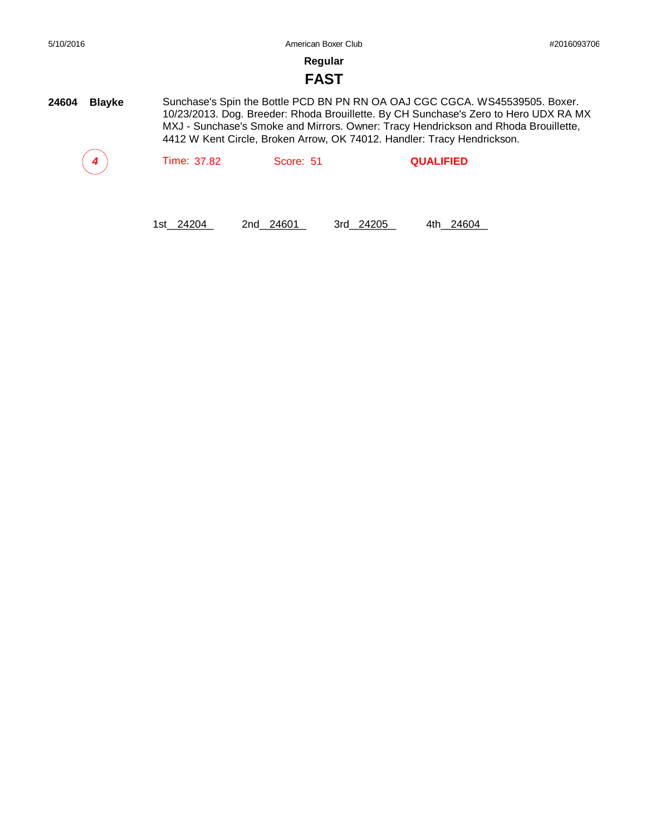### **FAST**

**24604 Blayke** Sunchase's Spin the Bottle PCD BN PN RN OA OAJ CGC CGCA. WS45539505. Boxer. 10/23/2013. Dog. Breeder: Rhoda Brouillette. By CH Sunchase's Zero to Hero UDX RA MX MXJ - Sunchase's Smoke and Mirrors. Owner: Tracy Hendrickson and Rhoda Brouillette, 4412 W Kent Circle, Broken Arrow, OK 74012. Handler: Tracy Hendrickson.

| 4 | Time: 37.82 | Score: 51 | <b>QUALIFIED</b> |
|---|-------------|-----------|------------------|
|---|-------------|-----------|------------------|

1st\_24204 2nd\_24601 3rd\_24205 4th\_24604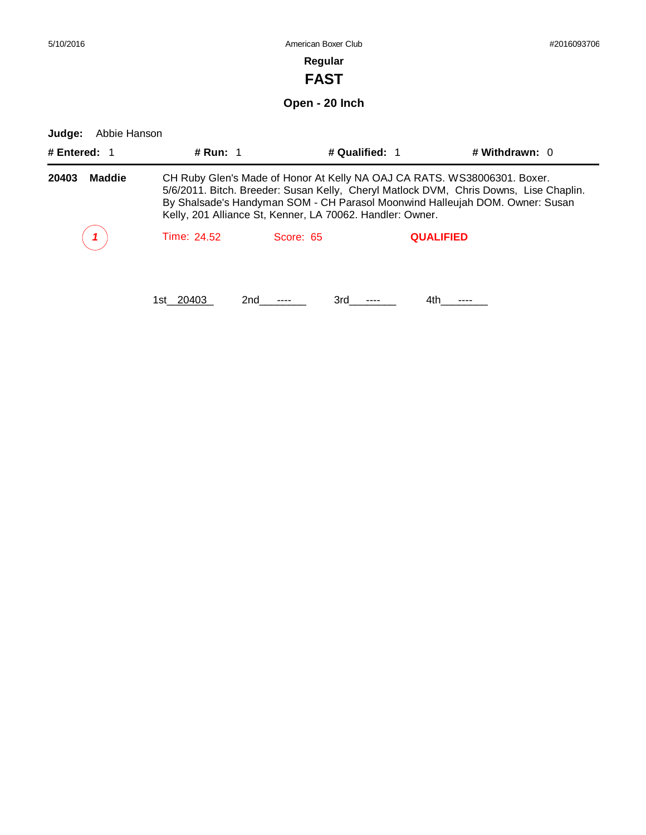| 5/10/2016              |                                                                                                                                                                                                                                                                                                                | #2016093706    |                  |                |  |  |
|------------------------|----------------------------------------------------------------------------------------------------------------------------------------------------------------------------------------------------------------------------------------------------------------------------------------------------------------|----------------|------------------|----------------|--|--|
|                        |                                                                                                                                                                                                                                                                                                                |                |                  |                |  |  |
|                        |                                                                                                                                                                                                                                                                                                                | <b>FAST</b>    |                  |                |  |  |
|                        |                                                                                                                                                                                                                                                                                                                | Open - 20 Inch |                  |                |  |  |
| Abbie Hanson<br>Judge: |                                                                                                                                                                                                                                                                                                                |                |                  |                |  |  |
| # Entered: $1$         | # Run: 1                                                                                                                                                                                                                                                                                                       |                | # Qualified: 1   | # Withdrawn: 0 |  |  |
| <b>Maddie</b><br>20403 | CH Ruby Glen's Made of Honor At Kelly NA OAJ CA RATS. WS38006301. Boxer.<br>5/6/2011. Bitch. Breeder: Susan Kelly, Cheryl Matlock DVM, Chris Downs, Lise Chaplin.<br>By Shalsade's Handyman SOM - CH Parasol Moonwind Halleujah DOM. Owner: Susan<br>Kelly, 201 Alliance St, Kenner, LA 70062. Handler: Owner. |                |                  |                |  |  |
|                        | Time: 24.52                                                                                                                                                                                                                                                                                                    | Score: 65      | <b>QUALIFIED</b> |                |  |  |
|                        | 1st 20403                                                                                                                                                                                                                                                                                                      | 2nd<br>3rd     | 4th              |                |  |  |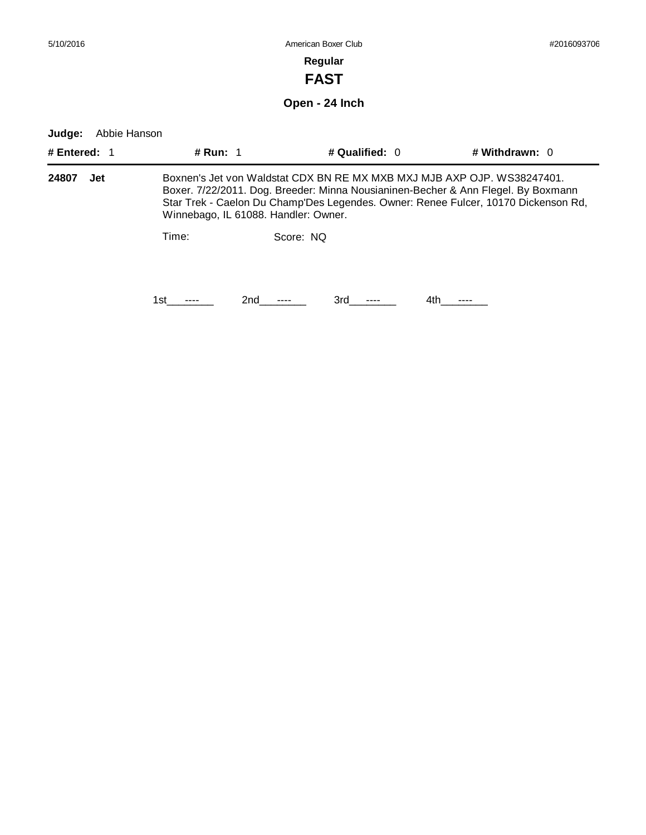#### **FAST**

**Open - 24 Inch**

**Judge:** Abbie Hanson **# Entered:** 1 **# Run:** 1 **# Qualified:** 0 **# Withdrawn:** 0 **24807 Jet** Time: Score: NQ Boxnen's Jet von Waldstat CDX BN RE MX MXB MXJ MJB AXP OJP. WS38247401. Boxer. 7/22/2011. Dog. Breeder: Minna Nousianinen-Becher & Ann Flegel. By Boxmann Star Trek - Caelon Du Champ'Des Legendes. Owner: Renee Fulcer, 10170 Dickenson Rd, Winnebago, IL 61088. Handler: Owner. 1st ---- 2nd ---- 3rd ---- 4th ----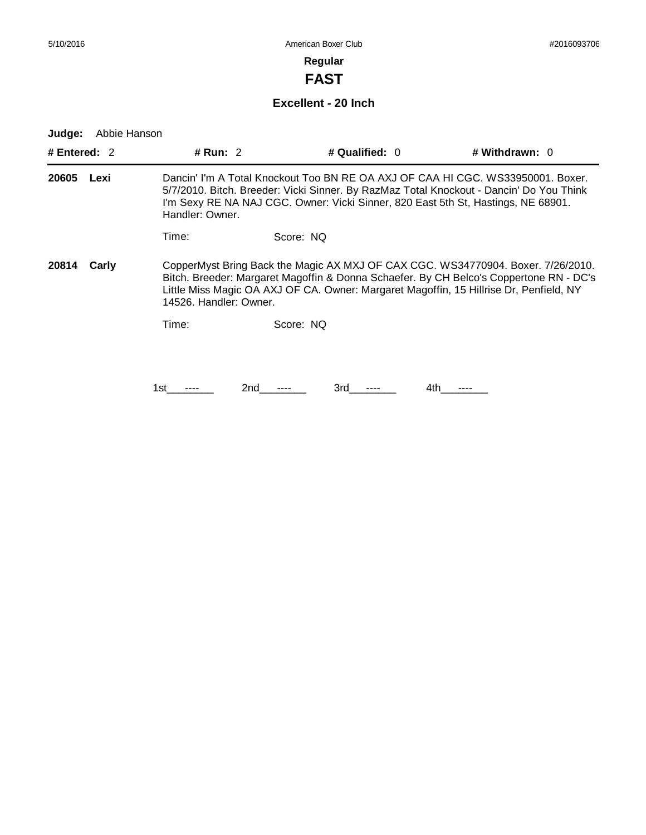**FAST**

### **Excellent - 20 Inch**

| # Entered: $2$ |                        | # Run: 2        |           | # Qualified: $0$                                                                                                                                                                                                                                                     | # Withdrawn: 0                                                                                                                                                                                                                                                  |  |
|----------------|------------------------|-----------------|-----------|----------------------------------------------------------------------------------------------------------------------------------------------------------------------------------------------------------------------------------------------------------------------|-----------------------------------------------------------------------------------------------------------------------------------------------------------------------------------------------------------------------------------------------------------------|--|
| 20605          | Lexi                   | Handler: Owner. |           |                                                                                                                                                                                                                                                                      | Dancin' I'm A Total Knockout Too BN RE OA AXJ OF CAA HI CGC, WS33950001, Boxer,<br>5/7/2010. Bitch. Breeder: Vicki Sinner. By RazMaz Total Knockout - Dancin' Do You Think<br>I'm Sexy RE NA NAJ CGC. Owner: Vicki Sinner, 820 East 5th St, Hastings, NE 68901. |  |
|                |                        | Time:           | Score: NO |                                                                                                                                                                                                                                                                      |                                                                                                                                                                                                                                                                 |  |
| 20814<br>Carly | 14526. Handler: Owner. |                 |           | CopperMyst Bring Back the Magic AX MXJ OF CAX CGC. WS34770904. Boxer. 7/26/2010.<br>Bitch. Breeder: Margaret Magoffin & Donna Schaefer. By CH Belco's Coppertone RN - DC's<br>Little Miss Magic OA AXJ OF CA. Owner: Margaret Magoffin, 15 Hillrise Dr, Penfield, NY |                                                                                                                                                                                                                                                                 |  |
|                |                        | Time:           | Score: NQ |                                                                                                                                                                                                                                                                      |                                                                                                                                                                                                                                                                 |  |
|                |                        |                 |           |                                                                                                                                                                                                                                                                      |                                                                                                                                                                                                                                                                 |  |
|                |                        | 1st             | 2nd       | 3rd                                                                                                                                                                                                                                                                  | 4th                                                                                                                                                                                                                                                             |  |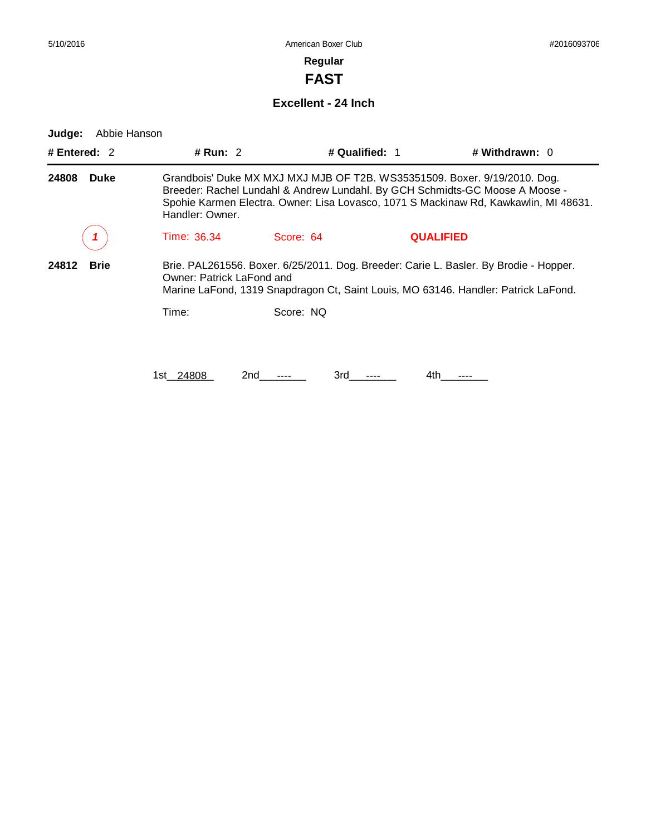**FAST**

#### **Excellent - 24 Inch**

| # Entered: $2$       | # Run: $2$                |                                                                           | # Qualified: 1   | # Withdrawn: 0                                                                                                                                                              |
|----------------------|---------------------------|---------------------------------------------------------------------------|------------------|-----------------------------------------------------------------------------------------------------------------------------------------------------------------------------|
| 24808<br><b>Duke</b> | Handler: Owner.           | Grandbois' Duke MX MXJ MXJ MJB OF T2B. WS35351509. Boxer. 9/19/2010. Dog. |                  | Breeder: Rachel Lundahl & Andrew Lundahl. By GCH Schmidts-GC Moose A Moose -<br>Spohie Karmen Electra. Owner: Lisa Lovasco, 1071 S Mackinaw Rd, Kawkawlin, MI 48631.        |
|                      | Time: 36.34               | Score: 64                                                                 | <b>QUALIFIED</b> |                                                                                                                                                                             |
| 24812<br><b>Brie</b> | Owner: Patrick LaFond and |                                                                           |                  | Brie. PAL261556. Boxer. 6/25/2011. Dog. Breeder: Carie L. Basler. By Brodie - Hopper.<br>Marine LaFond, 1319 Snapdragon Ct, Saint Louis, MO 63146. Handler: Patrick LaFond. |
|                      | Time:                     | Score: NQ                                                                 |                  |                                                                                                                                                                             |
|                      | 1st 24808                 | 2nd<br>3rd                                                                | 4th              |                                                                                                                                                                             |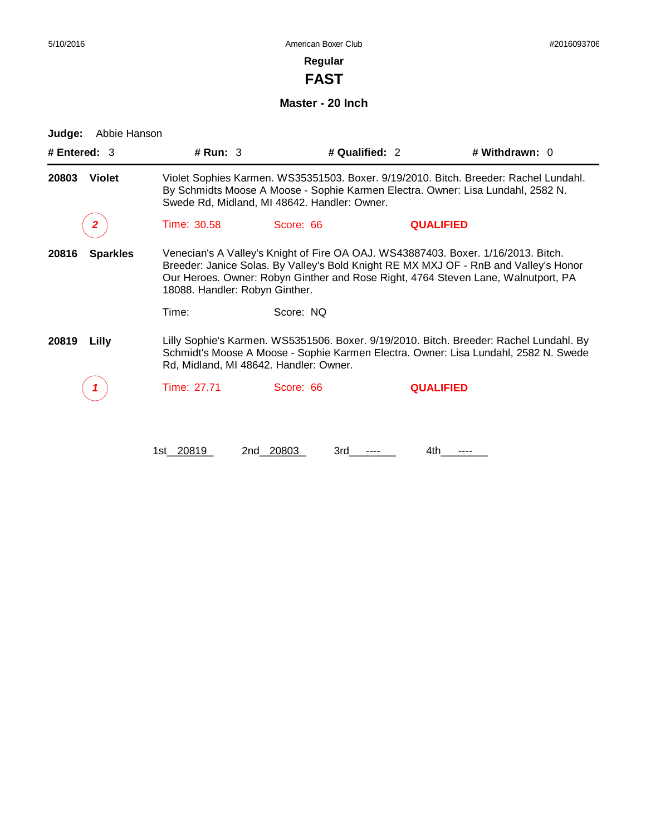**FAST**

**Master - 20 Inch**

| # Entered: 3             | # Run: 3                       |                                              | # Qualified: 2   | # Withdrawn: 0                                                                                                                                                                                                                                                 |
|--------------------------|--------------------------------|----------------------------------------------|------------------|----------------------------------------------------------------------------------------------------------------------------------------------------------------------------------------------------------------------------------------------------------------|
| <b>Violet</b><br>20803   |                                | Swede Rd, Midland, MI 48642. Handler: Owner. |                  | Violet Sophies Karmen. WS35351503. Boxer. 9/19/2010. Bitch. Breeder: Rachel Lundahl.<br>By Schmidts Moose A Moose - Sophie Karmen Electra. Owner: Lisa Lundahl, 2582 N.                                                                                        |
| 2                        | Time: 30.58                    | Score: 66                                    | <b>QUALIFIED</b> |                                                                                                                                                                                                                                                                |
| 20816<br><b>Sparkles</b> | 18088. Handler: Robyn Ginther. |                                              |                  | Venecian's A Valley's Knight of Fire OA OAJ. WS43887403. Boxer. 1/16/2013. Bitch.<br>Breeder: Janice Solas. By Valley's Bold Knight RE MX MXJ OF - RnB and Valley's Honor<br>Our Heroes. Owner: Robyn Ginther and Rose Right, 4764 Steven Lane, Walnutport, PA |
|                          | Time:                          | Score: NQ                                    |                  |                                                                                                                                                                                                                                                                |
| Lilly<br>20819           |                                | Rd, Midland, MI 48642. Handler: Owner.       |                  | Lilly Sophie's Karmen. WS5351506. Boxer. 9/19/2010. Bitch. Breeder: Rachel Lundahl. By<br>Schmidt's Moose A Moose - Sophie Karmen Electra. Owner: Lisa Lundahl, 2582 N. Swede                                                                                  |
|                          | Time: 27.71                    | Score: 66                                    | <b>QUALIFIED</b> |                                                                                                                                                                                                                                                                |
|                          | 1st 20819                      | 2nd 20803<br>3rd                             | 4th              |                                                                                                                                                                                                                                                                |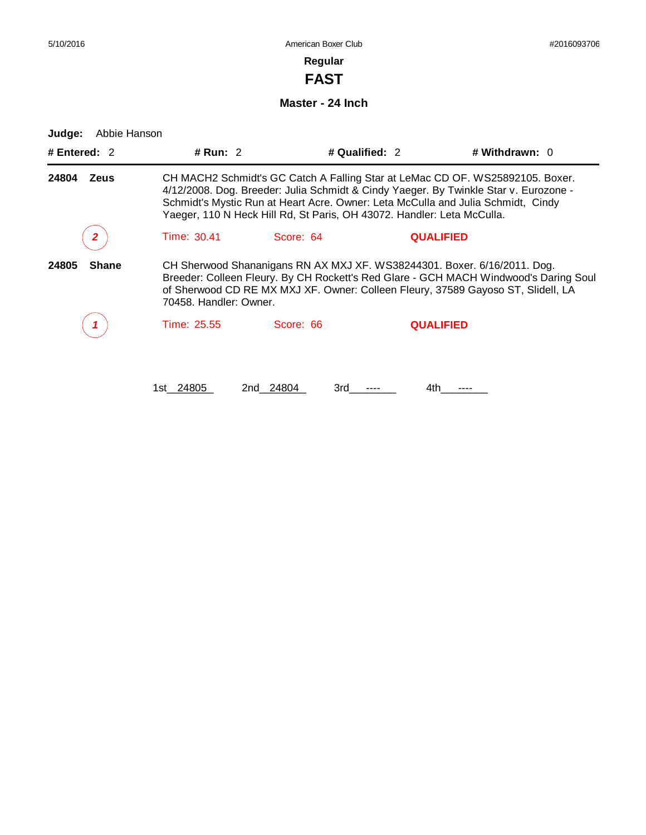**FAST**

**Master - 24 Inch**

| # Entered: 2          | # Run: $2$             |           | # Qualified: 2                                                         | # Withdrawn: 0                                                                                                                                                                                                                                            |  |
|-----------------------|------------------------|-----------|------------------------------------------------------------------------|-----------------------------------------------------------------------------------------------------------------------------------------------------------------------------------------------------------------------------------------------------------|--|
| 24804<br><b>Zeus</b>  |                        |           | Yaeger, 110 N Heck Hill Rd, St Paris, OH 43072. Handler: Leta McCulla. | CH MACH2 Schmidt's GC Catch A Falling Star at LeMac CD OF. WS25892105. Boxer.<br>4/12/2008. Dog. Breeder: Julia Schmidt & Cindy Yaeger. By Twinkle Star v. Eurozone -<br>Schmidt's Mystic Run at Heart Acre. Owner: Leta McCulla and Julia Schmidt, Cindy |  |
|                       | Time: 30.41            | Score: 64 |                                                                        | <b>QUALIFIED</b>                                                                                                                                                                                                                                          |  |
| 24805<br><b>Shane</b> | 70458. Handler: Owner. |           |                                                                        | CH Sherwood Shananigans RN AX MXJ XF. WS38244301. Boxer. 6/16/2011. Dog.<br>Breeder: Colleen Fleury. By CH Rockett's Red Glare - GCH MACH Windwood's Daring Soul<br>of Sherwood CD RE MX MXJ XF. Owner: Colleen Fleury, 37589 Gayoso ST, Slidell, LA      |  |
|                       | Time: 25.55            | Score: 66 |                                                                        | <b>QUALIFIED</b>                                                                                                                                                                                                                                          |  |
|                       | 1st 24805              | 2nd 24804 | 3rd<br>4th                                                             |                                                                                                                                                                                                                                                           |  |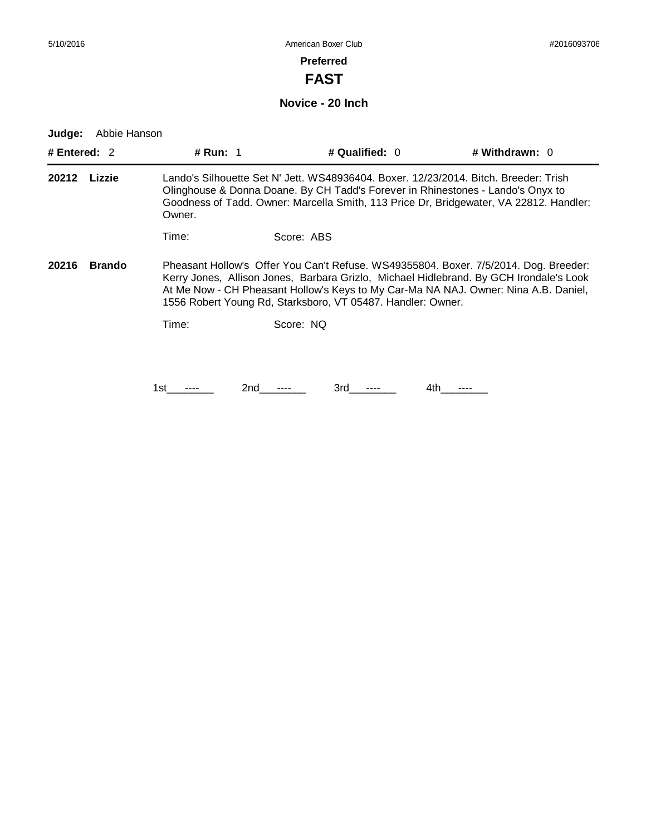**FAST**

**Novice - 20 Inch**

| # Entered: $2$         |        | <b># Run: 1</b> |            | # Qualified: $0$                                            | # Withdrawn: 0                                                                                                                                                                                                                                                        |
|------------------------|--------|-----------------|------------|-------------------------------------------------------------|-----------------------------------------------------------------------------------------------------------------------------------------------------------------------------------------------------------------------------------------------------------------------|
| 20212                  | Lizzie | Owner.          |            |                                                             | Lando's Silhouette Set N' Jett. WS48936404. Boxer. 12/23/2014. Bitch. Breeder: Trish<br>Olinghouse & Donna Doane. By CH Tadd's Forever in Rhinestones - Lando's Onyx to<br>Goodness of Tadd. Owner: Marcella Smith, 113 Price Dr, Bridgewater, VA 22812. Handler:     |
|                        |        | Time:           | Score: ABS |                                                             |                                                                                                                                                                                                                                                                       |
| 20216<br><b>Brando</b> |        |                 |            | 1556 Robert Young Rd, Starksboro, VT 05487. Handler: Owner. | Pheasant Hollow's Offer You Can't Refuse. WS49355804. Boxer. 7/5/2014. Dog. Breeder:<br>Kerry Jones, Allison Jones, Barbara Grizlo, Michael Hidlebrand. By GCH Irondale's Look<br>At Me Now - CH Pheasant Hollow's Keys to My Car-Ma NA NAJ. Owner: Nina A.B. Daniel, |
|                        |        | Time:           | Score: NQ  |                                                             |                                                                                                                                                                                                                                                                       |
|                        |        |                 |            |                                                             |                                                                                                                                                                                                                                                                       |
|                        |        | 1st             | 2nd        | 3rd                                                         | 4th                                                                                                                                                                                                                                                                   |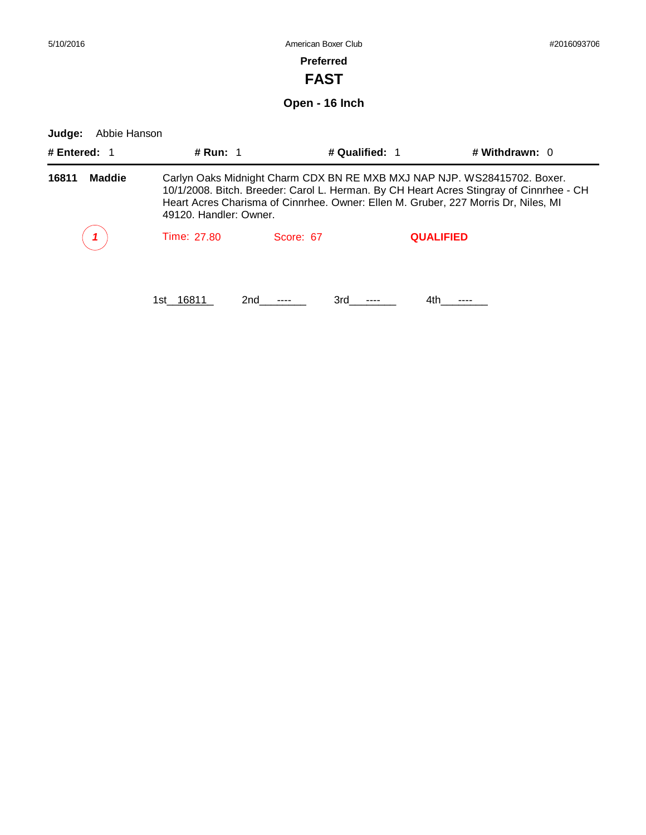| 5/10/2016              |                        |                                                                                                                                                                                                                                                           | #2016093706      |                |  |
|------------------------|------------------------|-----------------------------------------------------------------------------------------------------------------------------------------------------------------------------------------------------------------------------------------------------------|------------------|----------------|--|
|                        |                        |                                                                                                                                                                                                                                                           |                  |                |  |
|                        |                        | <b>FAST</b>                                                                                                                                                                                                                                               |                  |                |  |
|                        |                        | Open - 16 Inch                                                                                                                                                                                                                                            |                  |                |  |
| Abbie Hanson<br>Judge: |                        |                                                                                                                                                                                                                                                           |                  |                |  |
| # Entered: $1$         | <b># Run: 1</b>        |                                                                                                                                                                                                                                                           | # Qualified: 1   | # Withdrawn: 0 |  |
| <b>Maddie</b><br>16811 | 49120. Handler: Owner. | Carlyn Oaks Midnight Charm CDX BN RE MXB MXJ NAP NJP. WS28415702. Boxer.<br>10/1/2008. Bitch. Breeder: Carol L. Herman. By CH Heart Acres Stingray of Cinnrhee - CH<br>Heart Acres Charisma of Cinnrhee. Owner: Ellen M. Gruber, 227 Morris Dr, Niles, MI |                  |                |  |
|                        | Time: 27.80            | Score: 67                                                                                                                                                                                                                                                 | <b>QUALIFIED</b> |                |  |
|                        | 1st 16811              | 2nd<br>3rd                                                                                                                                                                                                                                                | 4th              |                |  |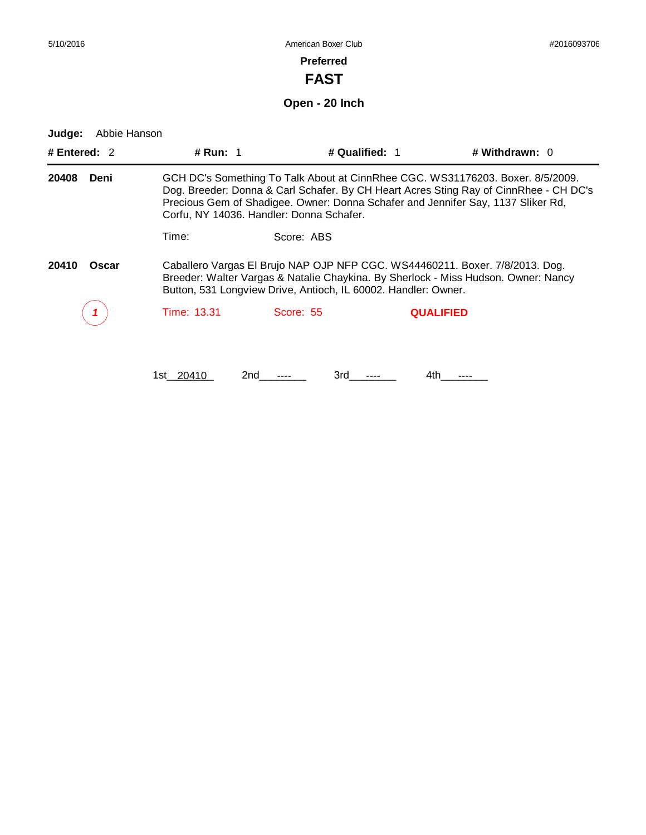**FAST**

### **Open - 20 Inch**

| # Entered: $2$ | # Run: $1$                                                                                                                                                                                                                                                                                              | # Qualified: 1                                                                                                                                 |                  | # Withdrawn: 0                                                                     |  |
|----------------|---------------------------------------------------------------------------------------------------------------------------------------------------------------------------------------------------------------------------------------------------------------------------------------------------------|------------------------------------------------------------------------------------------------------------------------------------------------|------------------|------------------------------------------------------------------------------------|--|
| 20408<br>Deni  | GCH DC's Something To Talk About at CinnRhee CGC. WS31176203. Boxer. 8/5/2009.<br>Dog. Breeder: Donna & Carl Schafer. By CH Heart Acres Sting Ray of CinnRhee - CH DC's<br>Precious Gem of Shadigee. Owner: Donna Schafer and Jennifer Say, 1137 Sliker Rd,<br>Corfu, NY 14036. Handler: Donna Schafer. |                                                                                                                                                |                  |                                                                                    |  |
|                | Time:                                                                                                                                                                                                                                                                                                   | Score: ABS                                                                                                                                     |                  |                                                                                    |  |
| 20410<br>Oscar |                                                                                                                                                                                                                                                                                                         | Caballero Vargas El Brujo NAP OJP NFP CGC. WS44460211. Boxer. 7/8/2013. Dog.<br>Button, 531 Longview Drive, Antioch, IL 60002. Handler: Owner. |                  | Breeder: Walter Vargas & Natalie Chaykina. By Sherlock - Miss Hudson. Owner: Nancy |  |
|                | <b>Time: 13.31</b>                                                                                                                                                                                                                                                                                      | Score: 55                                                                                                                                      | <b>QUALIFIED</b> |                                                                                    |  |
|                |                                                                                                                                                                                                                                                                                                         |                                                                                                                                                |                  |                                                                                    |  |
|                | 1st 20410                                                                                                                                                                                                                                                                                               | 2nd<br>3rd                                                                                                                                     | 4th              |                                                                                    |  |